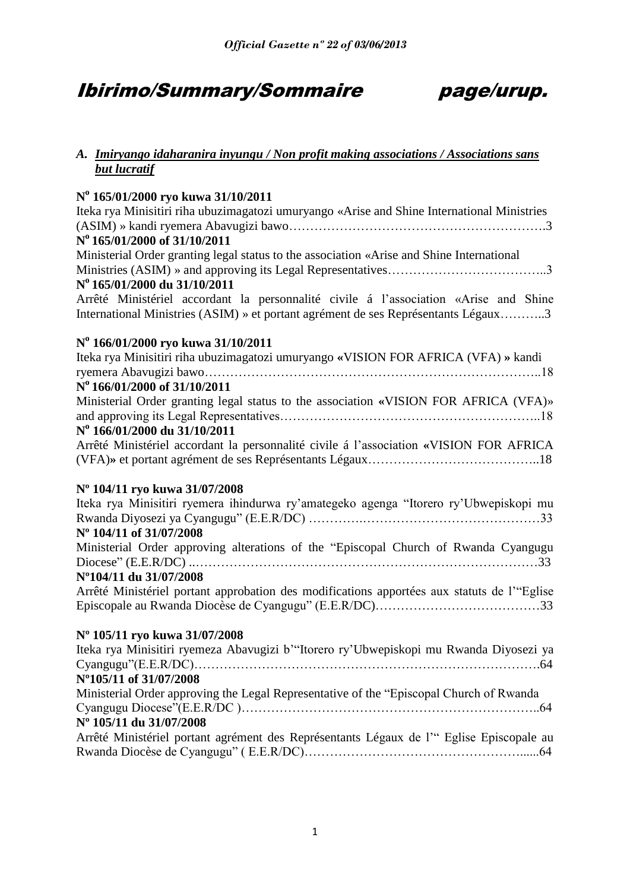## Ibirimo/Summary/Sommaire page/urup.

### *A. Imiryango idaharanira inyungu / Non profit making associations / Associations sans but lucratif*

### **N o 165/01/2000 ryo kuwa 31/10/2011**

| Iteka rya Minisitiri riha ubuzimagatozi umuryango «Arise and Shine International Ministries<br>N° 165/01/2000 of 31/10/2011                                                |
|----------------------------------------------------------------------------------------------------------------------------------------------------------------------------|
| Ministerial Order granting legal status to the association «Arise and Shine International<br>Nº 165/01/2000 du 31/10/2011                                                  |
| Arrêté Ministériel accordant la personnalité civile á l'association «Arise and Shine<br>International Ministries (ASIM) » et portant agrément de ses Représentants Légaux3 |
| Nº 166/01/2000 ryo kuwa 31/10/2011                                                                                                                                         |
| Iteka rya Minisitiri riha ubuzimagatozi umuryango «VISION FOR AFRICA (VFA) » kandi<br>N° 166/01/2000 of 31/10/2011                                                         |
| Ministerial Order granting legal status to the association «VISION FOR AFRICA (VFA)»                                                                                       |
| Nº 166/01/2000 du 31/10/2011<br>Arrêté Ministériel accordant la personnalité civile á l'association «VISION FOR AFRICA                                                     |
| Nº 104/11 ryo kuwa 31/07/2008                                                                                                                                              |
| Iteka rya Minisitiri ryemera ihindurwa ry'amategeko agenga "Itorero ry'Ubwepiskopi mu                                                                                      |
| N° 104/11 of 31/07/2008                                                                                                                                                    |
| Ministerial Order approving alterations of the "Episcopal Church of Rwanda Cyangugu                                                                                        |
| N°104/11 du 31/07/2008                                                                                                                                                     |
| Arrêté Ministériel portant approbation des modifications apportées aux statuts de l'"Eglise                                                                                |
| Nº 105/11 ryo kuwa 31/07/2008                                                                                                                                              |
| Iteka rya Minisitiri ryemeza Abavugizi b'"Itorero ry'Ubwepiskopi mu Rwanda Diyosezi ya                                                                                     |
| N°105/11 of 31/07/2008<br>Ministerial Order approving the Legal Representative of the "Episcopal Church of Rwanda                                                          |
| Nº 105/11 du 31/07/2008                                                                                                                                                    |
| Arrêté Ministériel portant agrément des Représentants Légaux de l'" Eglise Episcopale au                                                                                   |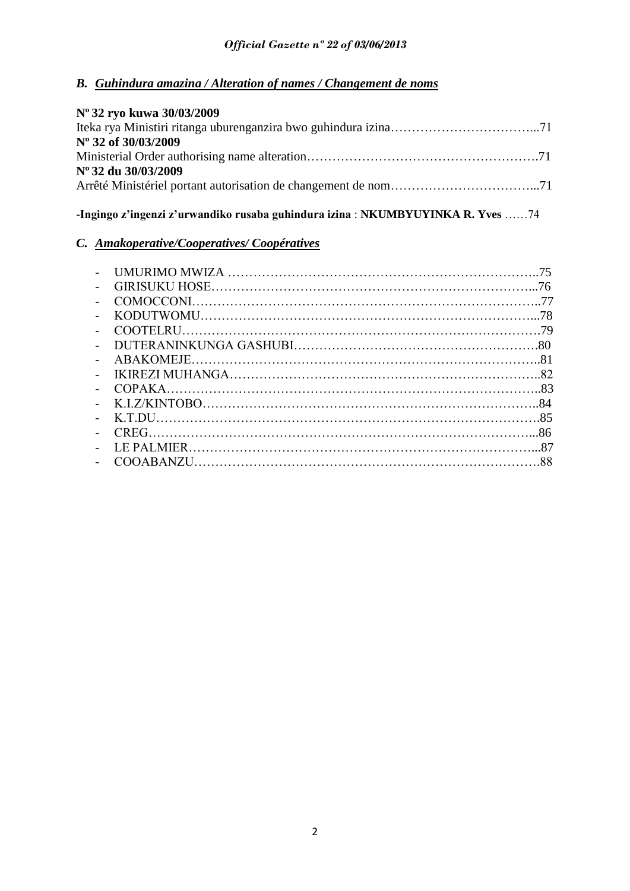## *B. Guhindura amazina / Alteration of names / Changement de noms*

| Nº 32 ryo kuwa 30/03/2009 |  |
|---------------------------|--|
|                           |  |
| Nº 32 of 30/03/2009       |  |
|                           |  |
| Nº 32 du 30/03/2009       |  |
|                           |  |

### **-Ingingo z'ingenzi z'urwandiko rusaba guhindura izina** : **NKUMBYUYINKA R. Yves** ……74

## *C. Amakoperative/Cooperatives/ Coopératives*

|                          | 75  |
|--------------------------|-----|
|                          | 76  |
|                          |     |
|                          | .78 |
| $\overline{\phantom{0}}$ |     |
|                          |     |
|                          |     |
|                          |     |
|                          |     |
|                          |     |
|                          |     |
|                          |     |
|                          |     |
|                          |     |
|                          |     |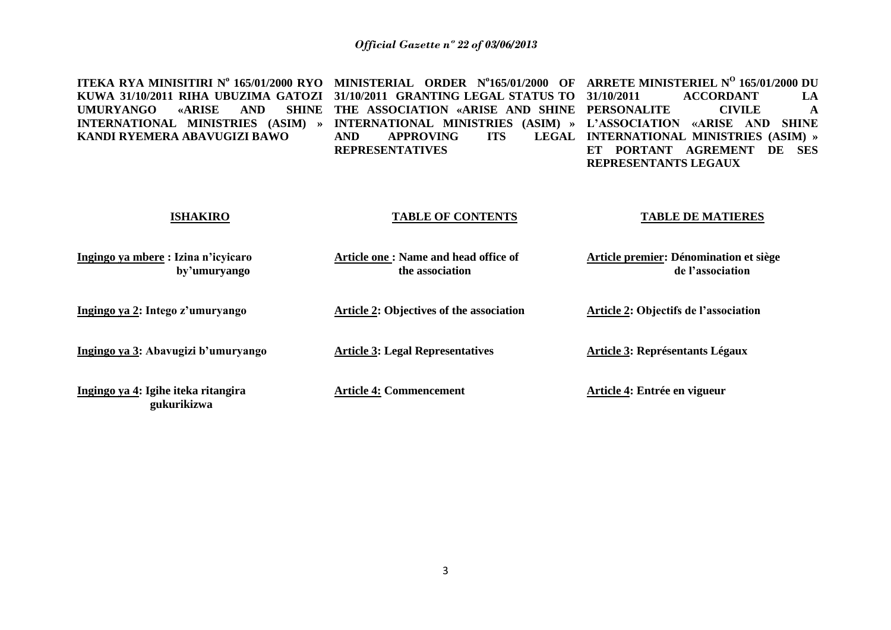| ITEKA RYA MINISITIRI Nº 165/01/2000 RYO<br>KUWA 31/10/2011 RIHA UBUZIMA GATOZI<br><b>AND</b><br><b>SHINE</b><br><b>UMURYANGO</b><br><b>«ARISE</b><br>INTERNATIONAL MINISTRIES (ASIM) »<br>KANDI RYEMERA ABAVUGIZI BAWO | <b>ORDER Nº165/01/2000 OF</b><br><b>MINISTERIAL</b><br>31/10/2011 GRANTING LEGAL STATUS TO<br>THE ASSOCIATION «ARISE AND SHINE<br>INTERNATIONAL MINISTRIES (ASIM) »<br><b>APPROVING</b><br><b>ITS</b><br><b>AND</b><br><b>LEGAL</b><br><b>REPRESENTATIVES</b> | ARRETE MINISTERIEL Nº 165/01/2000 DU<br><b>ACCORDANT</b><br>31/10/2011<br>LA<br><b>CIVILE</b><br><b>PERSONALITE</b><br>A<br><b>SHINE</b><br>L'ASSOCIATION<br>«ARISE<br>AND<br>INTERNATIONAL MINISTRIES (ASIM) »<br><b>PORTANT</b><br><b>AGREMENT</b><br>DE<br><b>SES</b><br>ET<br>REPRESENTANTS LEGAUX |
|------------------------------------------------------------------------------------------------------------------------------------------------------------------------------------------------------------------------|---------------------------------------------------------------------------------------------------------------------------------------------------------------------------------------------------------------------------------------------------------------|--------------------------------------------------------------------------------------------------------------------------------------------------------------------------------------------------------------------------------------------------------------------------------------------------------|
| <b>ISHAKIRO</b>                                                                                                                                                                                                        | <b>TABLE OF CONTENTS</b>                                                                                                                                                                                                                                      | <b>TABLE DE MATIERES</b>                                                                                                                                                                                                                                                                               |
| Ingingo ya mbere: Izina n'icyicaro<br>by'umuryango                                                                                                                                                                     | Article one: Name and head office of<br>the association                                                                                                                                                                                                       | Article premier: Dénomination et siège<br>de l'association                                                                                                                                                                                                                                             |
| Ingingo ya 2: Intego z'umuryango                                                                                                                                                                                       | <b>Article 2: Objectives of the association</b>                                                                                                                                                                                                               | <b>Article 2: Objectifs de l'association</b>                                                                                                                                                                                                                                                           |
| Ingingo ya 3: Abavugizi b'umuryango                                                                                                                                                                                    | <b>Article 3: Legal Representatives</b>                                                                                                                                                                                                                       | <b>Article 3: Représentants Légaux</b>                                                                                                                                                                                                                                                                 |
| Ingingo ya 4: Igihe iteka ritangira<br>gukurikizwa                                                                                                                                                                     | <b>Article 4: Commencement</b>                                                                                                                                                                                                                                | Article 4: Entrée en vigueur                                                                                                                                                                                                                                                                           |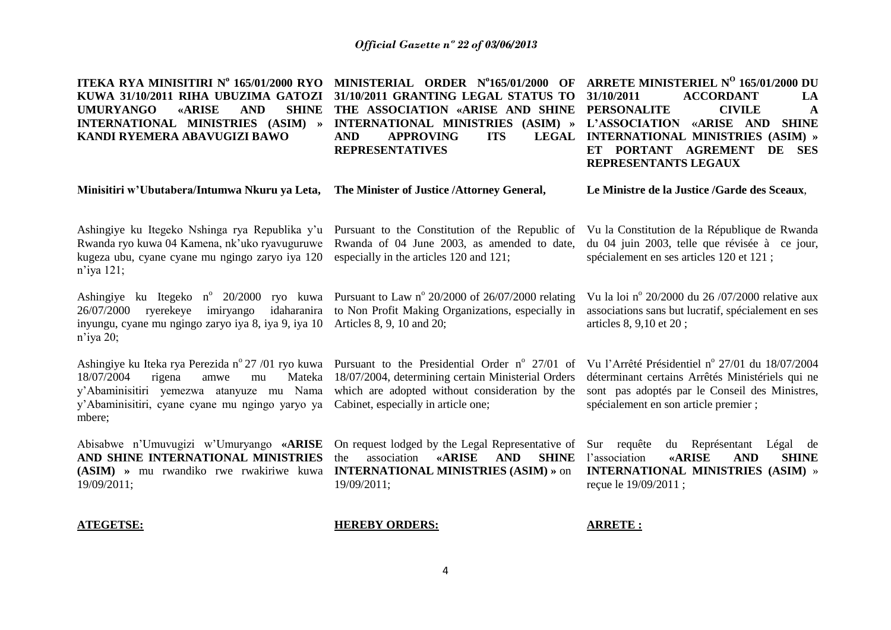| ITEKA RYA MINISITIRI Nº 165/01/2000 RYO<br>KUWA 31/10/2011 RIHA UBUZIMA GATOZI<br><b>UMURYANGO</b><br><b>«ARISE</b><br><b>AND</b><br><b>SHINE</b><br>INTERNATIONAL MINISTRIES (ASIM) »<br>KANDI RYEMERA ABAVUGIZI BAWO                                    | MINISTERIAL ORDER Nº165/01/2000 OF<br>31/10/2011 GRANTING LEGAL STATUS TO<br>THE ASSOCIATION «ARISE AND SHINE<br>INTERNATIONAL MINISTRIES (ASIM) »<br><b>ITS</b><br><b>LEGAL</b><br><b>AND</b><br><b>APPROVING</b><br><b>REPRESENTATIVES</b> | ARRETE MINISTERIEL Nº 165/01/2000 DU<br>31/10/2011<br><b>ACCORDANT</b><br>LA<br><b>PERSONALITE</b><br><b>CIVILE</b><br>$\mathbf A$<br>L'ASSOCIATION «ARISE AND<br><b>SHINE</b><br><b>INTERNATIONAL MINISTRIES (ASIM) »</b><br>ET PORTANT AGREMENT<br>DE SES<br>REPRESENTANTS LEGAUX |
|-----------------------------------------------------------------------------------------------------------------------------------------------------------------------------------------------------------------------------------------------------------|----------------------------------------------------------------------------------------------------------------------------------------------------------------------------------------------------------------------------------------------|-------------------------------------------------------------------------------------------------------------------------------------------------------------------------------------------------------------------------------------------------------------------------------------|
| Minisitiri w'Ubutabera/Intumwa Nkuru ya Leta,                                                                                                                                                                                                             | The Minister of Justice / Attorney General,                                                                                                                                                                                                  | Le Ministre de la Justice /Garde des Sceaux,                                                                                                                                                                                                                                        |
| Ashingiye ku Itegeko Nshinga rya Republika y'u<br>Rwanda ryo kuwa 04 Kamena, nk'uko ryavuguruwe<br>kugeza ubu, cyane cyane mu ngingo zaryo iya 120<br>$n$ 'iya 121;                                                                                       | Pursuant to the Constitution of the Republic of<br>Rwanda of 04 June 2003, as amended to date,<br>especially in the articles 120 and 121;                                                                                                    | Vu la Constitution de la République de Rwanda<br>du 04 juin 2003, telle que révisée à ce jour,<br>spécialement en ses articles 120 et 121 ;                                                                                                                                         |
| Ashingiye ku Itegeko n° 20/2000 ryo kuwa Pursuant to Law n° 20/2000 of 26/07/2000 relating<br>ryerekeye<br>imiryango<br>idaharanira<br>26/07/2000<br>inyungu, cyane mu ngingo zaryo iya 8, iya 9, iya 10<br>$n$ 'iya 20;                                  | to Non Profit Making Organizations, especially in<br>Articles 8, 9, 10 and 20;                                                                                                                                                               | Vu la loi nº 20/2000 du 26/07/2000 relative aux<br>associations sans but lucratif, spécialement en ses<br>articles 8, 9,10 et 20;                                                                                                                                                   |
| Ashingiye ku Iteka rya Perezida n° 27/01 ryo kuwa Pursuant to the Presidential Order n° 27/01 of<br>18/07/2004<br>Mateka<br>rigena<br>amwe<br>mu<br>y'Abaminisitiri yemezwa atanyuze mu Nama<br>y'Abaminisitiri, cyane cyane mu ngingo yaryo ya<br>mbere; | 18/07/2004, determining certain Ministerial Orders<br>which are adopted without consideration by the<br>Cabinet, especially in article one;                                                                                                  | Vu l'Arrêté Présidentiel nº 27/01 du 18/07/2004<br>déterminant certains Arrêtés Ministériels qui ne<br>sont pas adoptés par le Conseil des Ministres,<br>spécialement en son article premier ;                                                                                      |
| Abisabwe n'Umuvugizi w'Umuryango «ARISE<br>AND SHINE INTERNATIONAL MINISTRIES<br>(ASIM) » mu rwandiko rwe rwakiriwe kuwa<br>19/09/2011;                                                                                                                   | On request lodged by the Legal Representative of<br><b>«ARISE</b><br><b>AND</b><br>the<br>association<br><b>SHINE</b><br><b>INTERNATIONAL MINISTRIES (ASIM) » on</b><br>19/09/2011;                                                          | du Représentant<br>Sur requête<br>Légal de<br><b>«ARISE</b><br>l'association<br><b>AND</b><br><b>SHINE</b><br>INTERNATIONAL MINISTRIES (ASIM) »<br>reçue le 19/09/2011;                                                                                                             |
| <b>ATEGETSE:</b>                                                                                                                                                                                                                                          | <b>HEREBY ORDERS:</b>                                                                                                                                                                                                                        | <b>ARRETE:</b>                                                                                                                                                                                                                                                                      |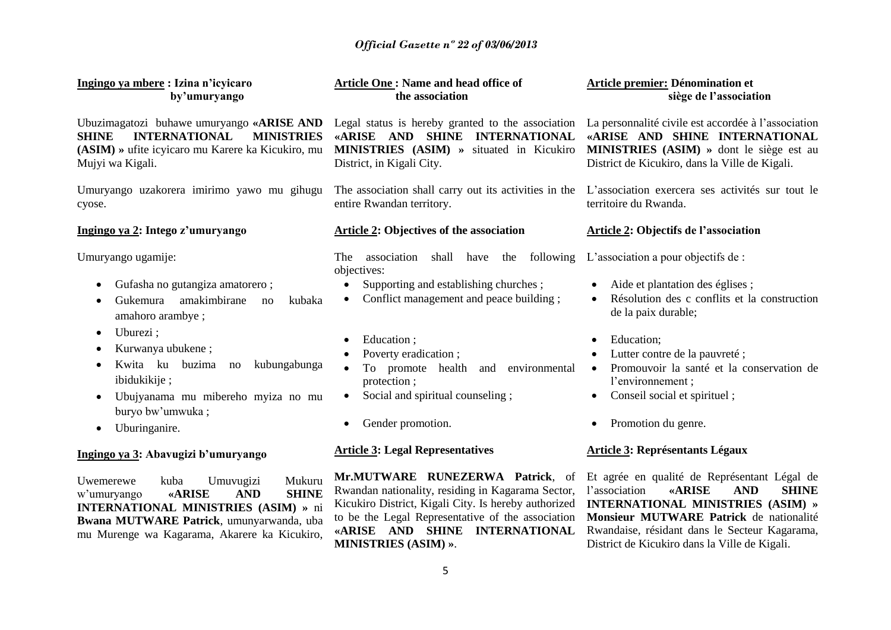## *Official Gazette nº 22 of 03/06/2013*

| Ingingo ya mbere : Izina n'icyicaro<br>by'umuryango                                                                                                                                                                                                                                                                          | Article One: Name and head office of<br>the association                                                                                                                                                                                                                                                                                    | Article premier: Dénomination et<br>siège de l'association                                                                                                                                                                                                                                                                                                  |
|------------------------------------------------------------------------------------------------------------------------------------------------------------------------------------------------------------------------------------------------------------------------------------------------------------------------------|--------------------------------------------------------------------------------------------------------------------------------------------------------------------------------------------------------------------------------------------------------------------------------------------------------------------------------------------|-------------------------------------------------------------------------------------------------------------------------------------------------------------------------------------------------------------------------------------------------------------------------------------------------------------------------------------------------------------|
| Ubuzimagatozi buhawe umuryango «ARISE AND<br><b>INTERNATIONAL</b><br><b>MINISTRIES</b><br><b>SHINE</b><br>(ASIM) » ufite icyicaro mu Karere ka Kicukiro, mu<br>Mujyi wa Kigali.                                                                                                                                              | Legal status is hereby granted to the association<br>«ARISE AND SHINE INTERNATIONAL<br><b>MINISTRIES</b> (ASIM) » situated in Kicukiro<br>District, in Kigali City.                                                                                                                                                                        | La personnalité civile est accordée à l'association<br>«ARISE AND SHINE INTERNATIONAL<br>MINISTRIES (ASIM) » dont le siège est au<br>District de Kicukiro, dans la Ville de Kigali.                                                                                                                                                                         |
| Umuryango uzakorera imirimo yawo mu gihugu<br>cyose.                                                                                                                                                                                                                                                                         | The association shall carry out its activities in the<br>entire Rwandan territory.                                                                                                                                                                                                                                                         | L'association exercera ses activités sur tout le<br>territoire du Rwanda.                                                                                                                                                                                                                                                                                   |
| Ingingo ya 2: Intego z'umuryango                                                                                                                                                                                                                                                                                             | Article 2: Objectives of the association                                                                                                                                                                                                                                                                                                   | Article 2: Objectifs de l'association                                                                                                                                                                                                                                                                                                                       |
| Umuryango ugamije:<br>Gufasha no gutangiza amatorero;<br>٠<br>amakimbirane<br>Gukemura<br>kubaka<br>no<br>amahoro arambye;<br>Uburezi;<br>$\bullet$<br>Kurwanya ubukene;<br>Kwita ku<br>buzima<br>kubungabunga<br>no<br>ibidukikije;<br>Ubujyanama mu mibereho myiza no mu<br>$\bullet$<br>buryo bw'umwuka;<br>Uburinganire. | shall have the following<br><b>The</b><br>association<br>objectives:<br>Supporting and establishing churches;<br>$\bullet$<br>Conflict management and peace building;<br>Education;<br>Poverty eradication;<br>To promote health<br>and environmental<br>protection;<br>Social and spiritual counseling;<br>$\bullet$<br>Gender promotion. | L'association a pour objectifs de :<br>Aide et plantation des églises;<br>$\bullet$<br>Résolution des c conflits et la construction<br>de la paix durable;<br>Education;<br>$\bullet$<br>Lutter contre de la pauvreté;<br>Promouvoir la santé et la conservation de<br>$\bullet$<br>l'environnement;<br>Conseil social et spirituel;<br>Promotion du genre. |
| Ingingo ya 3: Abavugizi b'umuryango                                                                                                                                                                                                                                                                                          | <b>Article 3: Legal Representatives</b>                                                                                                                                                                                                                                                                                                    | <b>Article 3: Représentants Légaux</b>                                                                                                                                                                                                                                                                                                                      |
| Uwemerewe<br>kuba<br>Umuvugizi<br>Mukuru<br><b>«ARISE</b><br><b>AND</b><br><b>SHINE</b><br>w'umuryango<br><b>INTERNATIONAL MINISTRIES (ASIM)</b> » ni<br>Bwana MUTWARE Patrick, umunyarwanda, uba<br>mu Murenge wa Kagarama, Akarere ka Kicukiro,                                                                            | Mr.MUTWARE RUNEZERWA Patrick, of<br>Rwandan nationality, residing in Kagarama Sector,<br>Kicukiro District, Kigali City. Is hereby authorized<br>to be the Legal Representative of the association<br>«ARISE AND SHINE INTERNATIONAL<br>MINISTRIES (ASIM) ».                                                                               | Et agrée en qualité de Représentant Légal de<br>l'association<br><b>«ARISE</b><br><b>AND</b><br><b>SHINE</b><br>INTERNATIONAL MINISTRIES (ASIM) »<br>Monsieur MUTWARE Patrick de nationalité<br>Rwandaise, résidant dans le Secteur Kagarama,<br>District de Kicukiro dans la Ville de Kigali.                                                              |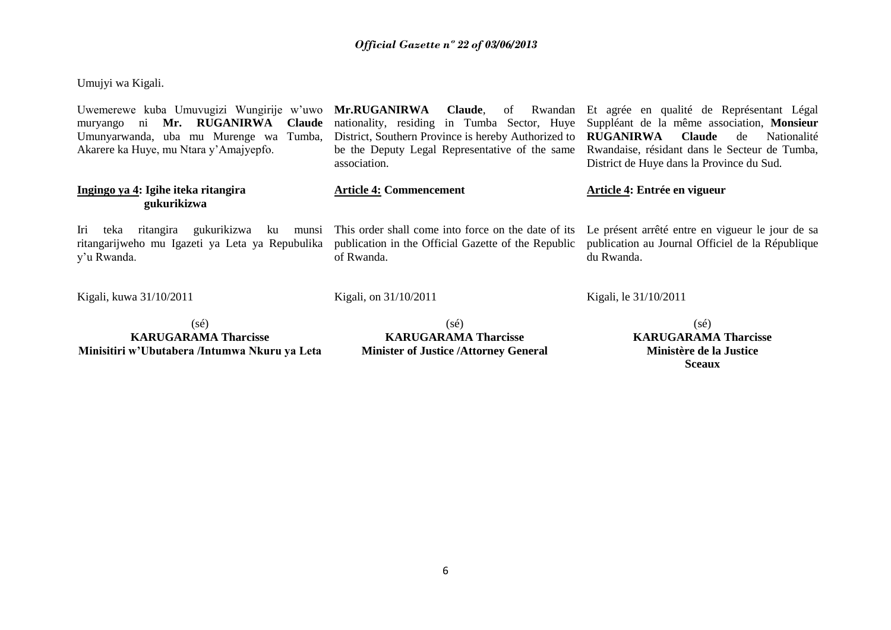### *Official Gazette nº 22 of 03/06/2013*

Umujyi wa Kigali.

| Uwemerewe kuba Umuvugizi Wungirije w'uwo Mr.RUGANIRWA Claude, of Rwandan<br>muryango ni Mr. RUGANIRWA Claude       | nationality, residing in Tumba Sector, Huye                                                                              | Et agrée en qualité de Représentant Légal<br>Suppléant de la même association, Monsieur                                                              |  |
|--------------------------------------------------------------------------------------------------------------------|--------------------------------------------------------------------------------------------------------------------------|------------------------------------------------------------------------------------------------------------------------------------------------------|--|
| Umunyarwanda, uba mu Murenge wa Tumba,<br>Akarere ka Huye, mu Ntara y'Amajyepfo.                                   | District, Southern Province is hereby Authorized to<br>be the Deputy Legal Representative of the same<br>association.    | <b>RUGANIRWA</b><br><b>Claude</b><br>de<br>Nationalité<br>Rwandaise, résidant dans le Secteur de Tumba,<br>District de Huye dans la Province du Sud. |  |
| Ingingo ya 4: Igihe iteka ritangira<br>gukurikizwa                                                                 | <b>Article 4: Commencement</b>                                                                                           | Article 4: Entrée en vigueur                                                                                                                         |  |
| Iri teka<br>gukurikizwa ku<br>ritangira<br>munsi<br>ritangarijweho mu Igazeti ya Leta ya Repubulika<br>y'u Rwanda. | This order shall come into force on the date of its<br>publication in the Official Gazette of the Republic<br>of Rwanda. | Le présent arrêté entre en vigueur le jour de sa<br>publication au Journal Officiel de la République<br>du Rwanda.                                   |  |
| Kigali, kuwa 31/10/2011                                                                                            | Kigali, on 31/10/2011                                                                                                    | Kigali, le 31/10/2011                                                                                                                                |  |
| (sé)<br><b>KARUGARAMA Tharcisse</b>                                                                                | $(s\acute{e})$<br><b>KARUGARAMA Tharcisse</b>                                                                            | $(s\acute{e})$<br><b>KARUGARAMA Tharcisse</b>                                                                                                        |  |

### **Minisitiri w'Ubutabera /Intumwa Nkuru ya Leta**

**Minister of Justice /Attorney General**

**Ministère de la Justice Sceaux**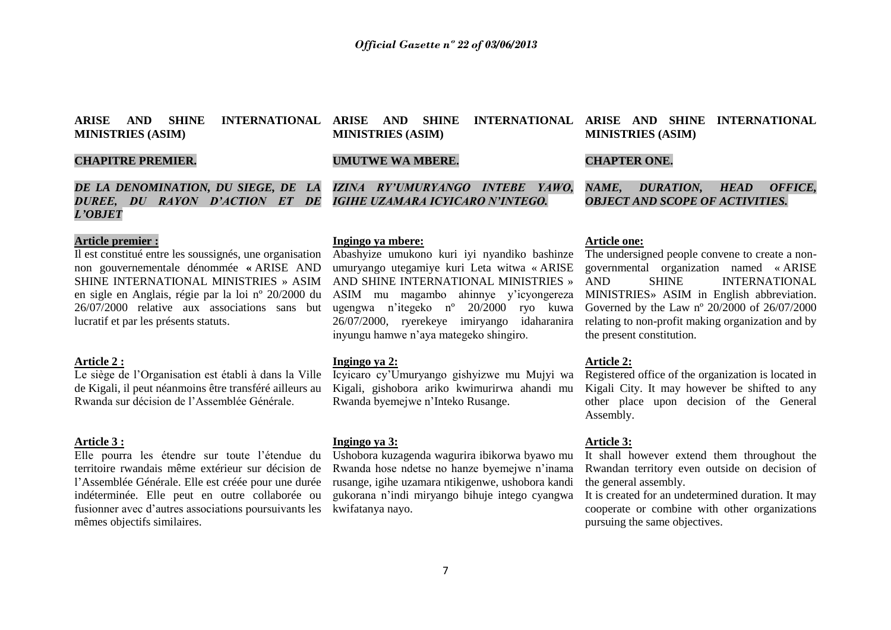### **ARISE AND SHINE MINISTRIES (ASIM)**

### **CHAPITRE PREMIER.**

### *DE LA DENOMINATION, DU SIEGE, DE LA DUREE, DU RAYON D'ACTION ET DE L'OBJET*

### **Article premier :**

Il est constitué entre les soussignés, une organisation non gouvernementale dénommée **«** ARISE AND SHINE INTERNATIONAL MINISTRIES » ASIM en sigle en Anglais, régie par la loi nº 20/2000 du 26/07/2000 relative aux associations sans but lucratif et par les présents statuts.

#### **Article 2 :**

Le siège de l'Organisation est établi à dans la Ville de Kigali, il peut néanmoins être transféré ailleurs au Rwanda sur décision de l'Assemblée Générale.

#### **Article 3 :**

Elle pourra les étendre sur toute l'étendue du territoire rwandais même extérieur sur décision de l'Assemblée Générale. Elle est créée pour une durée indéterminée. Elle peut en outre collaborée ou fusionner avec d'autres associations poursuivants les kwifatanya nayo. mêmes objectifs similaires.

### **Ingingo ya mbere:**

**MINISTRIES (ASIM)**

**UMUTWE WA MBERE.**

Abashyize umukono kuri iyi nyandiko bashinze umuryango utegamiye kuri Leta witwa « ARISE AND SHINE INTERNATIONAL MINISTRIES » ASIM mu magambo ahinnye y'icyongereza ugengwa n'itegeko nº 20/2000 ryo kuwa 26/07/2000, ryerekeye imiryango idaharanira inyungu hamwe n'aya mategeko shingiro.

*IZINA RY'UMURYANGO INTEBE YAWO, IGIHE UZAMARA ICYICARO N'INTEGO.*

#### **Ingingo ya 2:**

Icyicaro cy'Umuryango gishyizwe mu Mujyi wa Kigali, gishobora ariko kwimurirwa ahandi mu Rwanda byemejwe n'Inteko Rusange.

#### **Ingingo ya 3:**

Ushobora kuzagenda wagurira ibikorwa byawo mu Rwanda hose ndetse no hanze byemejwe n'inama rusange, igihe uzamara ntikigenwe, ushobora kandi gukorana n'indi miryango bihuje intego cyangwa

#### **ARISE AND SHINE INTERNATIONAL ARISE AND SHINE INTERNATIONAL MINISTRIES (ASIM)**

### **CHAPTER ONE.**

*NAME, DURATION, HEAD OFFICE, OBJECT AND SCOPE OF ACTIVITIES.*

#### **Article one:**

The undersigned people convene to create a nongovernmental organization named « ARISE AND SHINE INTERNATIONAL MINISTRIES» ASIM in English abbreviation. Governed by the Law nº 20/2000 of 26/07/2000 relating to non-profit making organization and by the present constitution.

#### **Article 2:**

Registered office of the organization is located in Kigali City. It may however be shifted to any other place upon decision of the General Assembly.

#### **Article 3:**

It shall however extend them throughout the Rwandan territory even outside on decision of the general assembly.

It is created for an undetermined duration. It may cooperate or combine with other organizations pursuing the same objectives.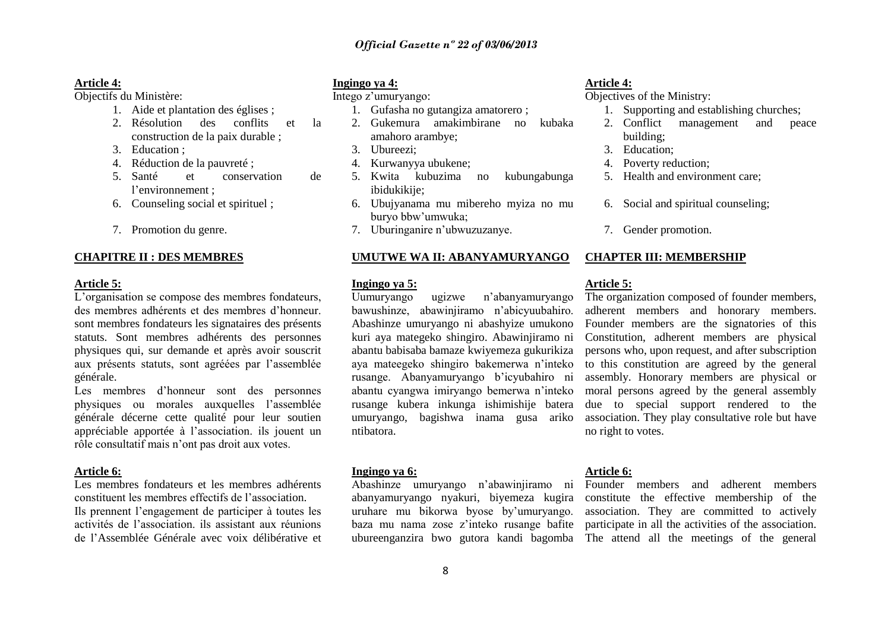#### **Article 4:**

Objectifs du Ministère:

- 1. Aide et plantation des églises ;
- 2. Résolution des conflits et la construction de la paix durable ;
- 3. Education ;
- 4. Réduction de la pauvreté ;
- 5. Santé et conservation de l'environnement ;
- 6. Counseling social et spirituel ;
- 7. Promotion du genre.

#### **CHAPITRE II : DES MEMBRES**

#### **Article 5:**

L'organisation se compose des membres fondateurs, des membres adhérents et des membres d'honneur. sont membres fondateurs les signataires des présents statuts. Sont membres adhérents des personnes physiques qui, sur demande et après avoir souscrit aux présents statuts, sont agréées par l'assemblée générale.

Les membres d'honneur sont des personnes physiques ou morales auxquelles l'assemblée générale décerne cette qualité pour leur soutien appréciable apportée à l'association. ils jouent un rôle consultatif mais n'ont pas droit aux votes.

#### **Article 6:**

Les membres fondateurs et les membres adhérents constituent les membres effectifs de l'association. Ils prennent l'engagement de participer à toutes les

activités de l'association. ils assistant aux réunions de l'Assemblée Générale avec voix délibérative et

#### **Ingingo ya 4:**

Intego z'umuryango:

- 1. Gufasha no gutangiza amatorero ;
- 2. Gukemura amakimbirane no kubaka amahoro arambye;
- 3. Ubureezi;
- 4. Kurwanyya ubukene;
- 5. Kwita kubuzima no kubungabunga ibidukikije:
- 6. Ubujyanama mu mibereho myiza no mu buryo bbw'umwuka;
- 7. Uburinganire n'ubwuzuzanye.

#### **UMUTWE WA II: ABANYAMURYANGO**

#### **Ingingo ya 5:**

Uumuryango ugizwe n'abanyamuryango bawushinze, abawinjiramo n'abicyuubahiro. Abashinze umuryango ni abashyize umukono kuri aya mategeko shingiro. Abawinjiramo ni abantu babisaba bamaze kwiyemeza gukurikiza aya mateegeko shingiro bakemerwa n'inteko rusange. Abanyamuryango b'icyubahiro ni abantu cyangwa imiryango bemerwa n'inteko rusange kubera inkunga ishimishije batera umuryango, bagishwa inama gusa ariko ntibatora.

#### **Ingingo ya 6:**

abanyamuryango nyakuri, biyemeza kugira uruhare mu bikorwa byose by'umuryango.

#### **Article 4:**

Objectives of the Ministry:

- 1. Supporting and establishing churches;
- 2. Conflict management and peace building;
- 3. Education;
- 4. Poverty reduction;
- 5. Health and environment care;
- 6. Social and spiritual counseling;
- 7. Gender promotion.

#### **CHAPTER III: MEMBERSHIP**

#### **Article 5:**

The organization composed of founder members, adherent members and honorary members. Founder members are the signatories of this Constitution, adherent members are physical persons who, upon request, and after subscription to this constitution are agreed by the general assembly. Honorary members are physical or moral persons agreed by the general assembly due to special support rendered to the association. They play consultative role but have no right to votes.

#### **Article 6:**

Abashinze umuryango n'abawinjiramo ni Founder members and adherent members baza mu nama zose z'inteko rusange bafite participate in all the activities of the association. ubureenganzira bwo gutora kandi bagomba The attend all the meetings of the general constitute the effective membership of the association. They are committed to actively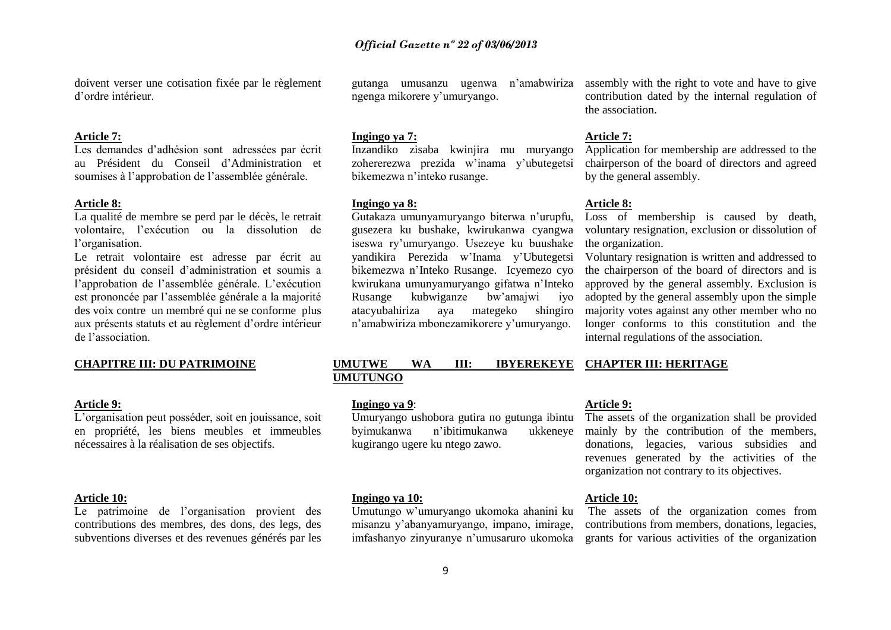doivent verser une cotisation fixée par le règlement d'ordre intérieur.

#### **Article 7:**

Les demandes d'adhésion sont adressées par écrit au Président du Conseil d'Administration et soumises à l'approbation de l'assemblée générale.

#### **Article 8:**

La qualité de membre se perd par le décès, le retrait volontaire, l'exécution ou la dissolution de l'organisation.

Le retrait volontaire est adresse par écrit au président du conseil d'administration et soumis a l'approbation de l'assemblée générale. L'exécution est prononcée par l'assemblée générale a la majorité des voix contre un membré qui ne se conforme plus aux présents statuts et au règlement d'ordre intérieur de l'association.

### **CHAPITRE III: DU PATRIMOINE**

#### **Article 9:**

L'organisation peut posséder, soit en jouissance, soit en propriété, les biens meubles et immeubles nécessaires à la réalisation de ses objectifs.

#### **Article 10:**

Le patrimoine de l'organisation provient des contributions des membres, des dons, des legs, des subventions diverses et des revenues générés par les

gutanga umusanzu ugenwa ngenga mikorere y'umuryango.

#### **Ingingo ya 7:**

Inzandiko zisaba kwinjira mu muryango zohererezwa prezida w'inama y'ubutegetsi bikemezwa n'inteko rusange.

#### **Ingingo ya 8:**

Gutakaza umunyamuryango biterwa n'urupfu, gusezera ku bushake, kwirukanwa cyangwa iseswa ry'umuryango. Usezeye ku buushake yandikira Perezida w'Inama y'Ubutegetsi bikemezwa n'Inteko Rusange. Icyemezo cyo kwirukana umunyamuryango gifatwa n'Inteko Rusange kubwiganze bw'amajwi iyo atacyubahiriza aya mategeko shingiro n'amabwiriza mbonezamikorere y'umuryango.

n'amabwiriza assembly with the right to vote and have to give contribution dated by the internal regulation of the association.

#### **Article 7:**

Application for membership are addressed to the chairperson of the board of directors and agreed by the general assembly.

#### **Article 8:**

Loss of membership is caused by death, voluntary resignation, exclusion or dissolution of the organization.

Voluntary resignation is written and addressed to the chairperson of the board of directors and is approved by the general assembly. Exclusion is adopted by the general assembly upon the simple majority votes against any other member who no longer conforms to this constitution and the internal regulations of the association.

#### **UMUTWE WA III: IBYEREKEYE CHAPTER III: HERITAGE UMUTUNGO**

#### **Ingingo ya 9**:

Umuryango ushobora gutira no gutunga ibintu byimukanwa n'ibitimukanwa ukkeneye kugirango ugere ku ntego zawo.

#### **Ingingo ya 10:**

Umutungo w'umuryango ukomoka ahanini ku misanzu y'abanyamuryango, impano, imirage,

### **Article 9:**

The assets of the organization shall be provided mainly by the contribution of the members, donations, legacies, various subsidies and revenues generated by the activities of the organization not contrary to its objectives.

#### **Article 10:**

imfashanyo zinyuranye n'umusaruro ukomoka grants for various activities of the organization The assets of the organization comes from contributions from members, donations, legacies,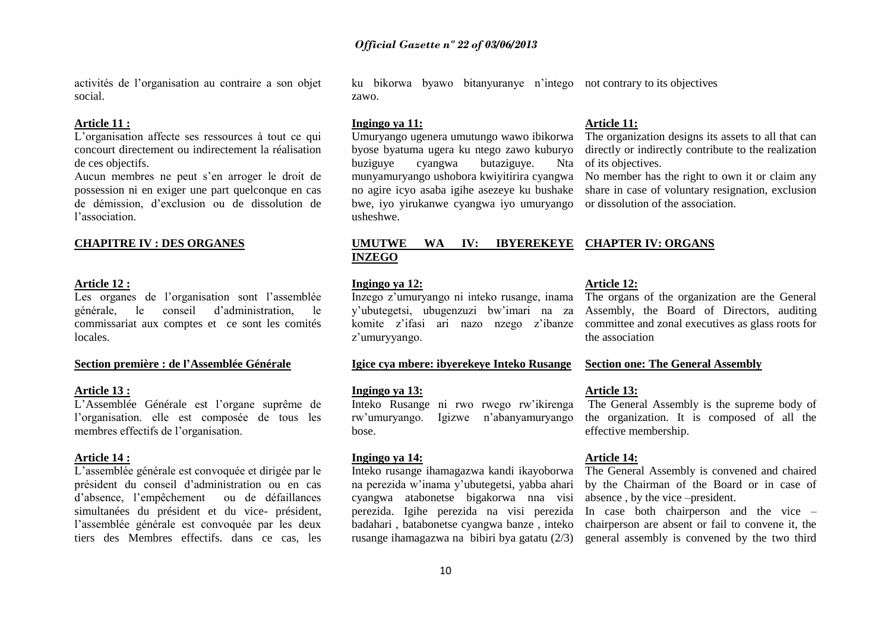activités de l'organisation au contraire a son objet social.

#### **Article 11 :**

L'organisation affecte ses ressources à tout ce qui concourt directement ou indirectement la réalisation de ces objectifs.

Aucun membres ne peut s'en arroger le droit de possession ni en exiger une part quelconque en cas de démission, d'exclusion ou de dissolution de l'association.

#### **CHAPITRE IV : DES ORGANES**

#### **Article 12 :**

Les organes de l'organisation sont l'assemblée générale, le conseil d'administration, le commissariat aux comptes et ce sont les comités locales.

#### **Section première : de l'Assemblée Générale**

#### **Article 13 :**

L'Assemblée Générale est l'organe suprême de l'organisation. elle est composée de tous les membres effectifs de l'organisation.

#### **Article 14 :**

L'assemblée générale est convoquée et dirigée par le président du conseil d'administration ou en cas d'absence, l'empêchement ou de défaillances simultanées du président et du vice- président, l'assemblée générale est convoquée par les deux tiers des Membres effectifs, dans ce cas, les

ku bikorwa byawo bitanyuranye n'intego not contrary to its objectives zawo.

#### **Ingingo ya 11:**

Umuryango ugenera umutungo wawo ibikorwa byose byatuma ugera ku ntego zawo kuburyo buziguye cyangwa butaziguye. Nta munyamuryango ushobora kwiyitirira cyangwa No member has the right to own it or claim any no agire icyo asaba igihe asezeye ku bushake bwe, iyo yirukanwe cyangwa iyo umuryango usheshwe.

#### **Article 11:**

The organization designs its assets to all that can directly or indirectly contribute to the realization of its objectives.

share in case of voluntary resignation, exclusion or dissolution of the association.

### **UMUTWE WA IV: IBYEREKEYE CHAPTER IV: ORGANS INZEGO**

#### **Ingingo ya 12:**

Inzego z'umuryango ni inteko rusange, inama y'ubutegetsi, ubugenzuzi bw'imari na za komite z'ifasi ari nazo nzego z'ibanze z'umuryyango.

#### **Igice cya mbere: ibyerekeye Inteko Rusange**

#### **Ingingo ya 13:**

Inteko Rusange ni rwo rwego rw'ikirenga rw'umuryango. Igizwe n'abanyamuryango bose.

#### **Ingingo ya 14:**

Inteko rusange ihamagazwa kandi ikayoborwa na perezida w'inama y'ubutegetsi, yabba ahari cyangwa atabonetse bigakorwa nna visi perezida. Igihe perezida na visi perezida badahari , batabonetse cyangwa banze , inteko rusange ihamagazwa na bibiri bya gatatu (2/3)

#### **Article 12:**

The organs of the organization are the General Assembly, the Board of Directors, auditing committee and zonal executives as glass roots for the association

#### **Section one: The General Assembly**

#### **Article 13:**

The General Assembly is the supreme body of the organization. It is composed of all the effective membership.

#### **Article 14:**

The General Assembly is convened and chaired by the Chairman of the Board or in case of absence , by the vice –president.

In case both chairperson and the vice – chairperson are absent or fail to convene it, the general assembly is convened by the two third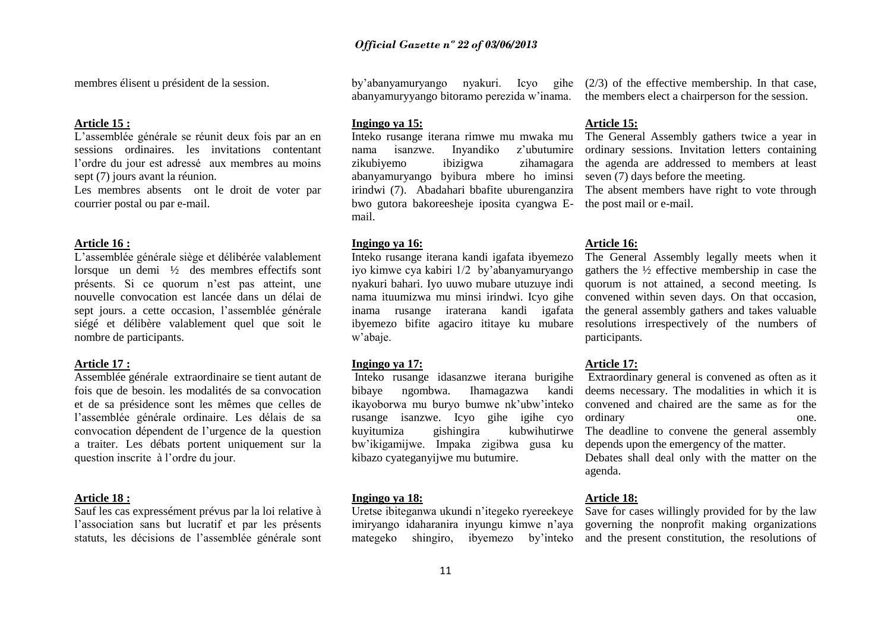membres élisent u président de la session.

#### **Article 15 :**

L'assemblée générale se réunit deux fois par an en sessions ordinaires. les invitations contentant l'ordre du jour est adressé aux membres au moins sept (7) jours avant la réunion.

Les membres absents ont le droit de voter par courrier postal ou par e-mail.

#### **Article 16 :**

L'assemblée générale siège et délibérée valablement lorsque un demi ½ des membres effectifs sont présents. Si ce quorum n'est pas atteint, une nouvelle convocation est lancée dans un délai de sept jours. a cette occasion, l'assemblée générale siégé et délibère valablement quel que soit le nombre de participants.

#### **Article 17 :**

Assemblée générale extraordinaire se tient autant de fois que de besoin. les modalités de sa convocation et de sa présidence sont les mêmes que celles de l'assemblée générale ordinaire. Les délais de sa convocation dépendent de l'urgence de la question a traiter. Les débats portent uniquement sur la question inscrite à l'ordre du jour.

#### **Article 18 :**

Sauf les cas expressément prévus par la loi relative à l'association sans but lucratif et par les présents statuts, les décisions de l'assemblée générale sont

#### **Ingingo ya 15:**

Inteko rusange iterana rimwe mu mwaka mu nama isanzwe. Inyandiko z'ubutumire zikubiyemo ibizigwa zihamagara abanyamuryango byibura mbere ho iminsi irindwi (7). Abadahari bbafite uburenganzira bwo gutora bakoreesheje iposita cyangwa Email.

#### **Ingingo ya 16:**

Inteko rusange iterana kandi igafata ibyemezo iyo kimwe cya kabiri 1/2 by'abanyamuryango nyakuri bahari. Iyo uuwo mubare utuzuye indi nama ituumizwa mu minsi irindwi. Icyo gihe inama rusange iraterana kandi igafata ibyemezo bifite agaciro ititaye ku mubare w'abaje.

#### **Ingingo ya 17:**

Inteko rusange idasanzwe iterana burigihe bibaye ngombwa. Ihamagazwa kandi ikayoborwa mu buryo bumwe nk'ubw'inteko kuyitumiza gishingira kubwihutirwe The deadline to convene the general assembly bw'ikigamijwe. Impaka zigibwa gusa ku depends upon the emergency of the matter. kibazo cyateganyijwe mu butumire.

#### **Ingingo ya 18:**

Uretse ibiteganwa ukundi n'itegeko ryereekeye Save for cases willingly provided for by the law

by'abanyamuryango nyakuri. Icyo gihe (2/3) of the effective membership. In that case, abanyamuryyango bitoramo perezida w'inama. the members elect a chairperson for the session.

#### **Article 15:**

The General Assembly gathers twice a year in ordinary sessions. Invitation letters containing the agenda are addressed to members at least seven (7) days before the meeting.

The absent members have right to vote through the post mail or e-mail.

#### **Article 16:**

The General Assembly legally meets when it gathers the ½ effective membership in case the quorum is not attained, a second meeting. Is convened within seven days. On that occasion, the general assembly gathers and takes valuable resolutions irrespectively of the numbers of participants.

#### **Article 17:**

rusange isanzwe. Icyo gihe igihe cyo ordinary one. Extraordinary general is convened as often as it deems necessary. The modalities in which it is convened and chaired are the same as for the

Debates shall deal only with the matter on the agenda.

#### **Article 18:**

imiryango idaharanira inyungu kimwe n'aya governing the nonprofit making organizations mategeko shingiro, ibyemezo by'inteko and the present constitution, the resolutions of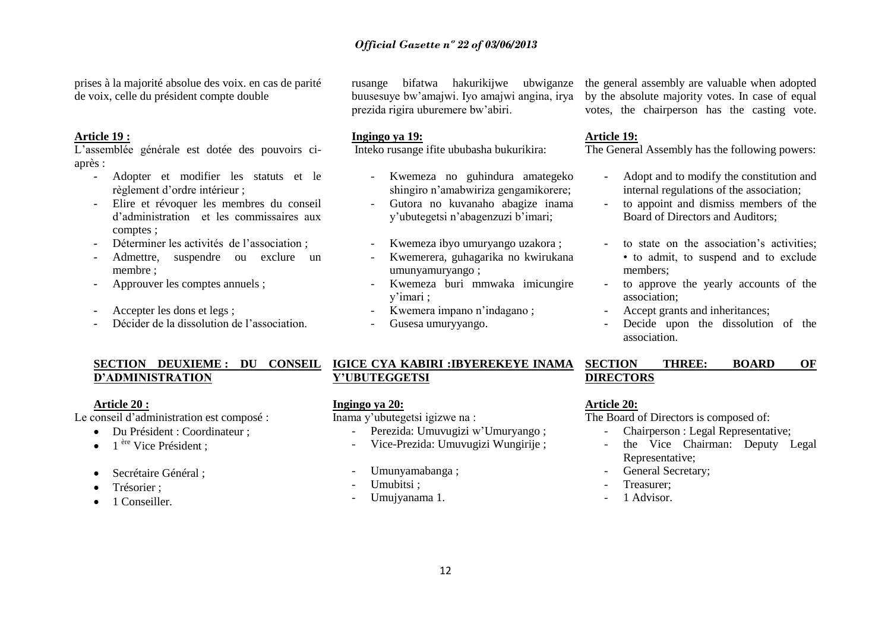prises à la majorité absolue des voix. en cas de parité de voix, celle du président compte double

#### **Article 19 :**

L'assemblée générale est dotée des pouvoirs ciaprès :

- **-** Adopter et modifier les statuts et le règlement d'ordre intérieur ;
- **-** Elire et révoquer les membres du conseil d'administration et les commissaires aux comptes ;
- **-** Déterminer les activités de l'association ;
- **-** Admettre, suspendre ou exclure un membre ;
- **-** Approuver les comptes annuels ;
- **-** Accepter les dons et legs ;
- **-** Décider de la dissolution de l'association.

buusesuye bw'amajwi. Iyo amajwi angina, irya prezida rigira uburemere bw'abiri.

#### **Ingingo ya 19:**

Inteko rusange ifite ububasha bukurikira:

- Kwemeza no guhindura amategeko shingiro n'amabwiriza gengamikorere;
- Gutora no kuvanaho abagize inama y'ubutegetsi n'abagenzuzi b'imari;
- Kwemeza ibyo umuryango uzakora ;
- Kwemerera, guhagarika no kwirukana umunyamuryango ;
- Kwemeza buri mmwaka imicungire y'imari ;
- Kwemera impano n'indagano ;
- Gusesa umuryyango.

### rusange bifatwa hakurikijwe ubwiganze the general assembly are valuable when adopted by the absolute majority votes. In case of equal votes, the chairperson has the casting vote.

#### **Article 19:**

The General Assembly has the following powers:

- **-** Adopt and to modify the constitution and internal regulations of the association;
- **-** to appoint and dismiss members of the Board of Directors and Auditors;
- **-** to state on the association's activities; • to admit, to suspend and to exclude members;
- **-** to approve the yearly accounts of the association;
- **-** Accept grants and inheritances;
- **-** Decide upon the dissolution of the association.

# **D'ADMINISTRATION**

### **Article 20 :**

Le conseil d'administration est composé :

- Du Président : Coordinateur ;
- 1<sup>ère</sup> Vice Président :
- Secrétaire Général ;
- Trésorier ;
- 1 Conseiller.

### **SECTION DEUXIEME : DU CONSEIL IGICE CYA KABIRI :IBYEREKEYE INAMA SECTION THREE: BOARD OF Y'UBUTEGGETSI**

### **Ingingo ya 20:**

Inama y'ubutegetsi igizwe na :

- Perezida: Umuvugizi w'Umuryango ;
- Vice-Prezida: Umuvugizi Wungirije ;
- Umunyamabanga ;
- Umubitsi ;
- Umujyanama 1.

# **DIRECTORS**

### **Article 20:**

The Board of Directors is composed of:

- Chairperson : Legal Representative;
- the Vice Chairman: Deputy Legal Representative;
- General Secretary;
- Treasurer:
- 1 Advisor.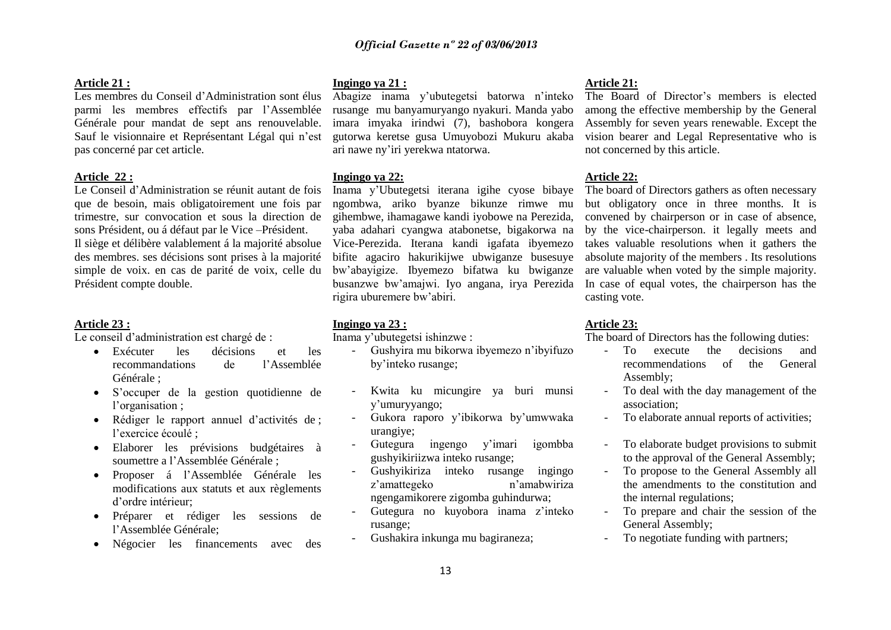#### **Article 21 :**

### Les membres du Conseil d'Administration sont élus parmi les membres effectifs par l'Assemblée Générale pour mandat de sept ans renouvelable. Sauf le visionnaire et Représentant Légal qui n'est pas concerné par cet article.

#### **Article 22 :**

Le Conseil d'Administration se réunit autant de fois que de besoin, mais obligatoirement une fois par trimestre, sur convocation et sous la direction de sons Président, ou á défaut par le Vice –Président. Il siège et délibère valablement á la majorité absolue des membres. ses décisions sont prises à la majorité simple de voix. en cas de parité de voix, celle du Président compte double.

#### **Article 23 :**

Le conseil d'administration est chargé de :

- Exécuter les décisions et les recommandations de l'Assemblée Générale ;
- S'occuper de la gestion quotidienne de l'organisation ;
- Rédiger le rapport annuel d'activités de ; l'exercice écoulé ;
- Elaborer les prévisions budgétaires à soumettre a l'Assemblée Générale ;
- Proposer á l'Assemblée Générale les modifications aux statuts et aux règlements d'ordre intérieur;
- Préparer et rédiger les sessions de l'Assemblée Générale;
- Négocier les financements avec des

**Ingingo ya 21 :** 

Abagize inama y'ubutegetsi batorwa n'inteko rusange mu banyamuryango nyakuri. Manda yabo imara imyaka irindwi (7), bashobora kongera gutorwa keretse gusa Umuyobozi Mukuru akaba ari nawe ny'iri yerekwa ntatorwa.

#### **Ingingo ya 22:**

Inama y'Ubutegetsi iterana igihe cyose bibaye ngombwa, ariko byanze bikunze rimwe mu gihembwe, ihamagawe kandi iyobowe na Perezida, yaba adahari cyangwa atabonetse, bigakorwa na Vice-Perezida. Iterana kandi igafata ibyemezo bifite agaciro hakurikijwe ubwiganze busesuye bw'abayigize. Ibyemezo bifatwa ku bwiganze busanzwe bw'amajwi. Iyo angana, irya Perezida rigira uburemere bw'abiri.

#### **Ingingo ya 23 :**

Inama y'ubutegetsi ishinzwe :

- Gushyira mu bikorwa ibyemezo n'ibyifuzo by'inteko rusange;
- Kwita ku micungire ya buri munsi y'umuryyango;
- Gukora raporo y'ibikorwa by'umwwaka urangiye;
- Gutegura ingengo y'imari igombba gushyikiriizwa inteko rusange;
- Gushyikiriza inteko rusange ingingo z'amattegeko n'amabwiriza ngengamikorere zigomba guhindurwa;
- Gutegura no kuyobora inama z'inteko rusange;
- Gushakira inkunga mu bagiraneza;

#### **Article 21:**

The Board of Director's members is elected among the effective membership by the General Assembly for seven years renewable. Except the vision bearer and Legal Representative who is not concerned by this article.

#### **Article 22:**

The board of Directors gathers as often necessary but obligatory once in three months. It is convened by chairperson or in case of absence, by the vice-chairperson. it legally meets and takes valuable resolutions when it gathers the absolute majority of the members . Its resolutions are valuable when voted by the simple majority. In case of equal votes, the chairperson has the casting vote.

#### **Article 23:**

The board of Directors has the following duties:

- To execute the decisions and recommendations of the General Assembly;
- To deal with the day management of the association;
- To elaborate annual reports of activities:
- To elaborate budget provisions to submit to the approval of the General Assembly;
- To propose to the General Assembly all the amendments to the constitution and the internal regulations;
- To prepare and chair the session of the General Assembly;
- To negotiate funding with partners;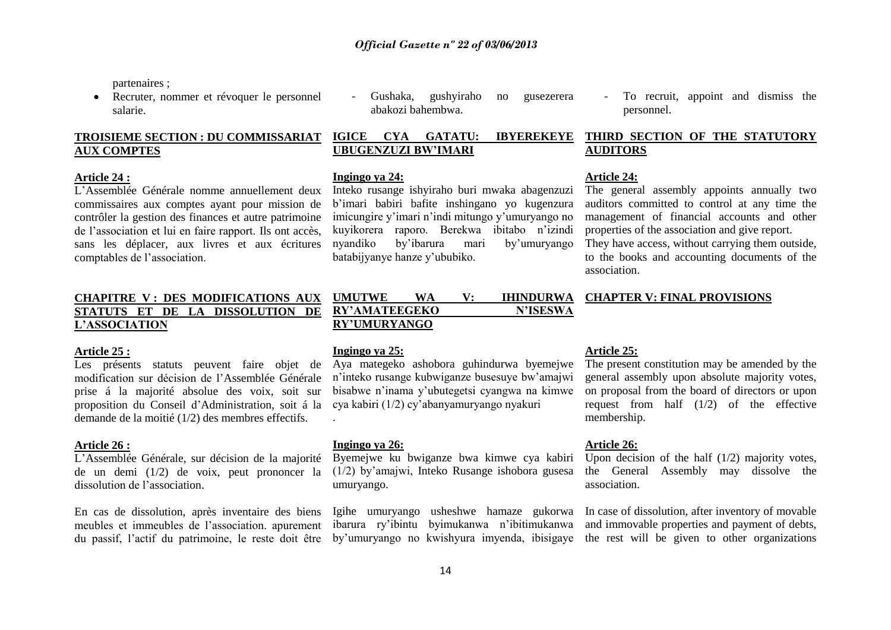partenaires ;

 Recruter, nommer et révoquer le personnel salarie.

### **TROISIEME SECTION : DU COMMISSARIAT AUX COMPTES**

#### **Article 24 :**

L'Assemblée Générale nomme annuellement deux commissaires aux comptes ayant pour mission de contrôler la gestion des finances et autre patrimoine de l'association et lui en faire rapport. Ils ont accès, sans les déplacer, aux livres et aux écritures comptables de l'association.

### **CHAPITRE V : DES MODIFICATIONS AUX STATUTS ET DE LA DISSOLUTION DE L'ASSOCIATION**

#### **Article 25 :**

Les présents statuts peuvent faire objet de modification sur décision de l'Assemblée Générale prise á la majorité absolue des voix, soit sur proposition du Conseil d'Administration, soit á la demande de la moitié (1/2) des membres effectifs.

#### **Article 26 :**

L'Assemblée Générale, sur décision de la majorité de un demi (1/2) de voix, peut prononcer la dissolution de l'association.

En cas de dissolution, après inventaire des biens meubles et immeubles de l'association. apurement du passif, l'actif du patrimoine, le reste doit être

- Gushaka, gushyiraho no gusezerera abakozi bahembwa.
- To recruit, appoint and dismiss the personnel.

### **IGICE CYA GATATU: IBYEREKEYE UBUGENZUZI BW'IMARI**

#### **Ingingo ya 24:**

Inteko rusange ishyiraho buri mwaka abagenzuzi b'imari babiri bafite inshingano yo kugenzura imicungire y'imari n'indi mitungo y'umuryango no kuyikorera raporo. Berekwa ibitabo n'izindi nyandiko by'ibarura mari by'umuryango batabijyanye hanze y'ububiko.

### **THIRD SECTION OF THE STATUTORY AUDITORS**

#### **Article 24:**

The general assembly appoints annually two auditors committed to control at any time the management of financial accounts and other properties of the association and give report.

They have access, without carrying them outside, to the books and accounting documents of the association.

### **UMUTWE WA V: IHINDURWA CHAPTER V: FINAL PROVISIONS**

#### **Ingingo ya 25:**

**RY'UMURYANGO**

Aya mategeko ashobora guhindurwa byemejwe n'inteko rusange kubwiganze busesuye bw'amajwi bisabwe n'inama y'ubutegetsi cyangwa na kimwe cya kabiri (1/2) cy'abanyamuryango nyakuri .

RY'AMATEEGEKO N'ISESWA

#### **Ingingo ya 26:**

Byemejwe ku bwiganze bwa kimwe cya kabiri (1/2) by'amajwi, Inteko Rusange ishobora gusesa umuryango.

#### **Article 25:**

The present constitution may be amended by the general assembly upon absolute majority votes, on proposal from the board of directors or upon request from half (1/2) of the effective membership.

#### **Article 26:**

Upon decision of the half (1/2) majority votes, the General Assembly may dissolve the association.

Igihe umuryango usheshwe hamaze gukorwa In case of dissolution, after inventory of movable ibarura ry'ibintu byimukanwa n'ibitimukanwa and immovable properties and payment of debts, by'umuryango no kwishyura imyenda, ibisigaye the rest will be given to other organizations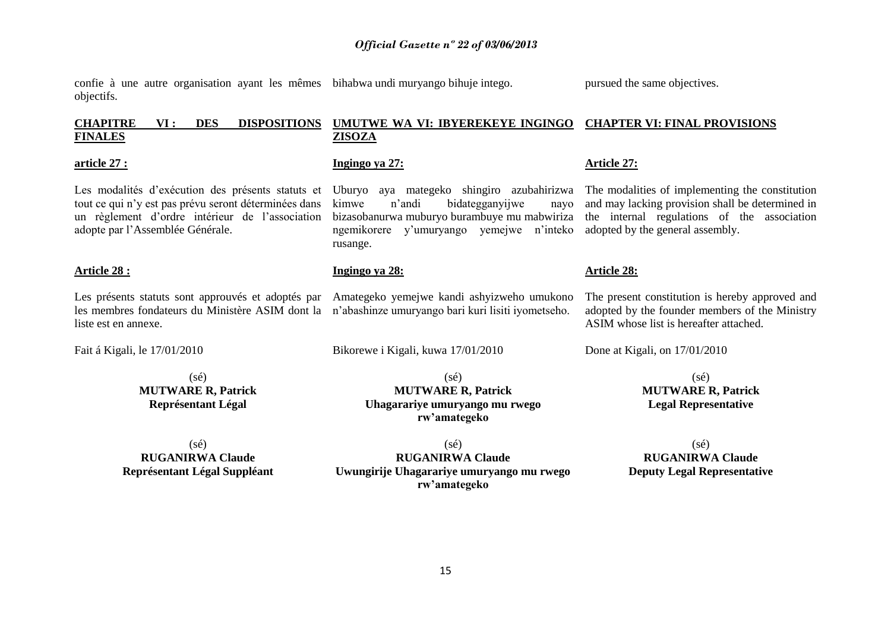confie à une autre organisation ayant les mêmes bihabwa undi muryango bihuje intego. objectifs.

**Ingingo ya 27:** 

rusange.

**Ingingo ya 28:** 

#### **CHAPITRE VI : DES DISPOSITIONS FINALES UMUTWE WA VI: IBYEREKEYE INGINGO CHAPTER VI: FINAL PROVISIONS ZISOZA**

#### **article 27 :**

Les modalités d'exécution des présents statuts et Uburyo aya mategeko shingiro azubahirizwa The modalities of implementing the constitution tout ce qui n'y est pas prévu seront déterminées dans un règlement d'ordre intérieur de l'association adopte par l'Assemblée Générale.

### **Article 28 :**

Les présents statuts sont approuvés et adoptés par les membres fondateurs du Ministère ASIM dont la n'abashinze umuryango bari kuri lisiti iyometseho. liste est en annexe.

Fait á Kigali, le 17/01/2010

(sé) **MUTWARE R, Patrick Représentant Légal**

(sé) **RUGANIRWA Claude Représentant Légal Suppléant**

 $(sé)$ **RUGANIRWA Claude Uwungirije Uhagarariye umuryango mu rwego rw'amategeko**

 $(sé)$ 

**rw'amategeko**

Amategeko yemejwe kandi ashyizweho umukono

kimwe n'andi bidategganyijwe nayo bizasobanurwa muburyo burambuye mu mabwiriza the internal regulations of the association ngemikorere y'umuryango yemejwe n'inteko and may lacking provision shall be determined in adopted by the general assembly.

### **Article 28:**

**Article 27:**

The present constitution is hereby approved and adopted by the founder members of the Ministry ASIM whose list is hereafter attached.

Done at Kigali, on 17/01/2010

 $(sé)$ **MUTWARE R, Patrick Legal Representative**

 $(sé)$ **RUGANIRWA Claude Deputy Legal Representative**

### **MUTWARE R, Patrick Uhagarariye umuryango mu rwego**

Bikorewe i Kigali, kuwa 17/01/2010

pursued the same objectives.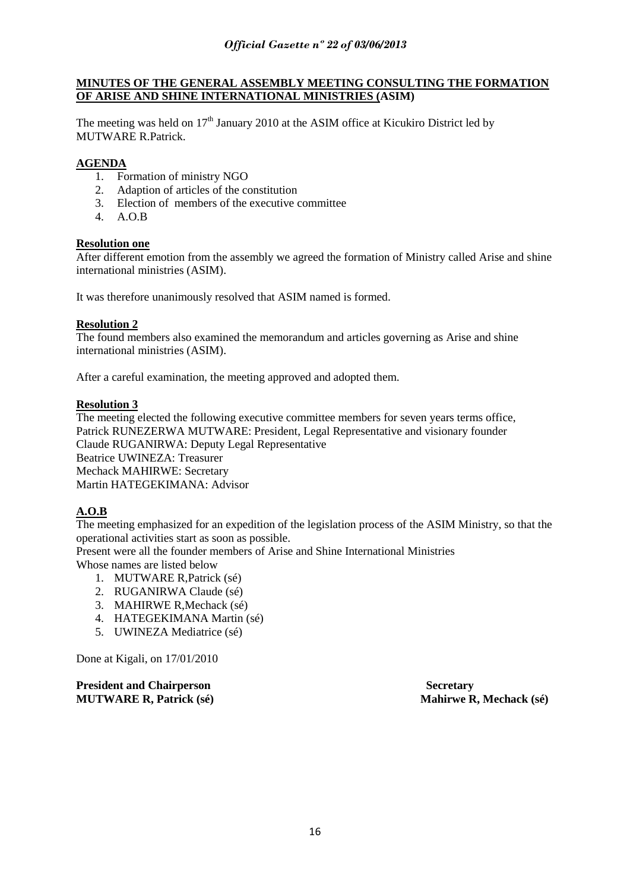### **MINUTES OF THE GENERAL ASSEMBLY MEETING CONSULTING THE FORMATION OF ARISE AND SHINE INTERNATIONAL MINISTRIES (ASIM)**

The meeting was held on  $17<sup>th</sup>$  January 2010 at the ASIM office at Kicukiro District led by MUTWARE R. Patrick

### **AGENDA**

- 1. Formation of ministry NGO
- 2. Adaption of articles of the constitution
- 3. Election of members of the executive committee
- $4 \overline{A}$   $\overline{O}$   $\overline{B}$

### **Resolution one**

After different emotion from the assembly we agreed the formation of Ministry called Arise and shine international ministries (ASIM).

It was therefore unanimously resolved that ASIM named is formed.

### **Resolution 2**

The found members also examined the memorandum and articles governing as Arise and shine international ministries (ASIM).

After a careful examination, the meeting approved and adopted them.

### **Resolution 3**

The meeting elected the following executive committee members for seven years terms office, Patrick RUNEZERWA MUTWARE: President, Legal Representative and visionary founder Claude RUGANIRWA: Deputy Legal Representative Beatrice UWINEZA: Treasurer Mechack MAHIRWE: Secretary Martin HATEGEKIMANA: Advisor

### **A.O.B**

The meeting emphasized for an expedition of the legislation process of the ASIM Ministry, so that the operational activities start as soon as possible.

Present were all the founder members of Arise and Shine International Ministries Whose names are listed below

- 1. MUTWARE R,Patrick (sé)
- 2. RUGANIRWA Claude (sé)
- 3. MAHIRWE R,Mechack (sé)
- 4. HATEGEKIMANA Martin (sé)
- 5. UWINEZA Mediatrice (sé)

Done at Kigali, on 17/01/2010

**President and Chairperson Secretary 3 All 2016 19 Secretary Secretary 3 Secretary 3 Secretary 3 Secretary 3 Secretary 3 Secretary 3 Secretary 3 Secretary 3 Secretary 3 Secretary 3 Secretary 3 Secretary 3 Secretary 3 Secre MUTWARE R, Patrick (sé) Mahirwe R, Mechack (sé)**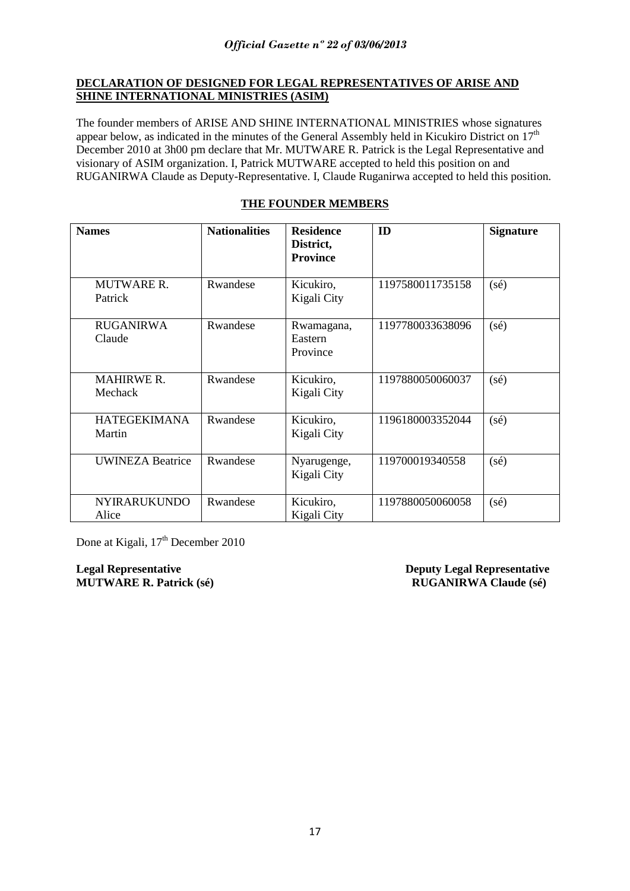### **DECLARATION OF DESIGNED FOR LEGAL REPRESENTATIVES OF ARISE AND SHINE INTERNATIONAL MINISTRIES (ASIM)**

The founder members of ARISE AND SHINE INTERNATIONAL MINISTRIES whose signatures appear below, as indicated in the minutes of the General Assembly held in Kicukiro District on 17<sup>th</sup> December 2010 at 3h00 pm declare that Mr. MUTWARE R. Patrick is the Legal Representative and visionary of ASIM organization. I, Patrick MUTWARE accepted to held this position on and RUGANIRWA Claude as Deputy-Representative. I, Claude Ruganirwa accepted to held this position.

| <b>Names</b>                  | <b>Nationalities</b> | <b>Residence</b><br>District,<br><b>Province</b> | ID               | <b>Signature</b> |
|-------------------------------|----------------------|--------------------------------------------------|------------------|------------------|
| <b>MUTWARE R.</b><br>Patrick  | Rwandese             | Kicukiro,<br>Kigali City                         | 1197580011735158 | $(s\acute{e})$   |
| <b>RUGANIRWA</b><br>Claude    | Rwandese             | Rwamagana,<br>Eastern<br>Province                | 1197780033638096 | $(s\acute{e})$   |
| <b>MAHIRWE R.</b><br>Mechack  | Rwandese             | Kicukiro,<br>Kigali City                         | 1197880050060037 | $(s\acute{e})$   |
| <b>HATEGEKIMANA</b><br>Martin | Rwandese             | Kicukiro,<br>Kigali City                         | 1196180003352044 | $(s\acute{e})$   |
| <b>UWINEZA Beatrice</b>       | Rwandese             | Nyarugenge,<br>Kigali City                       | 119700019340558  | $(s\acute{e})$   |
| <b>NYIRARUKUNDO</b><br>Alice  | Rwandese             | Kicukiro,<br>Kigali City                         | 1197880050060058 | $(s\acute{e})$   |

### **THE FOUNDER MEMBERS**

Done at Kigali, 17<sup>th</sup> December 2010

**Legal Representative Deputy Legal Representative MUTWARE R. Patrick** (sé) RUGANIRWA Claude (sé)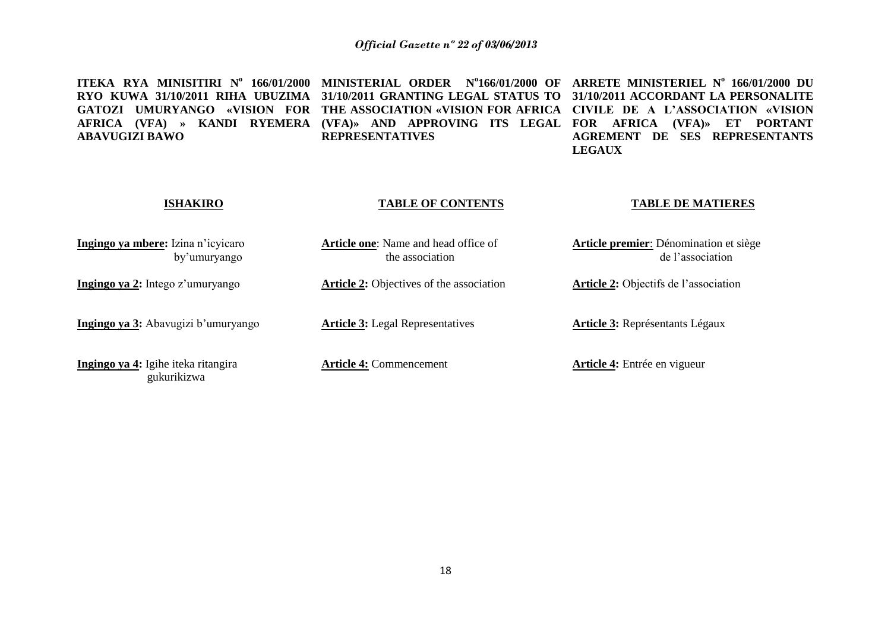**ITEKA RYA MINISITIRI N<sup>o</sup> 166/01/2000 MINISTERIAL ORDER N<sup>o</sup> 166/01/2000 OF ARRETE MINISTERIEL N<sup>o</sup> 166/01/2000 DU RYO KUWA 31/10/2011 RIHA UBUZIMA 31/10/2011 GRANTING LEGAL STATUS TO 31/10/2011 ACCORDANT LA PERSONALITE GATOZI UMURYANGO «VISION FOR THE ASSOCIATION «VISION FOR AFRICA CIVILE DE A L'ASSOCIATION «VISION AFRICA (VFA) » KANDI RYEMERA (VFA)» AND APPROVING ITS LEGAL FOR AFRICA (VFA)» ET PORTANT ABAVUGIZI BAWO REPRESENTATIVES AGREMENT DE SES REPRESENTANTS LEGAUX**

#### **ISHAKIRO**

#### **TABLE OF CONTENTS**

#### **TABLE DE MATIERES**

de l'association

**Ingingo ya mbere:** Izina n'icyicaro by'umuryango

**Ingingo ya 2:** Intego z'umuryango

**Ingingo ya 3:** Abavugizi b'umuryango

**Ingingo ya 4:** Igihe iteka ritangira gukurikizwa

**Article one**: Name and head office of the association

**Article 2:** Objectives of the association

**Article 3:** Legal Representatives

**Article 4:** Commencement

**Article 3:** Représentants Légaux

**Article 2:** Objectifs de l'association

**Article premier**: Dénomination et siège

**Article 4:** Entrée en vigueur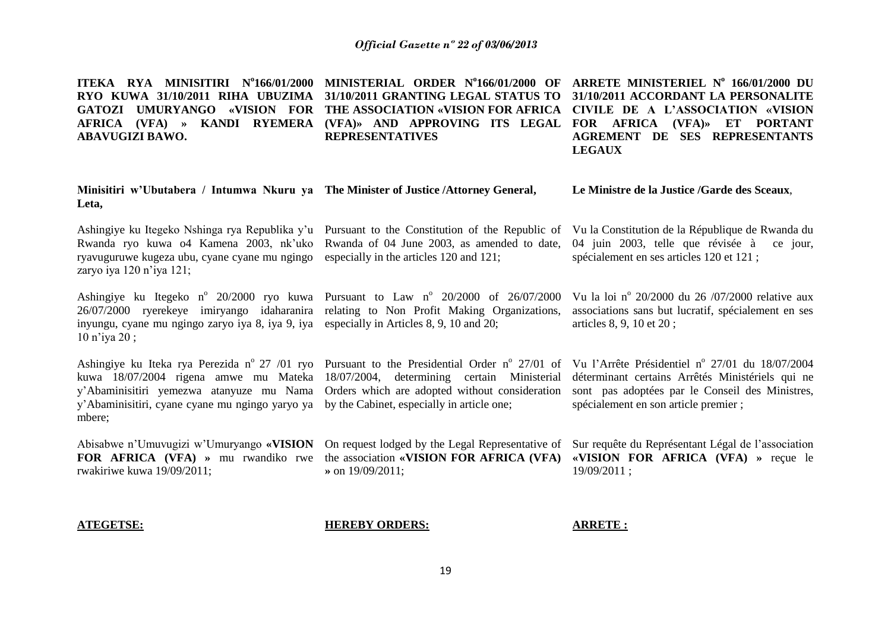**ITEKA RYA MINISITIRI N<sup>o</sup> 166/01/2000 MINISTERIAL ORDER N<sup>o</sup> 166/01/2000 OF ARRETE MINISTERIEL N o 166/01/2000 DU RYO KUWA 31/10/2011 RIHA UBUZIMA 31/10/2011 GRANTING LEGAL STATUS TO 31/10/2011 ACCORDANT LA PERSONALITE GATOZI UMURYANGO «VISION FOR THE ASSOCIATION «VISION FOR AFRICA CIVILE DE A L'ASSOCIATION «VISION**  AFRICA (VFA) » KANDI RYEMERA (VFA)» AND APPROVING ITS LEGAL FOR AFRICA (VFA)» ET PORTANT **ABAVUGIZI BAWO. REPRESENTATIVES AGREMENT DE SES REPRESENTANTS LEGAUX**

| Minisitiri w'Ubutabera / Intumwa Nkuru ya The Minister of Justice /Attorney General,<br>Leta,                                                                                                            |                                                                                                                                                                                                                            | Le Ministre de la Justice /Garde des Sceaux,                                                                                                                                                                                                                                                 |
|----------------------------------------------------------------------------------------------------------------------------------------------------------------------------------------------------------|----------------------------------------------------------------------------------------------------------------------------------------------------------------------------------------------------------------------------|----------------------------------------------------------------------------------------------------------------------------------------------------------------------------------------------------------------------------------------------------------------------------------------------|
| Rwanda ryo kuwa 04 Kamena 2003, nk'uko<br>ryavuguruwe kugeza ubu, cyane cyane mu ngingo<br>zaryo iya 120 n'iya 121;                                                                                      | Rwanda of 04 June 2003, as amended to date,<br>especially in the articles 120 and 121;                                                                                                                                     | Ashingiye ku Itegeko Nshinga rya Republika y'u Pursuant to the Constitution of the Republic of Vu la Constitution de la République de Rwanda du<br>04 juin 2003, telle que révisée à<br>ce jour,<br>spécialement en ses articles 120 et 121 ;                                                |
| 26/07/2000 ryerekeye imiryango idaharanira relating to Non Profit Making Organizations,<br>inyungu, cyane mu ngingo zaryo iya 8, iya 9, iya especially in Articles 8, 9, 10 and 20;<br>$10$ n'iya $20$ ; | Ashingiye ku Itegeko n° 20/2000 ryo kuwa Pursuant to Law n° 20/2000 of 26/07/2000                                                                                                                                          | Vu la loi nº 20/2000 du 26/07/2000 relative aux<br>associations sans but lucratif, spécialement en ses<br>articles 8, 9, 10 et 20;                                                                                                                                                           |
| y'Abaminisitiri, cyane cyane mu ngingo yaryo ya<br>mbere;                                                                                                                                                | kuwa 18/07/2004 rigena amwe mu Mateka 18/07/2004, determining certain Ministerial<br>y'Abaminisitiri yemezwa atanyuze mu Nama Orders which are adopted without consideration<br>by the Cabinet, especially in article one; | Ashingiye ku Iteka rya Perezida nº 27 /01 ryo Pursuant to the Presidential Order nº 27/01 of Vu l'Arrête Présidentiel nº 27/01 du 18/07/2004<br>déterminant certains Arrêtés Ministériels qui ne<br>sont pas adoptées par le Conseil des Ministres,<br>spécialement en son article premier ; |
| Abisabwe n'Umuvugizi w'Umuryango «VISION<br>FOR AFRICA (VFA) » mu rwandiko rwe<br>rwakiriwe kuwa 19/09/2011;                                                                                             | On request lodged by the Legal Representative of<br>the association «VISION FOR AFRICA (VFA)<br>$\ast$ on 19/09/2011;                                                                                                      | Sur requête du Représentant Légal de l'association<br>«VISION FOR AFRICA (VFA) » reçue le<br>19/09/2011 :                                                                                                                                                                                    |
| <b>ATEGETSE:</b>                                                                                                                                                                                         | <b>HEREBY ORDERS:</b>                                                                                                                                                                                                      | <b>ARRETE:</b>                                                                                                                                                                                                                                                                               |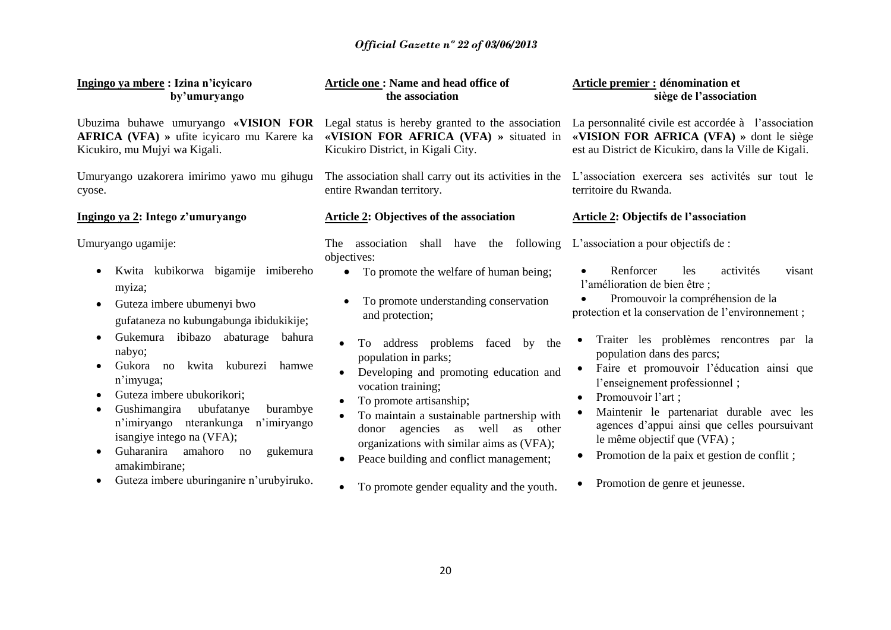## *Official Gazette nº 22 of 03/06/2013*

| Ingingo ya mbere: Izina n'icyicaro<br>by'umuryango                                                                                                                                                                                                                                                                                                                                                                                                                                                                                                               | Article one: Name and head office of<br>the association                                                                                                                                                                                                                                                                                                                                                                                                                                                                                                                                                      | Article premier : dénomination et<br>siège de l'association<br>La personnalité civile est accordée à l'association<br>«VISION FOR AFRICA (VFA) » dont le siège<br>est au District de Kicukiro, dans la Ville de Kigali.                                                                                                                                                                                                                                                                                                                                                                                           |  |
|------------------------------------------------------------------------------------------------------------------------------------------------------------------------------------------------------------------------------------------------------------------------------------------------------------------------------------------------------------------------------------------------------------------------------------------------------------------------------------------------------------------------------------------------------------------|--------------------------------------------------------------------------------------------------------------------------------------------------------------------------------------------------------------------------------------------------------------------------------------------------------------------------------------------------------------------------------------------------------------------------------------------------------------------------------------------------------------------------------------------------------------------------------------------------------------|-------------------------------------------------------------------------------------------------------------------------------------------------------------------------------------------------------------------------------------------------------------------------------------------------------------------------------------------------------------------------------------------------------------------------------------------------------------------------------------------------------------------------------------------------------------------------------------------------------------------|--|
| Ubuzima buhawe umuryango «VISION FOR Legal status is hereby granted to the association<br><b>AFRICA</b> (VFA) » ufite icyicaro mu Karere ka<br>Kicukiro, mu Mujyi wa Kigali.                                                                                                                                                                                                                                                                                                                                                                                     | «VISION FOR AFRICA (VFA) » situated in<br>Kicukiro District, in Kigali City.                                                                                                                                                                                                                                                                                                                                                                                                                                                                                                                                 |                                                                                                                                                                                                                                                                                                                                                                                                                                                                                                                                                                                                                   |  |
| Umuryango uzakorera imirimo yawo mu gihugu<br>cyose.                                                                                                                                                                                                                                                                                                                                                                                                                                                                                                             | The association shall carry out its activities in the<br>entire Rwandan territory.                                                                                                                                                                                                                                                                                                                                                                                                                                                                                                                           | L'association exercera ses activités sur tout le<br>territoire du Rwanda.                                                                                                                                                                                                                                                                                                                                                                                                                                                                                                                                         |  |
| Ingingo ya 2: Intego z'umuryango                                                                                                                                                                                                                                                                                                                                                                                                                                                                                                                                 | <b>Article 2: Objectives of the association</b>                                                                                                                                                                                                                                                                                                                                                                                                                                                                                                                                                              | <b>Article 2: Objectifs de l'association</b>                                                                                                                                                                                                                                                                                                                                                                                                                                                                                                                                                                      |  |
| Umuryango ugamije:<br>Kwita kubikorwa bigamije imibereho<br>$\bullet$<br>myiza;<br>Guteza imbere ubumenyi bwo<br>$\bullet$<br>gufataneza no kubungabunga ibidukikije;<br>Gukemura ibibazo abaturage<br>bahura<br>$\bullet$<br>nabyo;<br>kwita kuburezi<br>hamwe<br>Gukora no<br>n'imyuga;<br>Guteza imbere ubukorikori;<br>Gushimangira<br>ubufatanye<br>burambye<br>$\bullet$<br>n'imiryango<br>nterankunga<br>n'imiryango<br>isangiye intego na (VFA);<br>Guharanira<br>amahoro<br>gukemura<br>no<br>amakimbirane;<br>Guteza imbere uburinganire n'urubyiruko. | following<br>association<br>shall have the<br>The<br>objectives:<br>To promote the welfare of human being;<br>$\bullet$<br>To promote understanding conservation<br>and protection;<br>To address problems<br>faced<br>by<br>the<br>population in parks;<br>Developing and promoting education and<br>vocation training;<br>To promote artisanship;<br>$\bullet$<br>To maintain a sustainable partnership with<br>agencies as well<br>as<br>other<br>donor<br>organizations with similar aims as (VFA);<br>Peace building and conflict management;<br>$\bullet$<br>To promote gender equality and the youth. | L'association a pour objectifs de :<br>Renforcer<br>les<br>activités<br>visant<br>l'amélioration de bien être ;<br>Promouvoir la compréhension de la<br>protection et la conservation de l'environnement;<br>Traiter les problèmes rencontres par la<br>population dans des parcs;<br>Faire et promouvoir l'éducation ainsi que<br>l'enseignement professionnel;<br>Promouvoir l'art ;<br>$\bullet$<br>Maintenir le partenariat durable avec les<br>agences d'appui ainsi que celles poursuivant<br>le même objectif que (VFA);<br>Promotion de la paix et gestion de conflit;<br>Promotion de genre et jeunesse. |  |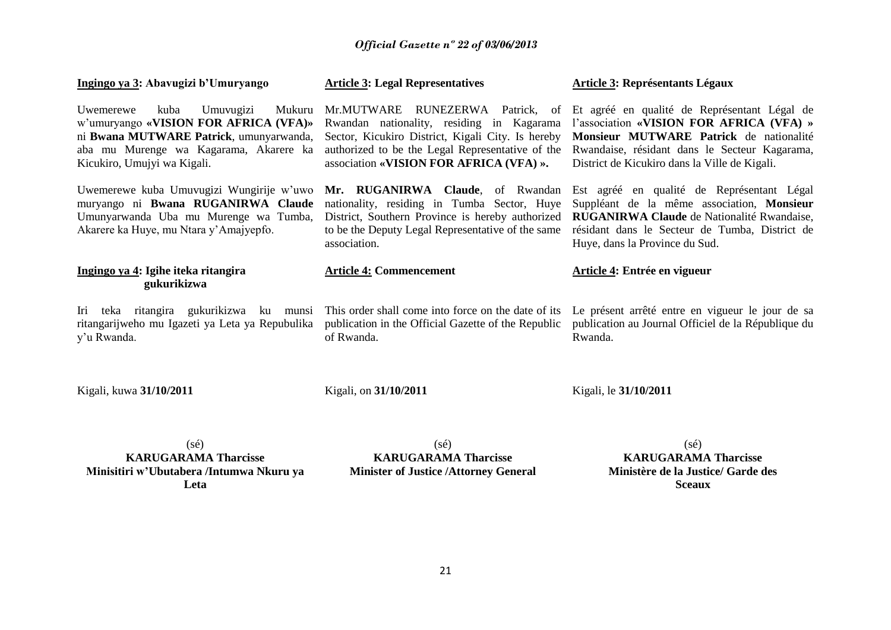### *Official Gazette nº 22 of 03/06/2013*

| Ingingo ya 3: Abavugizi b'Umuryango                                                                                                                                                                   | <b>Article 3: Legal Representatives</b>                                                                                                                                                                                              | <b>Article 3: Représentants Légaux</b>                                                                                                                                                                                                |  |
|-------------------------------------------------------------------------------------------------------------------------------------------------------------------------------------------------------|--------------------------------------------------------------------------------------------------------------------------------------------------------------------------------------------------------------------------------------|---------------------------------------------------------------------------------------------------------------------------------------------------------------------------------------------------------------------------------------|--|
| Uwemerewe<br>kuba<br>Umuvugizi<br>Mukuru<br>w'umuryango «VISION FOR AFRICA (VFA)»<br>ni Bwana MUTWARE Patrick, umunyarwanda,<br>aba mu Murenge wa Kagarama, Akarere ka<br>Kicukiro, Umujyi wa Kigali. | RUNEZERWA Patrick, of<br>Mr.MUTWARE<br>Rwandan nationality, residing in Kagarama<br>Sector, Kicukiro District, Kigali City. Is hereby<br>authorized to be the Legal Representative of the<br>association «VISION FOR AFRICA (VFA) ». | Et agréé en qualité de Représentant Légal de<br>l'association «VISION FOR AFRICA (VFA) »<br>Monsieur MUTWARE Patrick de nationalité<br>Rwandaise, résidant dans le Secteur Kagarama,<br>District de Kicukiro dans la Ville de Kigali. |  |
| Uwemerewe kuba Umuvugizi Wungirije w'uwo<br>muryango ni Bwana RUGANIRWA Claude<br>Umunyarwanda Uba mu Murenge wa Tumba,<br>Akarere ka Huye, mu Ntara y'Amajyepfo.                                     | Mr. RUGANIRWA Claude, of Rwandan<br>nationality, residing in Tumba Sector, Huye<br>District, Southern Province is hereby authorized<br>to be the Deputy Legal Representative of the same<br>association.                             | Est agréé en qualité de Représentant Légal<br>Suppléant de la même association, Monsieur<br>RUGANIRWA Claude de Nationalité Rwandaise,<br>résidant dans le Secteur de Tumba, District de<br>Huye, dans la Province du Sud.            |  |
| Ingingo ya 4: Igihe iteka ritangira<br>gukurikizwa                                                                                                                                                    | <b>Article 4: Commencement</b>                                                                                                                                                                                                       | Article 4: Entrée en vigueur                                                                                                                                                                                                          |  |
| Iri teka ritangira gukurikizwa ku munsi<br>ritangarijweho mu Igazeti ya Leta ya Repubulika<br>y'u Rwanda.                                                                                             | This order shall come into force on the date of its<br>publication in the Official Gazette of the Republic<br>of Rwanda.                                                                                                             | Le présent arrêté entre en vigueur le jour de sa<br>publication au Journal Officiel de la République du<br>Rwanda.                                                                                                                    |  |
| Kigali, kuwa 31/10/2011                                                                                                                                                                               | Kigali, on 31/10/2011                                                                                                                                                                                                                | Kigali, le 31/10/2011                                                                                                                                                                                                                 |  |

(sé) **KARUGARAMA Tharcisse Minisitiri w'Ubutabera /Intumwa Nkuru ya Leta**

(sé) **KARUGARAMA Tharcisse Minister of Justice /Attorney General**

(sé) **KARUGARAMA Tharcisse Ministère de la Justice/ Garde des Sceaux**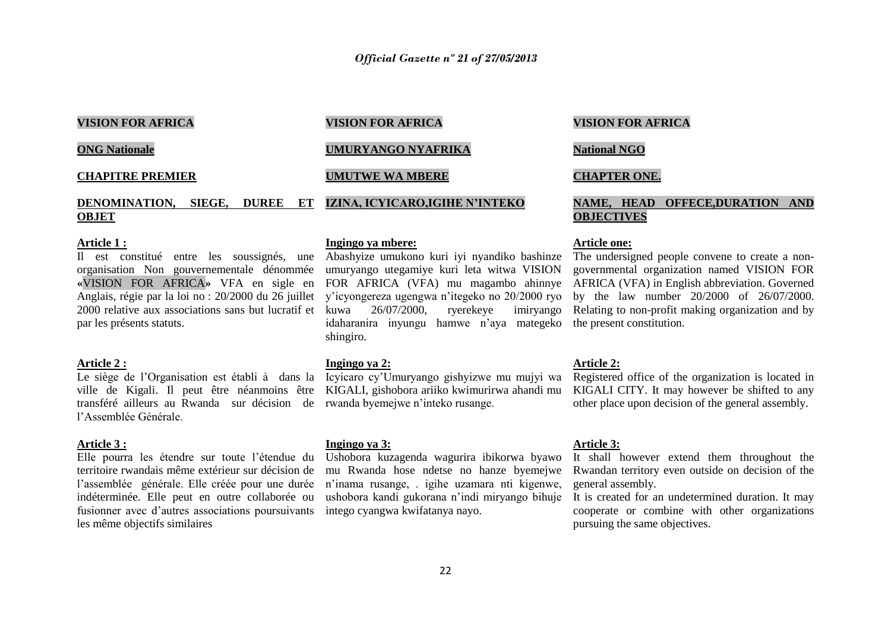### **VISION FOR AFRICA**

**ONG Nationale**

### **CHAPITRE PREMIER**

#### **DENOMINATION, SIEGE, DUREE ET OBJET**

#### **Article 1 :**

organisation Non gouvernementale dénommée umuryango utegamiye kuri leta witwa VISION Anglais, régie par la loi no : 20/2000 du 26 juillet 2000 relative aux associations sans but lucratif et kuwa 26/07/2000. par les présents statuts.

#### **Article 2 :**

transféré ailleurs au Rwanda sur décision de rwanda byemejwe n'inteko rusange. l'Assemblée Générale.

#### **Article 3 :**

territoire rwandais même extérieur sur décision de mu Rwanda hose ndetse no hanze byemejwe l'assemblée générale. Elle créée pour une durée n'inama rusange, igihe uzamara nti kigenwe, indéterminée. Elle peut en outre collaborée ou ushobora kandi gukorana n'indi miryango bihuje fusionner avec d'autres associations poursuivants intego cyangwa kwifatanya nayo. les même objectifs similaires

#### **VISION FOR AFRICA**

### **UMURYANGO NYAFRIKA**

### **UMUTWE WA MBERE**

**IZINA, ICYICARO,IGIHE N'INTEKO**

### **Ingingo ya mbere:**

Il est constitué entre les soussignés, une Abashyize umukono kuri iyi nyandiko bashinze The undersigned people convene to create a nony'icyongereza ugengwa n'itegeko no 20/2000 ryo idaharanira inyungu hamwe n'aya mategeko the present constitution. shingiro.

#### **Ingingo ya 2:**

ville de Kigali. Il peut être néanmoins être KIGALI, gishobora ariiko kwimurirwa ahandi mu

#### **Ingingo ya 3:**

Elle pourra les étendre sur toute l'étendue du Ushobora kuzagenda wagurira ibikorwa byawo

#### **VISION FOR AFRICA**

### **National NGO**

#### **CHAPTER ONE.**

### **NAME, HEAD OFFECE,DURATION AND OBJECTIVES**

#### **Article one:**

**«**VISION FOR AFRICA**»** VFA en sigle en FOR AFRICA (VFA) mu magambo ahinnye AFRICA (VFA) in English abbreviation. Governed kuwa 26/07/2000, ryerekeye imiryango Relating to non-profit making organization and by governmental organization named VISION FOR by the law number 20/2000 of 26/07/2000.

#### **Article 2:**

Le siège de l'Organisation est établi à dans la Icyicaro cy'Umuryango gishyizwe mu mujyi wa Registered office of the organization is located in KIGALI CITY. It may however be shifted to any other place upon decision of the general assembly.

#### **Article 3:**

It shall however extend them throughout the Rwandan territory even outside on decision of the general assembly.

It is created for an undetermined duration. It may cooperate or combine with other organizations pursuing the same objectives.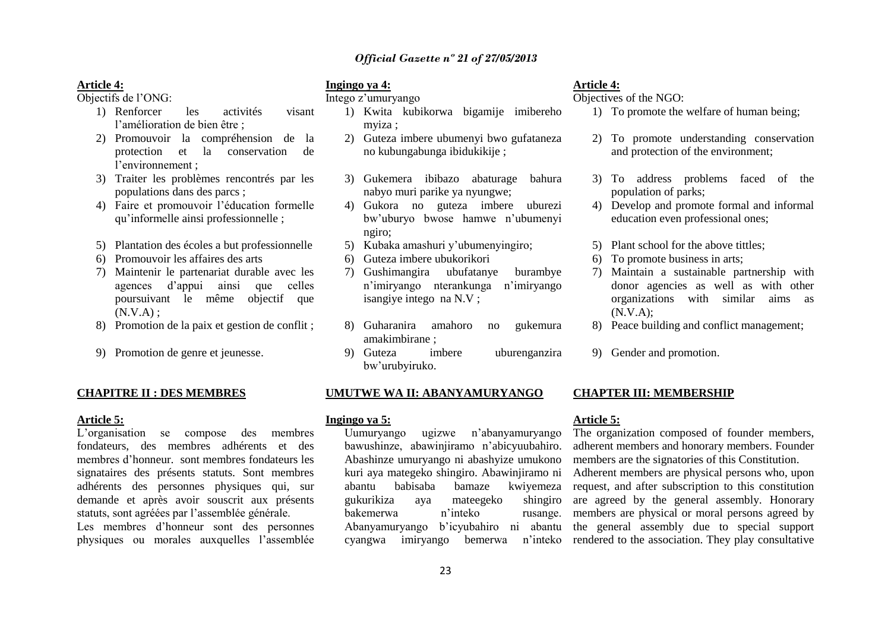#### **Article 4:**

Objectifs de l'ONG:

- 1) Renforcer les activités visant l'amélioration de bien être ;
- 2) Promouvoir la compréhension de la protection et la conservation de l'environnement ;
- 3) Traiter les problèmes rencontrés par les populations dans des parcs ;
- 4) Faire et promouvoir l'éducation formelle qu'informelle ainsi professionnelle ;
- 5) Plantation des écoles a but professionnelle
- 6) Promouvoir les affaires des arts
- 7) Maintenir le partenariat durable avec les agences d'appui ainsi que celles poursuivant le même objectif que  $(N.V.A)$ :
- 8) Promotion de la paix et gestion de conflit ;
- 9) Promotion de genre et jeunesse.

#### **CHAPITRE II : DES MEMBRES**

#### **Article 5:**

L'organisation se compose des membres fondateurs, des membres adhérents et des membres d'honneur. sont membres fondateurs les signataires des présents statuts. Sont membres adhérents des personnes physiques qui, sur demande et après avoir souscrit aux présents statuts, sont agréées par l'assemblée générale.

Les membres d'honneur sont des personnes physiques ou morales auxquelles l'assemblée

### **Ingingo ya 4:**

Intego z'umuryango

- 1) Kwita kubikorwa bigamije imibereho myiza ;
- 2) Guteza imbere ubumenyi bwo gufataneza no kubungabunga ibidukikije ;
- 3) Gukemera ibibazo abaturage bahura nabyo muri parike ya nyungwe;
- 4) Gukora no guteza imbere uburezi bw'uburyo bwose hamwe n'ubumenyi ngiro;
- 5) Kubaka amashuri y'ubumenyingiro;
- 6) Guteza imbere ubukorikori
- 7) Gushimangira ubufatanye burambye n'imiryango nterankunga n'imiryango isangiye intego na N.V ;
- 8) Guharanira amahoro no gukemura amakimbirane ;
- 9) Guteza imbere uburenganzira bw'urubyiruko.

#### **UMUTWE WA II: ABANYAMURYANGO**

#### **Ingingo ya 5:**

Uumuryango ugizwe n'abanyamuryango bawushinze, abawinjiramo n'abicyuubahiro. Abashinze umuryango ni abashyize umukono kuri aya mategeko shingiro. Abawinjiramo ni abantu babisaba bamaze kwiyemeza gukurikiza aya mateegeko shingiro bakemerwa n'inteko rusange. cyangwa imiryango bemerwa

#### **Article 4:**

Objectives of the NGO:

- 1) To promote the welfare of human being;
- 2) To promote understanding conservation and protection of the environment;
- 3) To address problems faced of the population of parks;
- 4) Develop and promote formal and informal education even professional ones;
- 5) Plant school for the above tittles;
- 6) To promote business in arts;
- 7) Maintain a sustainable partnership with donor agencies as well as with other organizations with similar aims as (N.V.A);
- 8) Peace building and conflict management;
- 9) Gender and promotion.

#### **CHAPTER III: MEMBERSHIP**

#### **Article 5:**

Abanyamuryango b'icyubahiro ni abantu the general assembly due to special support The organization composed of founder members, adherent members and honorary members. Founder members are the signatories of this Constitution. Adherent members are physical persons who, upon request, and after subscription to this constitution are agreed by the general assembly. Honorary members are physical or moral persons agreed by n'inteko rendered to the association. They play consultative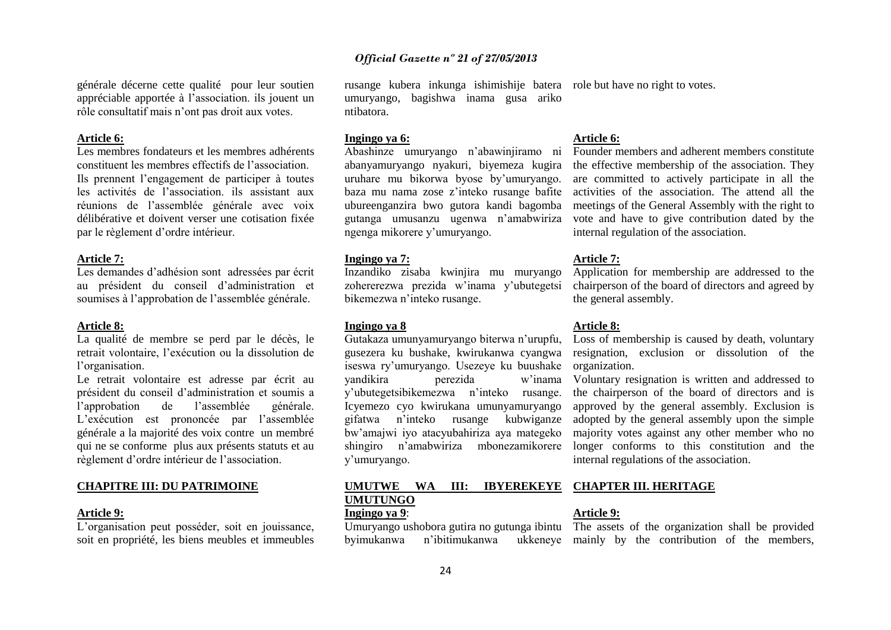générale décerne cette qualité pour leur soutien appréciable apportée à l'association. ils jouent un rôle consultatif mais n'ont pas droit aux votes.

#### **Article 6:**

Les membres fondateurs et les membres adhérents constituent les membres effectifs de l'association. Ils prennent l'engagement de participer à toutes les activités de l'association. ils assistant aux réunions de l'assemblée générale avec voix délibérative et doivent verser une cotisation fixée par le règlement d'ordre intérieur.

#### **Article 7:**

Les demandes d'adhésion sont adressées par écrit au président du conseil d'administration et soumises à l'approbation de l'assemblée générale.

#### **Article 8:**

La qualité de membre se perd par le décès, le retrait volontaire, l'exécution ou la dissolution de l'organisation.

Le retrait volontaire est adresse par écrit au président du conseil d'administration et soumis a l'approbation de l'assemblée générale. L'exécution est prononcée par l'assemblée générale a la majorité des voix contre un membré qui ne se conforme plus aux présents statuts et au règlement d'ordre intérieur de l'association.

#### **CHAPITRE III: DU PATRIMOINE**

#### **Article 9:**

L'organisation peut posséder, soit en jouissance, soit en propriété, les biens meubles et immeubles

rusange kubera inkunga ishimishije batera role but have no right to votes. umuryango, bagishwa inama gusa ariko ntibatora.

#### **Ingingo ya 6:**

Abashinze umuryango n'abawinjiramo ni abanyamuryango nyakuri, biyemeza kugira uruhare mu bikorwa byose by'umuryango. ubureenganzira bwo gutora kandi bagomba gutanga umusanzu ugenwa n'amabwiriza ngenga mikorere y'umuryango.

#### **Ingingo ya 7:**

Inzandiko zisaba kwinjira mu muryango zohererezwa prezida w'inama y'ubutegetsi bikemezwa n'inteko rusange.

#### **Ingingo ya 8**

Gutakaza umunyamuryango biterwa n'urupfu, gusezera ku bushake, kwirukanwa cyangwa iseswa ry'umuryango. Usezeye ku buushake organization. yandikira perezida w'inama y'ubutegetsibikemezwa n'inteko rusange. Icyemezo cyo kwirukana umunyamuryango gifatwa n'inteko rusange kubwiganze bw'amajwi iyo atacyubahiriza aya mategeko shingiro n'amabwiriza mbonezamikorere y'umuryango.

#### **UMUTWE WA III: IBYEREKEYE UMUTUNGO Ingingo ya 9**:

#### **Article 6:**

baza mu nama zose z'inteko rusange bafite activities of the association. The attend all the Founder members and adherent members constitute the effective membership of the association. They are committed to actively participate in all the meetings of the General Assembly with the right to vote and have to give contribution dated by the internal regulation of the association.

#### **Article 7:**

Application for membership are addressed to the chairperson of the board of directors and agreed by the general assembly.

#### **Article 8:**

Loss of membership is caused by death, voluntary resignation, exclusion or dissolution of the

Voluntary resignation is written and addressed to the chairperson of the board of directors and is approved by the general assembly. Exclusion is adopted by the general assembly upon the simple majority votes against any other member who no longer conforms to this constitution and the internal regulations of the association.

#### **CHAPTER III. HERITAGE**

#### **Article 9:**

Umuryango ushobora gutira no gutunga ibintu The assets of the organization shall be provided byimukanwa n'ibitimukanwa ukkeneye mainly by the contribution of the members,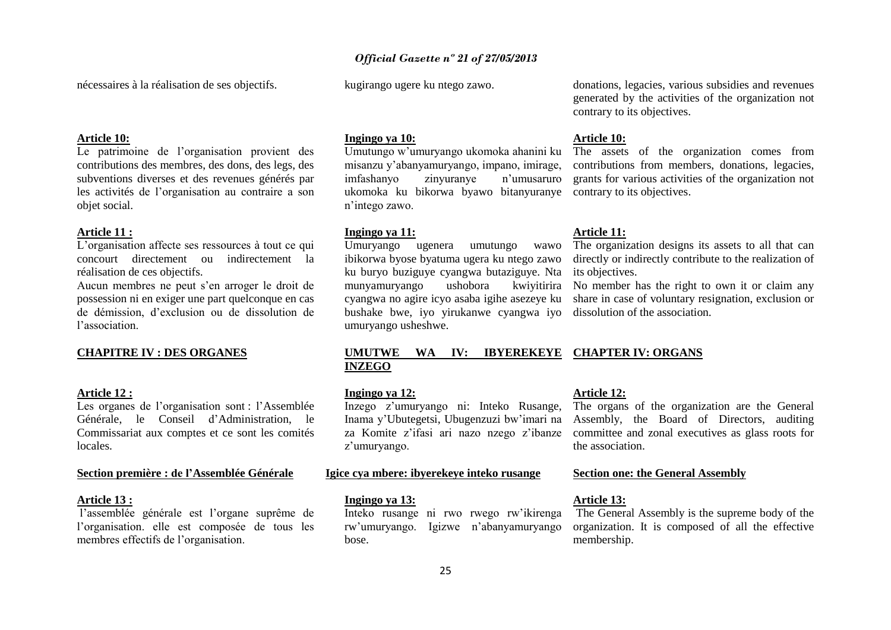nécessaires à la réalisation de ses objectifs.

#### kugirango ugere ku ntego zawo.

#### **Article 10:**

Le patrimoine de l'organisation provient des contributions des membres, des dons, des legs, des subventions diverses et des revenues générés par les activités de l'organisation au contraire a son objet social.

#### **Article 11 :**

L'organisation affecte ses ressources à tout ce qui concourt directement ou indirectement la réalisation de ces objectifs.

Aucun membres ne peut s'en arroger le droit de possession ni en exiger une part quelconque en cas de démission, d'exclusion ou de dissolution de l'association.

#### **CHAPITRE IV : DES ORGANES**

#### **Article 12 :**

Les organes de l'organisation sont : l'Assemblée Générale, le Conseil d'Administration, le Commissariat aux comptes et ce sont les comités locales.

#### **Section première : de l'Assemblée Générale**

#### **Article 13 :**

l'assemblée générale est l'organe suprême de l'organisation. elle est composée de tous les membres effectifs de l'organisation.

#### **Ingingo ya 10:**

Umutungo w'umuryango ukomoka ahanini ku misanzu y'abanyamuryango, impano, imirage, imfashanyo zinyuranye n'umusaruro ukomoka ku bikorwa byawo bitanyuranye contrary to its objectives. n'intego zawo.

#### **Ingingo ya 11:**

Umuryango ugenera umutungo wawo ibikorwa byose byatuma ugera ku ntego zawo ku buryo buziguye cyangwa butaziguye. Nta its objectives. munyamuryango ushobora bushake bwe, iyo yirukanwe cyangwa iyo dissolution of the association. umuryango usheshwe.

### donations, legacies, various subsidies and revenues generated by the activities of the organization not contrary to its objectives.

#### **Article 10:**

The assets of the organization comes from contributions from members, donations, legacies, grants for various activities of the organization not

#### **Article 11:**

The organization designs its assets to all that can directly or indirectly contribute to the realization of

cyangwa no agire icyo asaba igihe asezeye ku share in case of voluntary resignation, exclusion or kwivitirira No member has the right to own it or claim any

#### **UMUTWE WA IV: IBYEREKEYE CHAPTER IV: ORGANS INZEGO**

#### **Ingingo ya 12:**

Inzego z'umuryango ni: Inteko Rusange, z'umuryango.

#### **Igice cya mbere: ibyerekeye inteko rusange**

#### **Ingingo ya 13:**

Inteko rusange ni rwo rwego rw'ikirenga rw'umuryango. Igizwe n'abanyamuryango bose.

#### **Article 12:**

Inama y'Ubutegetsi, Ubugenzuzi bw'imari na Assembly, the Board of Directors, auditing za Komite z'ifasi ari nazo nzego z'ibanze committee and zonal executives as glass roots for The organs of the organization are the General the association.

#### **Section one: the General Assembly**

#### **Article 13:**

The General Assembly is the supreme body of the organization. It is composed of all the effective membership.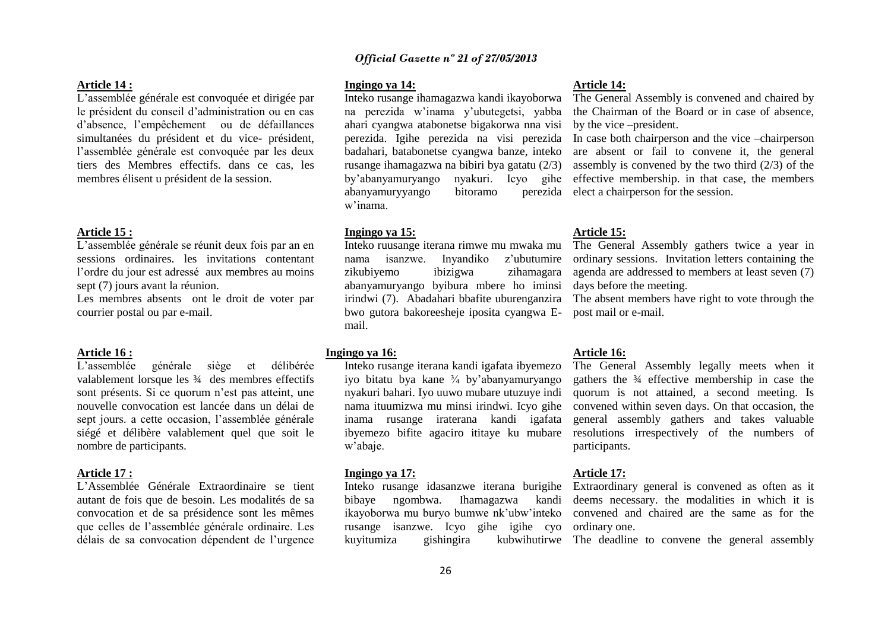#### **Article 14 :**

L'assemblée générale est convoquée et dirigée par le président du conseil d'administration ou en cas d'absence, l'empêchement ou de défaillances simultanées du président et du vice- président, l'assemblée générale est convoquée par les deux tiers des Membres effectifs. dans ce cas, les membres élisent u président de la session.

#### **Article 15 :**

L'assemblée générale se réunit deux fois par an en sessions ordinaires. les invitations contentant l'ordre du jour est adressé aux membres au moins sept (7) jours avant la réunion.

Les membres absents ont le droit de voter par courrier postal ou par e-mail.

#### **Article 16 :**

L'assemblée générale siège et délibérée valablement lorsque les ¾ des membres effectifs sont présents. Si ce quorum n'est pas atteint, une nouvelle convocation est lancée dans un délai de sept jours. a cette occasion, l'assemblée générale siégé et délibère valablement quel que soit le nombre de participants.

#### **Article 17 :**

L'Assemblée Générale Extraordinaire se tient autant de fois que de besoin. Les modalités de sa convocation et de sa présidence sont les mêmes que celles de l'assemblée générale ordinaire. Les délais de sa convocation dépendent de l'urgence

**Ingingo ya 14:** 

Inteko rusange ihamagazwa kandi ikayoborwa na perezida w'inama y'ubutegetsi, yabba ahari cyangwa atabonetse bigakorwa nna visi perezida. Igihe perezida na visi perezida badahari, batabonetse cyangwa banze, inteko rusange ihamagazwa na bibiri bya gatatu (2/3) by'abanyamuryango nyakuri. Icyo gihe abanyamuryyango bitoramo w'inama.

#### **Ingingo ya 15:**

Inteko ruusange iterana rimwe mu mwaka mu nama isanzwe. Inyandiko z'ubutumire zikubiyemo ibizigwa zihamagara abanyamuryango byibura mbere ho iminsi irindwi (7). Abadahari bbafite uburenganzira bwo gutora bakoreesheje iposita cyangwa Email.

#### **Ingingo ya 16:**

Inteko rusange iterana kandi igafata ibyemezo iyo bitatu bya kane ¾ by'abanyamuryango nyakuri bahari. Iyo uuwo mubare utuzuye indi nama ituumizwa mu minsi irindwi. Icyo gihe inama rusange iraterana kandi igafata ibyemezo bifite agaciro ititaye ku mubare w'abaje.

#### **Ingingo ya 17:**

ikayoborwa mu buryo bumwe nk'ubw'inteko rusange isanzwe. Icyo gihe igihe cyo ordinary one.

#### **Article 14:**

The General Assembly is convened and chaired by the Chairman of the Board or in case of absence, by the vice –president.

In case both chairperson and the vice –chairperson are absent or fail to convene it, the general assembly is convened by the two third (2/3) of the effective membership. in that case, the members perezida elect a chairperson for the session.

#### **Article 15:**

The General Assembly gathers twice a year in ordinary sessions. Invitation letters containing the agenda are addressed to members at least seven (7) days before the meeting.

The absent members have right to vote through the post mail or e-mail.

#### **Article 16:**

The General Assembly legally meets when it gathers the ¾ effective membership in case the quorum is not attained, a second meeting. Is convened within seven days. On that occasion, the general assembly gathers and takes valuable resolutions irrespectively of the numbers of participants.

#### **Article 17:**

Inteko rusange idasanzwe iterana burigihe Extraordinary general is convened as often as it bibaye ngombwa. Ihamagazwa kandi deems necessary. the modalities in which it is convened and chaired are the same as for the

kuyitumiza gishingira kubwihutirwe The deadline to convene the general assembly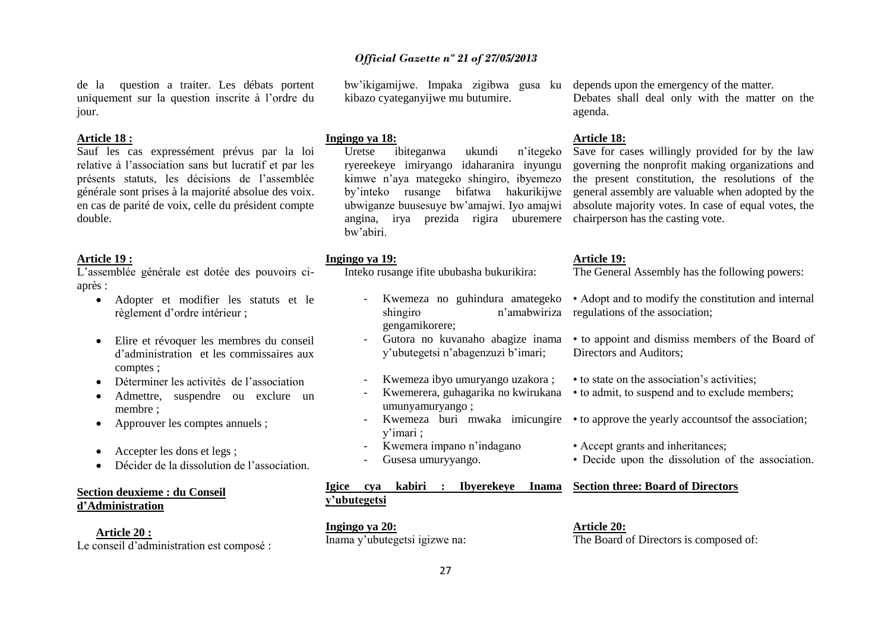de la question a traiter. Les débats portent uniquement sur la question inscrite à l'ordre du jour.

#### **Article 18 :**

Sauf les cas expressément prévus par la loi relative à l'association sans but lucratif et par les présents statuts, les décisions de l'assemblée générale sont prises à la majorité absolue des voix. en cas de parité de voix, celle du président compte double.

#### **Article 19 :**

L'assemblée générale est dotée des pouvoirs ciaprès :

- Adopter et modifier les statuts et le règlement d'ordre intérieur ;
- Elire et révoquer les membres du conseil d'administration et les commissaires aux comptes ;
- Déterminer les activités de l'association
- Admettre, suspendre ou exclure un membre ;
- Approuver les comptes annuels ;
- Accepter les dons et legs ;
- Décider de la dissolution de l'association.

### **Section deuxieme : du Conseil d'Administration**

**Article 20 :**  Le conseil d'administration est composé : kibazo cyateganyijwe mu butumire.

#### **Ingingo ya 18:**

Uretse ibiteganwa ukundi n'itegeko ryereekeye imiryango idaharanira inyungu kimwe n'aya mategeko shingiro, ibyemezo by'inteko rusange bifatwa hakurikijwe ubwiganze buusesuye bw'amajwi. Iyo amajwi angina, irya prezida rigira uburemere chairperson has the casting vote. bw'abiri.

#### **Ingingo ya 19:**

Inteko rusange ifite ububasha bukurikira:

- Kwemeza no guhindura amategeko shingiro **n'amabwiriza** regulations of the association; gengamikorere;
- Gutora no kuvanaho abagize inama y'ubutegetsi n'abagenzuzi b'imari;
- Kwemeza ibyo umuryango uzakora ;
- umunyamuryango ;
- y'imari ;
- Kwemera impano n'indagano
- Gusesa umuryyango.

### **Igice cya kabiri : Ibyerekeye Inama y'ubutegetsi**

**Ingingo ya 20:**  Inama y'ubutegetsi igizwe na:

bw'ikigamijwe. Impaka zigibwa gusa ku depends upon the emergency of the matter.

Debates shall deal only with the matter on the agenda.

#### **Article 18:**

Save for cases willingly provided for by the law governing the nonprofit making organizations and the present constitution, the resolutions of the general assembly are valuable when adopted by the absolute majority votes. In case of equal votes, the

#### **Article 19:**

The General Assembly has the following powers:

- Adopt and to modify the constitution and internal
- to appoint and dismiss members of the Board of Directors and Auditors;
- to state on the association's activities;
- Kwemerera, guhagarika no kwirukana to admit, to suspend and to exclude members;
- Kwemeza buri mwaka imicungire to approve the yearly accountsof the association;
	- Accept grants and inheritances;
	- Decide upon the dissolution of the association.

#### **Section three: Board of Directors**

**Article 20:** The Board of Directors is composed of: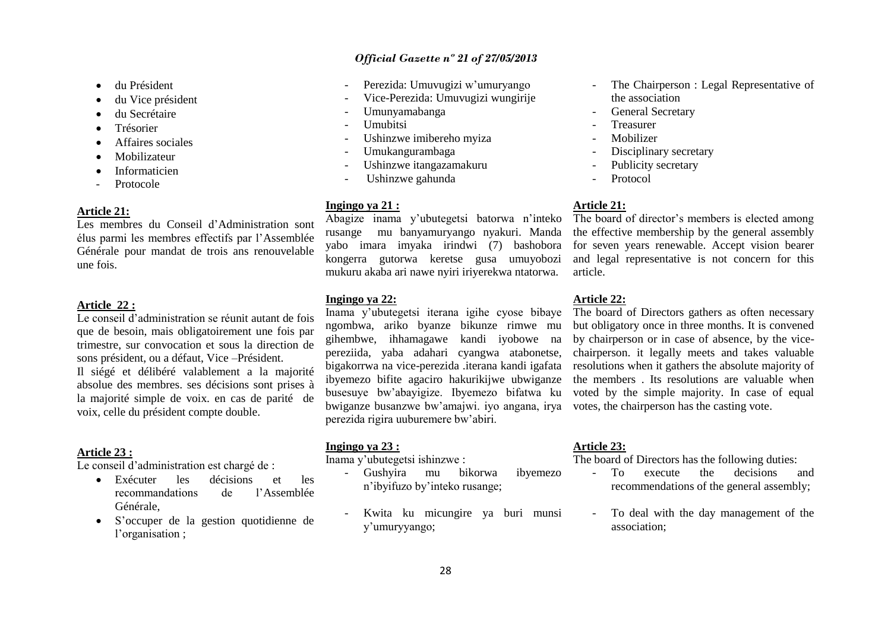- du Président
- du Vice président
- du Secrétaire
- Trésorier
- Affaires sociales
- Mobilizateur
- Informaticien
- **Protocole**

#### **Article 21:**

Les membres du Conseil d'Administration sont élus parmi les membres effectifs par l'Assemblée Générale pour mandat de trois ans renouvelable une fois.

#### **Article 22 :**

Le conseil d'administration se réunit autant de fois que de besoin, mais obligatoirement une fois par trimestre, sur convocation et sous la direction de sons président, ou a défaut, Vice –Président. Il siégé et délibéré valablement a la majorité absolue des membres. ses décisions sont prises à la majorité simple de voix. en cas de parité de voix, celle du président compte double.

#### **Article 23 :**

Le conseil d'administration est chargé de :

- Exécuter les décisions et les recommandations de l'Assemblée Générale,
- S'occuper de la gestion quotidienne de l'organisation ;
- *Official Gazette nº 21 of 27/05/2013*
- Perezida: Umuvugizi w'umuryango
- Vice-Perezida: Umuvugizi wungirije
- Umunyamabanga
- Umubitsi
- Ushinzwe imibereho myiza
- Umukangurambaga
- Ushinzwe itangazamakuru
- Ushinzwe gahunda

#### **Ingingo ya 21 :**

Abagize inama y'ubutegetsi batorwa n'inteko rusange mu banyamuryango nyakuri. Manda yabo imara imyaka irindwi (7) bashobora kongerra gutorwa keretse gusa umuyobozi mukuru akaba ari nawe nyiri iriyerekwa ntatorwa.

#### **Ingingo ya 22:**

Inama y'ubutegetsi iterana igihe cyose bibaye ngombwa, ariko byanze bikunze rimwe mu gihembwe, ihhamagawe kandi iyobowe na pereziida, yaba adahari cyangwa atabonetse, bigakorrwa na vice-perezida .iterana kandi igafata ibyemezo bifite agaciro hakurikijwe ubwiganze busesuye bw'abayigize. Ibyemezo bifatwa ku bwiganze busanzwe bw'amajwi. iyo angana, irya votes, the chairperson has the casting vote. perezida rigira uuburemere bw'abiri.

#### **Ingingo ya 23 :**

Inama y'ubutegetsi ishinzwe :

- Gushyira mu bikorwa ibyemezo n'ibyifuzo by'inteko rusange;
- Kwita ku micungire ya buri munsi y'umuryyango;

28

#### **Article 23:**

The board of Directors has the following duties:

- To execute the decisions and recommendations of the general assembly;
- To deal with the day management of the association;

## The board of Directors gathers as often necessary

- The Chairperson : Legal Representative of the association
- General Secretary
- **Treasurer**
- **Mobilizer**
- Disciplinary secretary
- Publicity secretary
- **Protocol**

#### **Article 21:**

The board of director's members is elected among the effective membership by the general assembly for seven years renewable. Accept vision bearer and legal representative is not concern for this article.

but obligatory once in three months. It is convened by chairperson or in case of absence, by the vicechairperson. it legally meets and takes valuable resolutions when it gathers the absolute majority of the members . Its resolutions are valuable when voted by the simple majority. In case of equal

#### **Article 22:**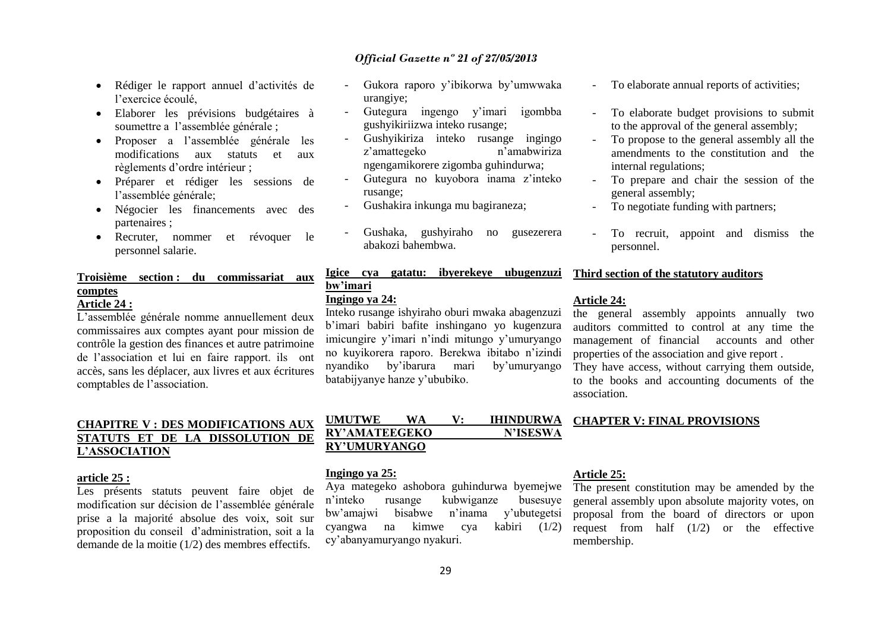- Rédiger le rapport annuel d'activités de l'exercice écoulé,
- Elaborer les prévisions budgétaires à soumettre a l'assemblée générale ;
- Proposer a l'assemblée générale les modifications aux statuts et aux règlements d'ordre intérieur ;
- Préparer et rédiger les sessions de l'assemblée générale;
- Négocier les financements avec des partenaires ;
- Recruter, nommer et révoquer le personnel salarie.

### **Troisième section : du commissariat aux comptes**

### **Article 24 :**

L'assemblée générale nomme annuellement deux commissaires aux comptes ayant pour mission de contrôle la gestion des finances et autre patrimoine de l'association et lui en faire rapport. ils ont accès, sans les déplacer, aux livres et aux écritures comptables de l'association.

### **CHAPITRE V : DES MODIFICATIONS AUX STATUTS ET DE LA DISSOLUTION DE L'ASSOCIATION**

#### **article 25 :**

Les présents statuts peuvent faire objet de modification sur décision de l'assemblée générale prise a la majorité absolue des voix, soit sur proposition du conseil d'administration, soit a la demande de la moitie (1/2) des membres effectifs.

- Gukora raporo y'ibikorwa by'umwwaka urangiye;
- Gutegura ingengo y'imari igombba gushyikiriizwa inteko rusange;
- Gushyikiriza inteko rusange ingingo z'amattegeko n'amabwiriza ngengamikorere zigomba guhindurwa;
- Gutegura no kuyobora inama z'inteko rusange;
- Gushakira inkunga mu bagiraneza;
- Gushaka, gushyiraho no gusezerera abakozi bahembwa.

### **Igice cya gatatu: ibyerekeye ubugenzuzi bw'imari**

### **Ingingo ya 24:**

Inteko rusange ishyiraho oburi mwaka abagenzuzi b'imari babiri bafite inshingano yo kugenzura imicungire y'imari n'indi mitungo y'umuryango no kuyikorera raporo. Berekwa ibitabo n'izindi nyandiko by'ibarura mari batabijyanye hanze y'ububiko.

### **UMUTWE WA V: IHINDURWA**  RY'AMATEEGEKO N'ISESWA **RY'UMURYANGO**

#### **Ingingo ya 25:**

Aya mategeko ashobora guhindurwa byemejwe n'inteko rusange kubwiganze busesuye bw'amajwi bisabwe n'inama y'ubutegetsi cyangwa na kimwe cya kabiri (1/2) cy'abanyamuryango nyakuri.

- To elaborate annual reports of activities;
- To elaborate budget provisions to submit to the approval of the general assembly;
- To propose to the general assembly all the amendments to the constitution and the internal regulations;
- To prepare and chair the session of the general assembly;
- To negotiate funding with partners;
- To recruit, appoint and dismiss the personnel.

#### **Third section of the statutory auditors**

#### **Article 24:**

the general assembly appoints annually two auditors committed to control at any time the management of financial accounts and other properties of the association and give report .

They have access, without carrying them outside, to the books and accounting documents of the association.

### **CHAPTER V: FINAL PROVISIONS**

#### **Article 25:**

The present constitution may be amended by the general assembly upon absolute majority votes, on proposal from the board of directors or upon request from half (1/2) or the effective membership.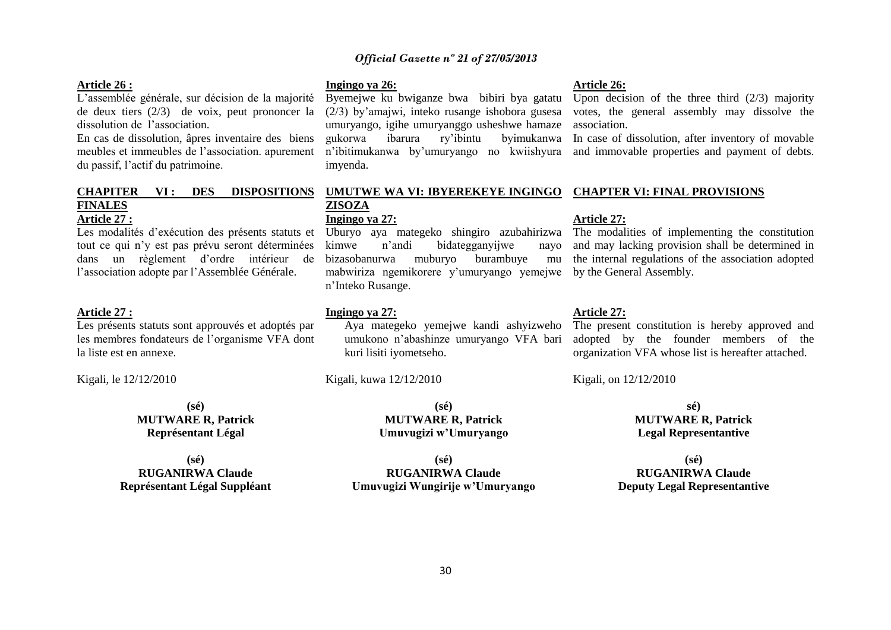### 30

### *Official Gazette nº 21 of 27/05/2013*

#### **Article 26 :**

L'assemblée générale, sur décision de la majorité de deux tiers (2/3) de voix, peut prononcer la dissolution de l'association.

En cas de dissolution, âpres inventaire des biens meubles et immeubles de l'association. apurement du passif, l'actif du patrimoine.

#### **CHAPITER VI: DES FINALES Article 27 :**

Les modalités d'exécution des présents statuts et tout ce qui n'y est pas prévu seront déterminées l'association adopte par l'Assemblée Générale.

#### **Article 27 :**

Les présents statuts sont approuvés et adoptés par les membres fondateurs de l'organisme VFA dont la liste est en annexe.

Kigali, le 12/12/2010

**(sé) MUTWARE R, Patrick Représentant Légal**

### **(sé) RUGANIRWA Claude Représentant Légal Suppléant**

#### **Ingingo ya 26:**

Byemejwe ku bwiganze bwa bibiri bya gatatu (2/3) by'amajwi, inteko rusange ishobora gusesa umuryango, igihe umuryanggo usheshwe hamaze gukorwa ibarura ry'ibintu byimukanwa imyenda.

#### **UMUTWE WA VI: IBYEREKEYE INGINGO CHAPTER VI: FINAL PROVISIONS ZISOZA Ingingo ya 27:**

dans un règlement d'ordre intérieur de bizasobanurwa muburyo burambuye mu Uburyo aya mategeko shingiro azubahirizwa kimwe n'andi bidategganyijwe nayo mabwiriza ngemikorere y'umuryango yemejwe by the General Assembly. n'Inteko Rusange.

#### **Ingingo ya 27:**

### Aya mategeko yemejwe kandi ashyizweho umukono n'abashinze umuryango VFA bari kuri lisiti iyometseho.

Kigali, kuwa 12/12/2010

**(sé) MUTWARE R, Patrick Umuvugizi w'Umuryango**

**(sé) RUGANIRWA Claude Umuvugizi Wungirije w'Umuryango**

#### **Article 26:**

Upon decision of the three third (2/3) majority votes, the general assembly may dissolve the association.

n'ibitimukanwa by'umuryango no kwiishyura and immovable properties and payment of debts. In case of dissolution, after inventory of movable

#### **Article 27:**

The modalities of implementing the constitution and may lacking provision shall be determined in mu the internal regulations of the association adopted

### **Article 27:**

The present constitution is hereby approved and adopted by the founder members of the organization VFA whose list is hereafter attached.

Kigali, on 12/12/2010

**sé) MUTWARE R, Patrick Legal Representantive**

**(sé) RUGANIRWA Claude Deputy Legal Representantive**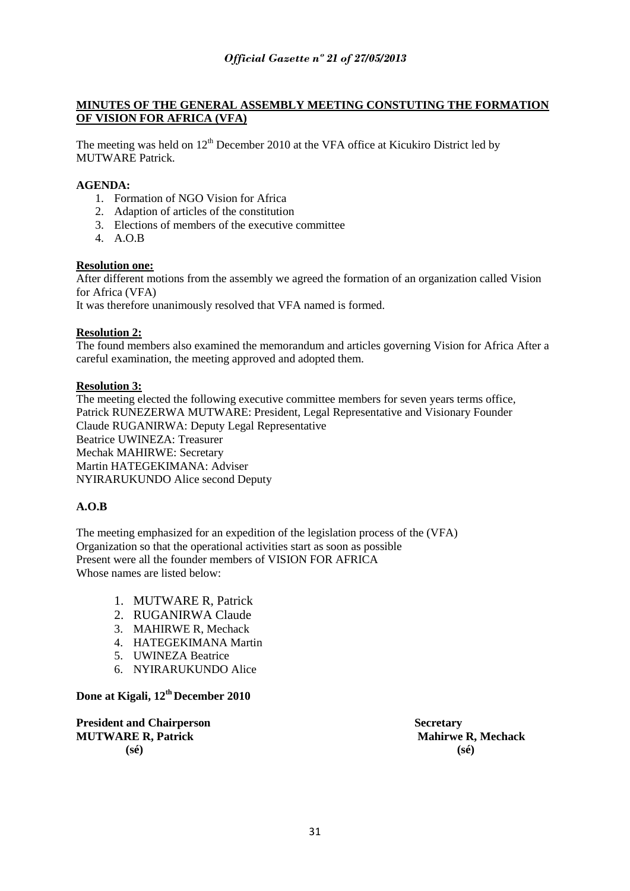### **MINUTES OF THE GENERAL ASSEMBLY MEETING CONSTUTING THE FORMATION OF VISION FOR AFRICA (VFA)**

The meeting was held on  $12<sup>th</sup>$  December 2010 at the VFA office at Kicukiro District led by MUTWARE Patrick.

### **AGENDA:**

- 1. Formation of NGO Vision for Africa
- 2. Adaption of articles of the constitution
- 3. Elections of members of the executive committee
- 4. A.O.B

### **Resolution one:**

After different motions from the assembly we agreed the formation of an organization called Vision for Africa (VFA)

It was therefore unanimously resolved that VFA named is formed.

### **Resolution 2:**

The found members also examined the memorandum and articles governing Vision for Africa After a careful examination, the meeting approved and adopted them.

### **Resolution 3:**

The meeting elected the following executive committee members for seven years terms office, Patrick RUNEZERWA MUTWARE: President, Legal Representative and Visionary Founder Claude RUGANIRWA: Deputy Legal Representative Beatrice UWINEZA: Treasurer Mechak MAHIRWE: Secretary Martin HATEGEKIMANA: Adviser NYIRARUKUNDO Alice second Deputy

### **A.O.B**

The meeting emphasized for an expedition of the legislation process of the (VFA) Organization so that the operational activities start as soon as possible Present were all the founder members of VISION FOR AFRICA Whose names are listed below:

- 1. MUTWARE R, Patrick
- 2. RUGANIRWA Claude
- 3. MAHIRWE R, Mechack
- 4. HATEGEKIMANA Martin
- 5. UWINEZA Beatrice
- 6. NYIRARUKUNDO Alice

### **Done at Kigali, 12th December 2010**

**President and Chairperson Secretary Secretary And Secretary 3. Secretary 3. Secretary 3. Secretary 3. Secretary 3. Secretary 3. Secretary 3. Secretary 3. Secretary 3. Secretary 3. Secretary 3. Secretary 3. Secretary 3. Se MUTWARE R, Patrick Mahirwe R, Mechack (sé) (sé)**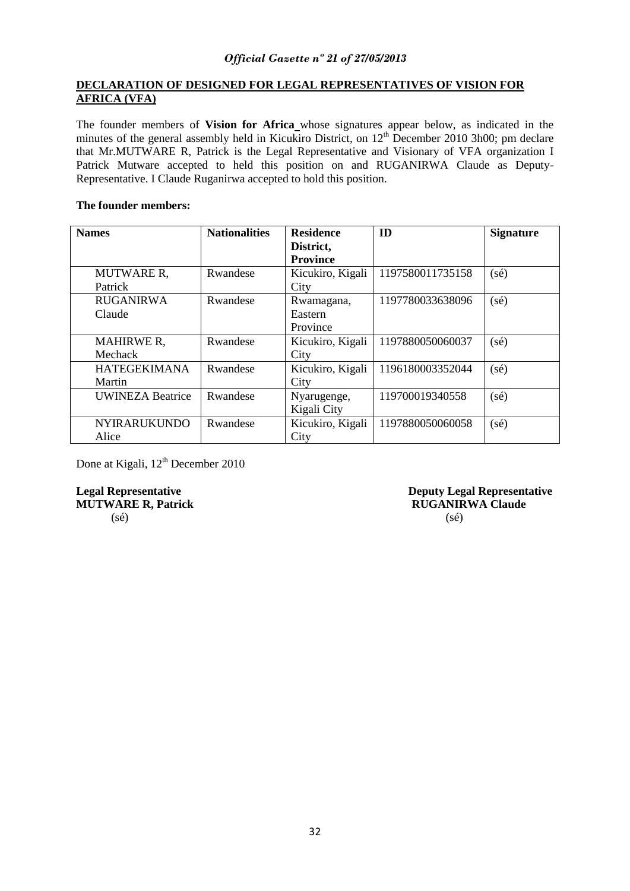### **DECLARATION OF DESIGNED FOR LEGAL REPRESENTATIVES OF VISION FOR AFRICA (VFA)**

The founder members of **Vision for Africa** whose signatures appear below, as indicated in the minutes of the general assembly held in Kicukiro District, on  $12<sup>th</sup>$  December 2010 3h00; pm declare that Mr.MUTWARE R, Patrick is the Legal Representative and Visionary of VFA organization I Patrick Mutware accepted to held this position on and RUGANIRWA Claude as Deputy-Representative. I Claude Ruganirwa accepted to hold this position.

### **The founder members:**

| <b>Names</b>            | <b>Nationalities</b> | <b>Residence</b> | ID               | <b>Signature</b> |
|-------------------------|----------------------|------------------|------------------|------------------|
|                         |                      | District,        |                  |                  |
|                         |                      | <b>Province</b>  |                  |                  |
| <b>MUTWARE R.</b>       | Rwandese             | Kicukiro, Kigali | 1197580011735158 | $(s\acute{e})$   |
| Patrick                 |                      | City             |                  |                  |
| <b>RUGANIRWA</b>        | Rwandese             | Rwamagana,       | 1197780033638096 | $(s\acute{e})$   |
| Claude                  |                      | Eastern          |                  |                  |
|                         |                      | Province         |                  |                  |
| <b>MAHIRWE R,</b>       | Rwandese             | Kicukiro, Kigali | 1197880050060037 | $(s\acute{e})$   |
| Mechack                 |                      | City             |                  |                  |
| <b>HATEGEKIMANA</b>     | Rwandese             | Kicukiro, Kigali | 1196180003352044 | $(s\acute{e})$   |
| Martin                  |                      | City             |                  |                  |
| <b>UWINEZA Beatrice</b> | Rwandese             | Nyarugenge,      | 119700019340558  | $(s\acute{e})$   |
|                         |                      | Kigali City      |                  |                  |
| <b>NYIRARUKUNDO</b>     | Rwandese             | Kicukiro, Kigali | 1197880050060058 | $(s\acute{e})$   |
| Alice                   |                      | City             |                  |                  |

Done at Kigali, 12<sup>th</sup> December 2010

**MUTWARE R, Patrick**  $(s\acute{e})$  (sé)

**Legal Representative Server Exercise Server Allen Server Server Allen Server Allen Server Allen Server Allen Server Allen Server Allen Server Allen Server Allen Server Allen Server Allen Server Allen Server Allen Server A**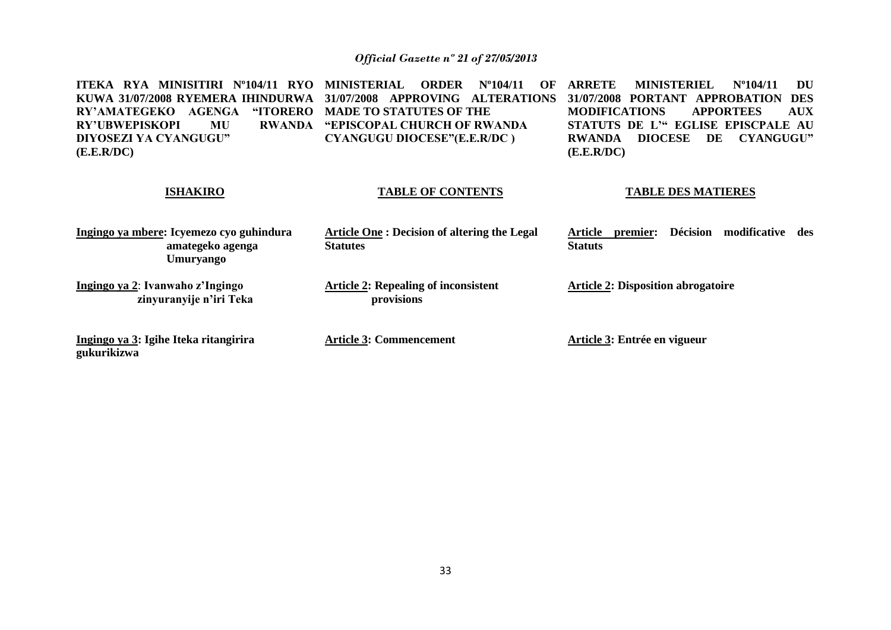**ITEKA RYA MINISITIRI Nº104/11 RYO KUWA 31/07/2008 RYEMERA IHINDURWA 31/07/2008 APPROVING ALTERATIONS**  RY'AMATEGEKO AGENGA **RY'UBWEPISKOPI MU DIYOSEZI YA CYANGUGU" (E.E.R/DC) ISHAKIRO Ingingo ya mbere: Icyemezo cyo guhindura amategeko agenga Umuryango Ingingo ya 2**: **Ivanwaho z'Ingingo zinyuranyije n'iri Teka ORDER Nº104/11 OF ARRETE "ITORERO MADE TO STATUTES OF THE "EPISCOPAL CHURCH OF RWANDA CYANGUGU DIOCESE"(E.E.R/DC ) TABLE OF CONTENTS Article One : Decision of altering the Legal Statutes Article 2: Repealing of inconsistent provisions ARRETE MINISTERIEL Nº104/11 DU 31/07/2008 PORTANT APPROBATION DES MODIFICATIONS APPORTEES AUX STATUTS DE L'" EGLISE EPISCPALE AU RWANDA DIOCESE DE CYANGUGU" (E.E.R/DC) TABLE DES MATIERES Article premier: Décision modificative des Statuts Article 2: Disposition abrogatoire**

**Ingingo ya 3: Igihe Iteka ritangirira gukurikizwa**

**Article 3: Commencement**

**Article 3: Entrée en vigueur**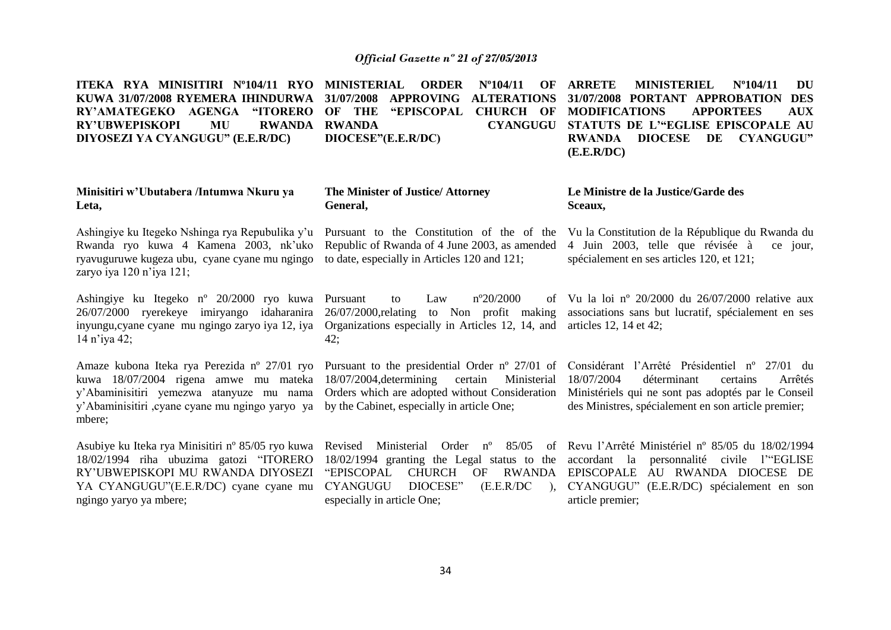**ITEKA RYA MINISITIRI Nº104/11 RYO MINISTERIAL ORDER Nº104/11 OF KUWA 31/07/2008 RYEMERA IHINDURWA RY'AMATEGEKO AGENGA "ITORERO OF THE "EPISCOPAL CHURCH OF MODIFICATIONS APPORTEES AUX RY'UBWEPISKOPI MU RWANDA DIYOSEZI YA CYANGUGU" (E.E.R/DC) Minisitiri w'Ubutabera /Intumwa Nkuru ya Leta,** Ashingiye ku Itegeko Nshinga rya Repubulika y'u Rwanda ryo kuwa 4 Kamena 2003, nk'uko ryavuguruwe kugeza ubu, cyane cyane mu ngingo to date, especially in Articles 120 and 121; zaryo iya 120 n'iya 121; Ashingiye ku Itegeko nº 20/2000 ryo kuwa 26/07/2000 ryerekeye imiryango idaharanira inyungu,cyane cyane mu ngingo zaryo iya 12, iya Organizations especially in Articles 12, 14, and 14 n'iya 42; Amaze kubona Iteka rya Perezida nº 27/01 ryo Pursuant to the presidential Order nº 27/01 of Considérant l'Arrêté Présidentiel nº 27/01 du kuwa 18/07/2004 rigena amwe mu mateka 18/07/2004,determining certain Ministerial y'Abaminisitiri yemezwa atanyuze mu nama y'Abaminisitiri ,cyane cyane mu ngingo yaryo ya mbere; Asubiye ku Iteka rya Minisitiri n° 85/05 ryo kuwa Revised Ministerial Order n° 85/05 of Revu l'Arrêté Ministériel n° 85/05 du 18/02/1994 18/02/1994 riha ubuzima gatozi "ITORERO RY'UBWEPISKOPI MU RWANDA DIYOSEZI **31/07/2008 APPROVING ALTERATIONS RWANDA CYANGUGU STATUTS DE L'"EGLISE EPISCOPALE AU DIOCESE"(E.E.R/DC) The Minister of Justice/ Attorney General,** Pursuant to the Constitution of the of the Republic of Rwanda of 4 June 2003, as amended to Law  $n^{\circ}20/2000$ 26/07/2000,relating to Non profit making  $42:$ Orders which are adopted without Consideration by the Cabinet, especially in article One; 18/02/1994 granting the Legal status to the accordant la personnalité civile l'"EGLISE "EPISCOPAL CHURCH OF RWANDA EPISCOPALE AU RWANDA DIOCESE DE **ARRETE MINISTERIEL Nº104/11 DU 31/07/2008 PORTANT APPROBATION DES RWANDA DIOCESE DE CYANGUGU" (E.E.R/DC) Le Ministre de la Justice/Garde des Sceaux,** Vu la Constitution de la République du Rwanda du 4 Juin 2003, telle que révisée à ce jour, spécialement en ses articles 120, et 121; Vu la loi nº 20/2000 du 26/07/2000 relative aux associations sans but lucratif, spécialement en ses articles 12, 14 et 42; 18/07/2004 déterminant certains Arrêtés Ministériels qui ne sont pas adoptés par le Conseil des Ministres, spécialement en son article premier;

34

especially in article One;

CYANGUGU DIOCESE" (E.E.R/DC ), CYANGUGU" (E.E.R/DC) spécialement en son

article premier;

YA CYANGUGU"(E.E.R/DC) cyane cyane mu

ngingo yaryo ya mbere;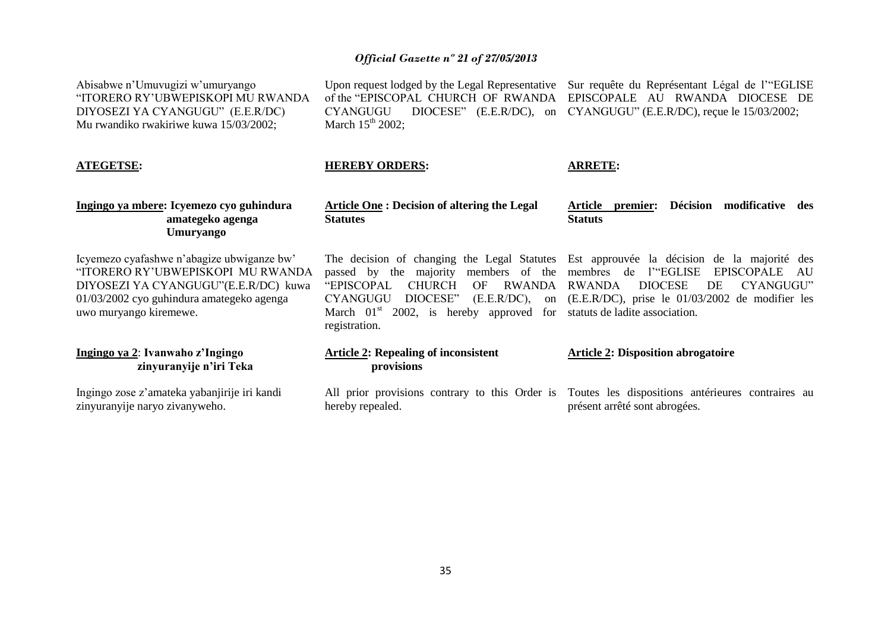Abisabwe n'Umuvugizi w'umuryango "ITORERO RY'UBWEPISKOPI MU RWANDA DIYOSEZI YA CYANGUGU" (E.E.R/DC) Mu rwandiko rwakiriwe kuwa 15/03/2002;

**ATEGETSE:**

zinyuranyije naryo zivanyweho.

Upon request lodged by the Legal Representative Sur requête du Représentant Légal de l'"EGLISE of the "EPISCOPAL CHURCH OF RWANDA EPISCOPALE AU RWANDA DIOCESE DE CYANGUGU DIOCESE" (E.E.R/DC), on CYANGUGU" (E.E.R/DC), reçue le 15/03/2002; March  $15<sup>th</sup>$  2002;

### **HEREBY ORDERS:**

hereby repealed.

#### **ARRETE:**

présent arrêté sont abrogées.

| Ingingo ya mbere: Icyemezo cyo guhindura<br>amategeko agenga<br><b>Umuryango</b>                                                                                                               | <b>Article One: Decision of altering the Legal</b><br><b>Statutes</b>                                                                                                              | <b>Décision</b><br>modificative des<br>Article<br>premier:<br><b>Statuts</b>                                                                                                                                                                                                                   |
|------------------------------------------------------------------------------------------------------------------------------------------------------------------------------------------------|------------------------------------------------------------------------------------------------------------------------------------------------------------------------------------|------------------------------------------------------------------------------------------------------------------------------------------------------------------------------------------------------------------------------------------------------------------------------------------------|
| Icyemezo cyafashwe n'abagize ubwiganze bw'<br>"ITORERO RY'UBWEPISKOPI MU RWANDA<br>DIYOSEZI YA CYANGUGU"(E.E.R/DC) kuwa<br>01/03/2002 cyo guhindura amategeko agenga<br>uwo muryango kiremewe. | passed by the majority members of the<br>"EPISCOPAL"<br><b>CHURCH</b><br>RWANDA<br>OF<br><b>CYANGUGU</b><br>DIOCESE"<br>March $01st$ 2002, is hereby approved for<br>registration. | The decision of changing the Legal Statutes Est approuvée la décision de la majorité des<br>membres de l'"EGLISE<br>EPISCOPALE<br>AU<br><b>DIOCESE</b><br>RWANDA<br>CYANGUGU"<br>DE.<br>$(E.E.R/DC)$ , on $(E.E.R/DC)$ , prise le 01/03/2002 de modifier les<br>statuts de ladite association. |
| Ingingo ya 2: Ivanwaho z'Ingingo<br>zinyuranyije n'iri Teka                                                                                                                                    | <b>Article 2: Repealing of inconsistent</b><br>provisions                                                                                                                          | <b>Article 2: Disposition abrogatoire</b>                                                                                                                                                                                                                                                      |
| Ingingo zose z'amateka yabanjirije iri kandi                                                                                                                                                   |                                                                                                                                                                                    | All prior provisions contrary to this Order is Toutes les dispositions antérieures contraires au                                                                                                                                                                                               |

35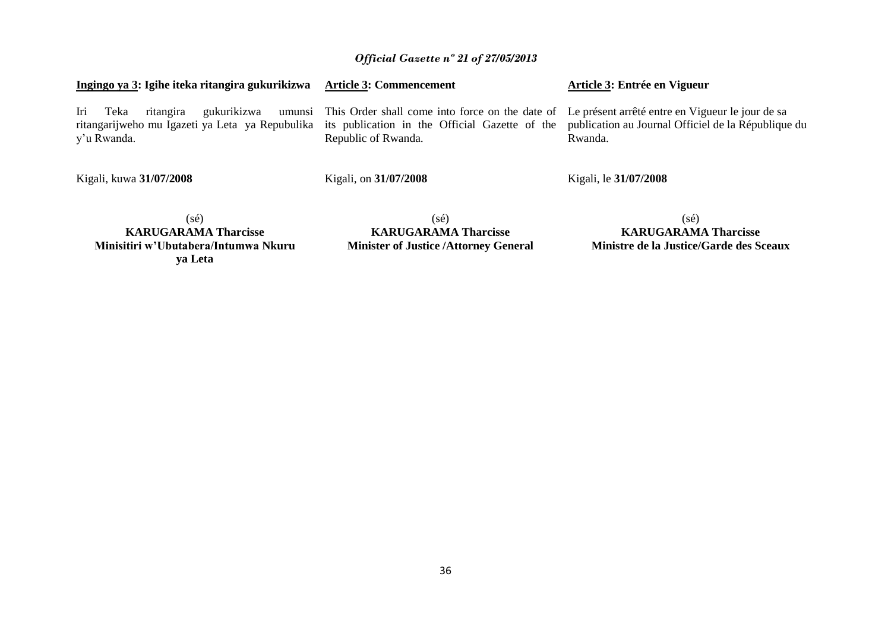| Ingingo ya 3: Igihe iteka ritangira gukurikizwa                                                                                                          | <b>Article 3: Commencement</b>                                                                                                 | Article 3: Entrée en Vigueur                                   |
|----------------------------------------------------------------------------------------------------------------------------------------------------------|--------------------------------------------------------------------------------------------------------------------------------|----------------------------------------------------------------|
| gukurikizwa<br>Iri<br>Teka<br>ritangira<br>ritangarijweho mu Igazeti ya Leta ya Repubulika its publication in the Official Gazette of the<br>y'u Rwanda. | umunsi This Order shall come into force on the date of Le présent arrêté entre en Vigueur le jour de sa<br>Republic of Rwanda. | publication au Journal Officiel de la République du<br>Rwanda. |
| Kigali, kuwa 31/07/2008                                                                                                                                  | Kigali, on 31/07/2008                                                                                                          | Kigali, le 31/07/2008                                          |
|                                                                                                                                                          |                                                                                                                                |                                                                |

(sé) **KARUGARAMA Tharcisse Minisitiri w'Ubutabera/Intumwa Nkuru ya Leta**

(sé) **KARUGARAMA Tharcisse Minister of Justice /Attorney General**

(sé) **KARUGARAMA Tharcisse Ministre de la Justice/Garde des Sceaux**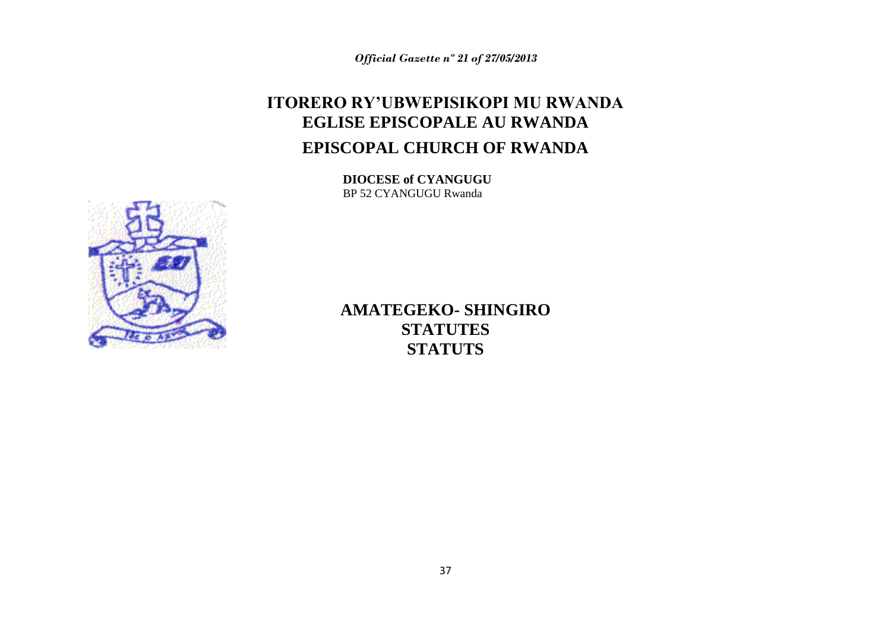# **ITORERO RY'UBWEPISIKOPI MU RWANDA EGLISE EPISCOPALE AU RWANDA EPISCOPAL CHURCH OF RWANDA**

**DIOCESE of CYANGUGU** BP 52 CYANGUGU Rwanda



**AMATEGEKO- SHINGIRO STATUTES STATUTS**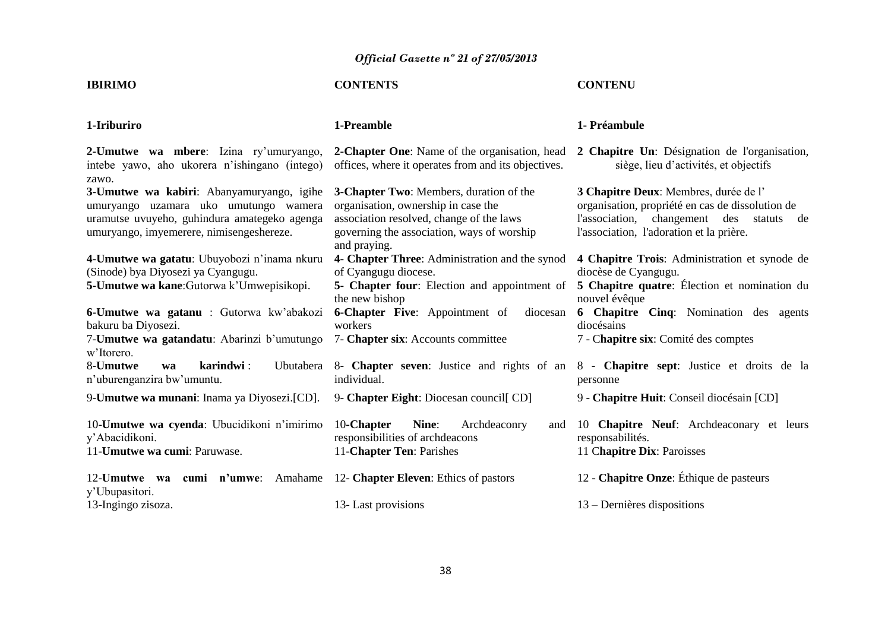## **IBIRIMO CONTENTS CONTENU**

| 1-Iriburiro                                                                                                                                                                    | 1-Preamble                                                                                                                                                                               | 1- Préambule                                                                                                                                                                         |
|--------------------------------------------------------------------------------------------------------------------------------------------------------------------------------|------------------------------------------------------------------------------------------------------------------------------------------------------------------------------------------|--------------------------------------------------------------------------------------------------------------------------------------------------------------------------------------|
| 2-Umutwe wa mbere: Izina ry'umuryango,<br>intebe yawo, aho ukorera n'ishingano (intego)<br>zawo.                                                                               | 2-Chapter One: Name of the organisation, head<br>offices, where it operates from and its objectives.                                                                                     | 2 Chapitre Un: Désignation de l'organisation,<br>siège, lieu d'activités, et objectifs                                                                                               |
| 3-Umutwe wa kabiri: Abanyamuryango, igihe<br>umuryango uzamara uko umutungo wamera<br>uramutse uvuyeho, guhindura amategeko agenga<br>umuryango, imyemerere, nimisengeshereze. | 3-Chapter Two: Members, duration of the<br>organisation, ownership in case the<br>association resolved, change of the laws<br>governing the association, ways of worship<br>and praying. | 3 Chapitre Deux: Membres, durée de l'<br>organisation, propriété en cas de dissolution de<br>l'association, changement des statuts<br>de<br>l'association, l'adoration et la prière. |
| 4-Umutwe wa gatatu: Ubuyobozi n'inama nkuru                                                                                                                                    | 4- Chapter Three: Administration and the synod                                                                                                                                           | 4 Chapitre Trois: Administration et synode de                                                                                                                                        |
| (Sinode) bya Diyosezi ya Cyangugu.                                                                                                                                             | of Cyangugu diocese.                                                                                                                                                                     | diocèse de Cyangugu.                                                                                                                                                                 |
| 5-Umutwe wa kane: Gutorwa k'Umwepisikopi.                                                                                                                                      | 5- Chapter four: Election and appointment of<br>the new bishop                                                                                                                           | 5 Chapitre quatre: Élection et nomination du<br>nouvel évêque                                                                                                                        |
| 6-Umutwe wa gatanu : Gutorwa kw'abakozi<br>bakuru ba Diyosezi.                                                                                                                 | <b>6-Chapter Five:</b> Appointment of<br>diocesan<br>workers                                                                                                                             | <b>6 Chapitre Cinq:</b> Nomination des agents<br>diocésains                                                                                                                          |
| 7- <b>Umutwe wa gatandatu</b> : Abarinzi b'umutungo<br>w'Itorero.                                                                                                              | 7- Chapter six: Accounts committee                                                                                                                                                       | 7 - Chapitre six: Comité des comptes                                                                                                                                                 |
| 8-Umutwe<br>karindwi:<br>Ubutabera<br>wa<br>n'uburenganzira bw'umuntu.                                                                                                         | individual.                                                                                                                                                                              | 8- Chapter seven: Justice and rights of an 8 - Chapitre sept: Justice et droits de la<br>personne                                                                                    |
| 9- <b>Umutwe wa munani</b> : Inama ya Diyosezi.[CD].                                                                                                                           | 9- Chapter Eight: Diocesan council [CD]                                                                                                                                                  | 9 - Chapitre Huit: Conseil diocésain [CD]                                                                                                                                            |
| 10-Umutwe wa cyenda: Ubucidikoni n'imirimo<br>y'Abacidikoni.<br>11- <b>Umutwe wa cumi</b> : Paruwase.                                                                          | 10-Chapter<br>Nine:<br>Archdeaconry<br>and<br>responsibilities of archdeacons<br>11-Chapter Ten: Parishes                                                                                | 10 Chapitre Neuf: Archdeaconary et leurs<br>responsabilités.<br>11 Chapitre Dix: Paroisses                                                                                           |
| 12-Umutwe wa cumi n'umwe: Amahame<br>y'Ubupasitori.                                                                                                                            | 12- <b>Chapter Eleven</b> : Ethics of pastors                                                                                                                                            | 12 - Chapitre Onze: Éthique de pasteurs                                                                                                                                              |
| 13-Ingingo zisoza.                                                                                                                                                             | 13- Last provisions                                                                                                                                                                      | $13 -$ Dernières dispositions                                                                                                                                                        |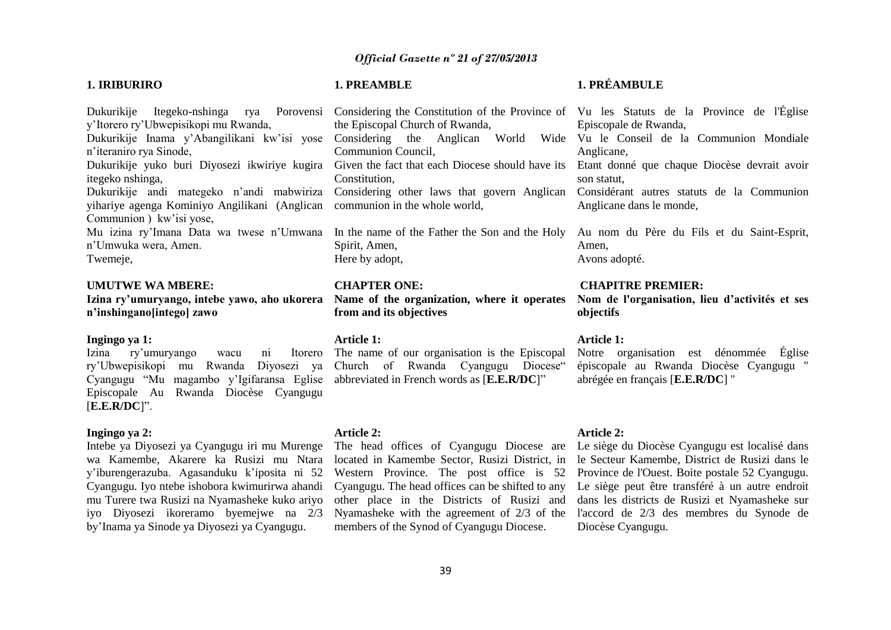#### **1. IRIBURIRO**

Dukurikije Itegeko-nshinga rya Porovensi y'Itorero ry'Ubwepisikopi mu Rwanda, Dukurikije Inama y'Abangilikani kw'isi yose Considering the Anglican World Wide Vu le Conseil de la Communion Mondiale n'iteraniro rya Sinode,

itegeko nshinga,

yihariye agenga Kominiyo Angilikani (Anglican Communion ) kw'isi yose,

Mu izina ry'Imana Data wa twese n'Umwana In the name of the Father the Son and the Holy n'Umwuka wera, Amen. Twemeje,

#### **UMUTWE WA MBERE:**

**n'inshingano[intego] zawo**

#### **Ingingo ya 1:**

Izina ry'umuryango wacu ni ry'Ubwepisikopi mu Rwanda Diyosezi ya Church of Rwanda Cyangugu Diocese" Cyangugu "Mu magambo y'Igifaransa Eglise abbreviated in French words as [**E.E.R/DC**]" Episcopale Au Rwanda Diocèse Cyangugu [**E.E.R/DC**]".

#### **Ingingo ya 2:**

Intebe ya Diyosezi ya Cyangugu iri mu Murenge wa Kamembe, Akarere ka Rusizi mu Ntara y'iburengerazuba. Agasanduku k'iposita ni 52 Cyangugu. Iyo ntebe ishobora kwimurirwa ahandi mu Turere twa Rusizi na Nyamasheke kuko ariyo iyo Diyosezi ikoreramo byemejwe na 2/3 by'Inama ya Sinode ya Diyosezi ya Cyangugu.

#### **1. PREAMBLE**

## **1. PRÉAMBULE**

Dukurikije yuko buri Diyosezi ikwiriye kugira Given the fact that each Diocese should have its Etant donné que chaque Diocèse devrait avoir Dukurikije andi mategeko n'andi mabwiriza Considering other laws that govern Anglican Considérant autres statuts de la Communion Considering the Constitution of the Province of Vu les Statuts de la Province de l'Église the Episcopal Church of Rwanda, Communion Council, Constitution, communion in the whole world,

> Spirit, Amen, Here by adopt,

#### **CHAPTER ONE:**

**Izina ry'umuryango, intebe yawo, aho ukorera Name of the organization, where it operates from and its objectives**

#### **Article 1:**

The name of our organisation is the Episcopal

#### **Article 2:**

Western Province. The post office is 52 members of the Synod of Cyangugu Diocese.

Episcopale de Rwanda,

Anglicane,

son statut,

Anglicane dans le monde,

Au nom du Père du Fils et du Saint-Esprit, Amen, Avons adopté.

#### **CHAPITRE PREMIER:**

**Nom de l'organisation, lieu d'activités et ses objectifs** 

#### **Article 1:**

Notre organisation est dénommée Église épiscopale au Rwanda Diocèse Cyangugu " abrégée en français [**E.E.R/DC**] "

#### **Article 2:**

The head offices of Cyangugu Diocese are Le siège du Diocèse Cyangugu est localisé dans located in Kamembe Sector, Rusizi District, in le Secteur Kamembe, District de Rusizi dans le Cyangugu. The head offices can be shifted to any Le siège peut être transféré à un autre endroit other place in the Districts of Rusizi and dans les districts de Rusizi et Nyamasheke sur Nyamasheke with the agreement of 2/3 of the l'accord de 2/3 des membres du Synode de Province de l'Ouest. Boite postale 52 Cyangugu. Diocèse Cyangugu.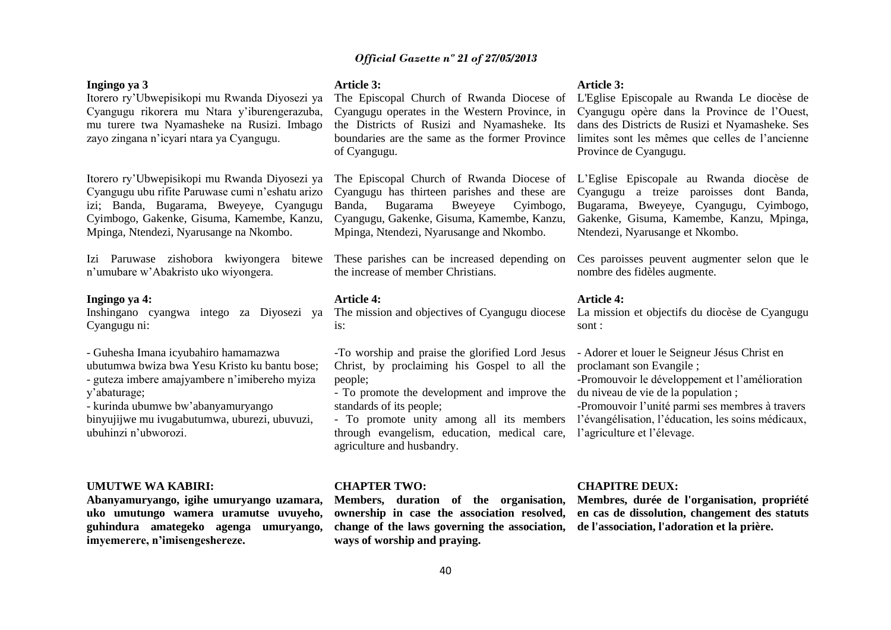#### **Ingingo ya 3**

## Itorero ry'Ubwepisikopi mu Rwanda Diyosezi ya Cyangugu rikorera mu Ntara y'iburengerazuba, mu turere twa Nyamasheke na Rusizi. Imbago zayo zingana n'icyari ntara ya Cyangugu.

Itorero ry'Ubwepisikopi mu Rwanda Diyosezi ya Cyangugu ubu rifite Paruwase cumi n'eshatu arizo izi; Banda, Bugarama, Bweyeye, Cyangugu Cyimbogo, Gakenke, Gisuma, Kamembe, Kanzu, Mpinga, Ntendezi, Nyarusange na Nkombo.

Izi Paruwase zishobora kwiyongera bitewe n'umubare w'Abakristo uko wiyongera.

#### **Ingingo ya 4:**

Inshingano cyangwa intego za Diyosezi ya Cyangugu ni:

- Guhesha Imana icyubahiro hamamazwa
- ubutumwa bwiza bwa Yesu Kristo ku bantu bose; - guteza imbere amajyambere n'imibereho myiza

y'abaturage;

- kurinda ubumwe bw'abanyamuryango

binyujijwe mu ivugabutumwa, uburezi, ubuvuzi, ubuhinzi n'ubworozi.

#### **UMUTWE WA KABIRI:**

**Abanyamuryango, igihe umuryango uzamara, uko umutungo wamera uramutse uvuyeho, guhindura amategeko agenga umuryango, imyemerere, n'imisengeshereze.**

#### **Article 3:**

The Episcopal Church of Rwanda Diocese of Cyangugu operates in the Western Province, in the Districts of Rusizi and Nyamasheke. Its boundaries are the same as the former Province of Cyangugu.

The Episcopal Church of Rwanda Diocese of Cyangugu has thirteen parishes and these are Banda, Bugarama Bweyeye Cyimbogo, Cyangugu, Gakenke, Gisuma, Kamembe, Kanzu, Mpinga, Ntendezi, Nyarusange and Nkombo.

These parishes can be increased depending on the increase of member Christians.

#### **Article 4:**

The mission and objectives of Cyangugu diocese  $i_{S}$ :

-To worship and praise the glorified Lord Jesus Christ, by proclaiming his Gospel to all the people;

- To promote the development and improve the standards of its people;

through evangelism, education, medical care, l'agriculture et l'élevage. agriculture and husbandry.

#### **CHAPTER TWO:**

**Members, duration of the organisation, ownership in case the association resolved, change of the laws governing the association, de l'association, l'adoration et la prière. ways of worship and praying.**

#### **Article 3:**

L'Eglise Episcopale au Rwanda Le diocèse de Cyangugu opère dans la Province de l'Ouest, dans des Districts de Rusizi et Nyamasheke. Ses limites sont les mêmes que celles de l'ancienne Province de Cyangugu.

L'Eglise Episcopale au Rwanda diocèse de Cyangugu a treize paroisses dont Banda, Bugarama, Bweyeye, Cyangugu, Cyimbogo, Gakenke, Gisuma, Kamembe, Kanzu, Mpinga, Ntendezi, Nyarusange et Nkombo.

Ces paroisses peuvent augmenter selon que le nombre des fidèles augmente.

#### **Article 4:**

La mission et objectifs du diocèse de Cyangugu sont :

- Adorer et louer le Seigneur Jésus Christ en proclamant son Evangile ;

-Promouvoir le développement et l'amélioration du niveau de vie de la population ;

- To promote unity among all its members l'évangélisation, l'éducation, les soins médicaux, -Promouvoir l'unité parmi ses membres à travers

#### **CHAPITRE DEUX:**

**Membres, durée de l'organisation, propriété en cas de dissolution, changement des statuts**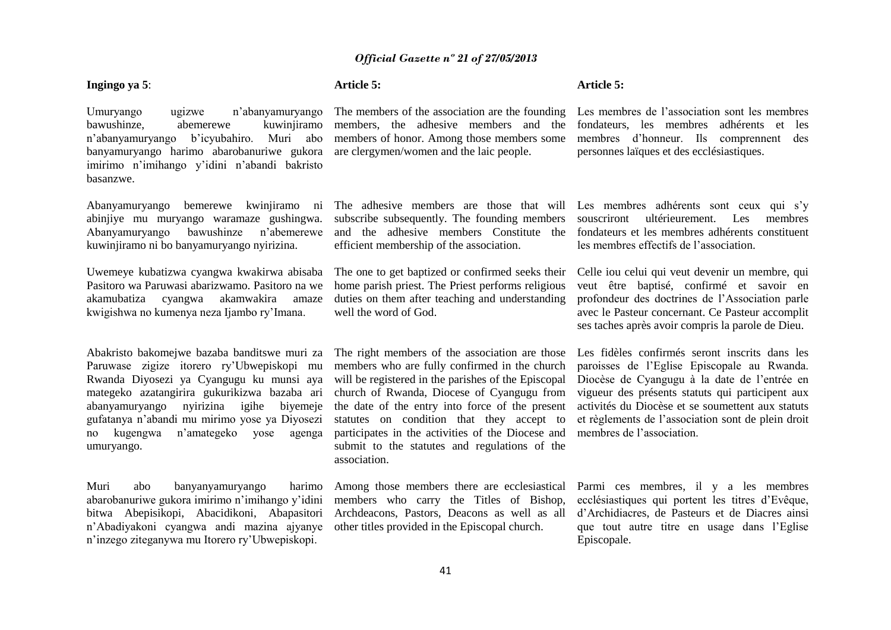41

## *Official Gazette nº 21 of 27/05/2013*

**Article 5:**

#### **Ingingo ya 5**:

Umuryango ugizwe n'abanyamuryango bawushinze, abemerewe kuwinjiramo n'abanyamuryango b'icyubahiro. Muri abo banyamuryango harimo abarobanuriwe gukora imirimo n'imihango y'idini n'abandi bakristo basanzwe. The members of the association are the founding members, the adhesive members and the members of honor. Among those members some are clergymen/women and the laic people.

Abanyamuryango bemerewe kwinjiramo ni abinjiye mu muryango waramaze gushingwa. Abanyamuryango bawushinze n'abemerewe kuwinjiramo ni bo banyamuryango nyirizina.

Uwemeye kubatizwa cyangwa kwakirwa abisaba Pasitoro wa Paruwasi abarizwamo. Pasitoro na we akamubatiza cyangwa akamwakira amaze kwigishwa no kumenya neza Ijambo ry'Imana.

Abakristo bakomejwe bazaba banditswe muri za Paruwase zigize itorero ry'Ubwepiskopi mu Rwanda Diyosezi ya Cyangugu ku munsi aya mategeko azatangirira gukurikizwa bazaba ari abanyamuryango nyirizina igihe biyemeje gufatanya n'abandi mu mirimo yose ya Diyosezi no kugengwa n'amategeko yose agenga umuryango.

Muri abo banyanyamuryango harimo abarobanuriwe gukora imirimo n'imihango y'idini bitwa Abepisikopi, Abacidikoni, Abapasitori n'Abadiyakoni cyangwa andi mazina ajyanye n'inzego ziteganywa mu Itorero ry'Ubwepiskopi.

The adhesive members are those that will subscribe subsequently. The founding members and the adhesive members Constitute the efficient membership of the association.

The one to get baptized or confirmed seeks their home parish priest. The Priest performs religious duties on them after teaching and understanding well the word of God.

The right members of the association are those members who are fully confirmed in the church will be registered in the parishes of the Episcopal church of Rwanda, Diocese of Cyangugu from the date of the entry into force of the present statutes on condition that they accept to participates in the activities of the Diocese and submit to the statutes and regulations of the association.

Among those members there are ecclesiastical members who carry the Titles of Bishop, Archdeacons, Pastors, Deacons as well as all other titles provided in the Episcopal church.

Les membres de l'association sont les membres fondateurs, les membres adhérents et les membres d'honneur. Ils comprennent des personnes laïques et des ecclésiastiques.

**Article 5:** 

Les membres adhérents sont ceux qui s'y souscriront ultérieurement. Les membres fondateurs et les membres adhérents constituent les membres effectifs de l'association.

Celle iou celui qui veut devenir un membre, qui veut être baptisé, confirmé et savoir en profondeur des doctrines de l'Association parle avec le Pasteur concernant. Ce Pasteur accomplit ses taches après avoir compris la parole de Dieu.

Les fidèles confirmés seront inscrits dans les paroisses de l'Eglise Episcopale au Rwanda. Diocèse de Cyangugu à la date de l'entrée en vigueur des présents statuts qui participent aux activités du Diocèse et se soumettent aux statuts et règlements de l'association sont de plein droit membres de l'association.

Parmi ces membres, il y a les membres ecclésiastiques qui portent les titres d'Evêque, d'Archidiacres, de Pasteurs et de Diacres ainsi que tout autre titre en usage dans l'Eglise Episcopale.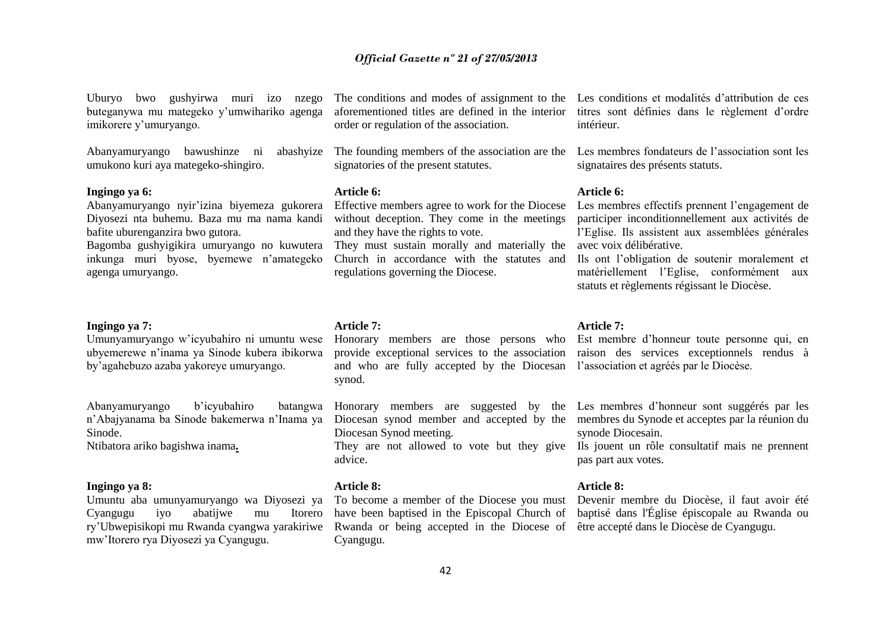Uburyo bwo gushyirwa muri izo nzego buteganywa mu mategeko y'umwihariko agenga imikorere y'umuryango.

umukono kuri aya mategeko-shingiro.

#### **Ingingo ya 6:**

Abanyamuryango nyir'izina biyemeza gukorera Diyosezi nta buhemu. Baza mu ma nama kandi bafite uburenganzira bwo gutora.

Bagomba gushyigikira umuryango no kuwutera inkunga muri byose, byemewe n'amategeko agenga umuryango.

#### **Ingingo ya 7:**

Umunyamuryango w'icyubahiro ni umuntu wese ubyemerewe n'inama ya Sinode kubera ibikorwa by'agahebuzo azaba yakoreye umuryango.

Abanyamuryango b'icyubahiro batangwa n'Abajyanama ba Sinode bakemerwa n'Inama ya Diocesan synod member and accepted by the membres du Synode et acceptes par la réunion du Sinode.

Ntibatora ariko bagishwa inama**.**

#### **Ingingo ya 8:**

Umuntu aba umunyamuryango wa Diyosezi ya To become a member of the Diocese you must Devenir membre du Diocèse, il faut avoir été Cyangugu iyo abatijwe mu Itorero ry'Ubwepisikopi mu Rwanda cyangwa yarakiriwe Rwanda or being accepted in the Diocese of être accepté dans le Diocèse de Cyangugu.mw'Itorero rya Diyosezi ya Cyangugu.

order or regulation of the association.

signatories of the present statutes.

#### **Article 6:**

Effective members agree to work for the Diocese without deception. They come in the meetings and they have the rights to vote.

They must sustain morally and materially the Church in accordance with the statutes and regulations governing the Diocese.

**Article 7:**

Honorary members are those persons who Est membre d'honneur toute personne qui, en and who are fully accepted by the Diocesan l'association et agréés par le Diocèse. synod.

Diocesan Synod meeting.

advice.

#### **Article 8:**

Cyangugu.

The conditions and modes of assignment to the Les conditions et modalités d'attribution de ces aforementioned titles are defined in the interior titres sont définies dans le règlement d'ordre intérieur.

Abanyamuryango bawushinze ni abashyize The founding members of the association are the Les membres fondateurs de l'association sont les signataires des présents statuts.

#### **Article 6:**

Les membres effectifs prennent l'engagement de participer inconditionnellement aux activités de l'Eglise. Ils assistent aux assemblées générales avec voix délibérative.

Ils ont l'obligation de soutenir moralement et matériellement l'Eglise, conformément aux statuts et règlements régissant le Diocèse.

#### **Article 7:**

provide exceptional services to the association raison des services exceptionnels rendus à

Honorary members are suggested by the Les membres d'honneur sont suggérés par les synode Diocesain.

They are not allowed to vote but they give Ils jouent un rôle consultatif mais ne prennent pas part aux votes.

#### **Article 8:**

have been baptised in the Episcopal Church of baptisé dans l'Église épiscopale au Rwanda ou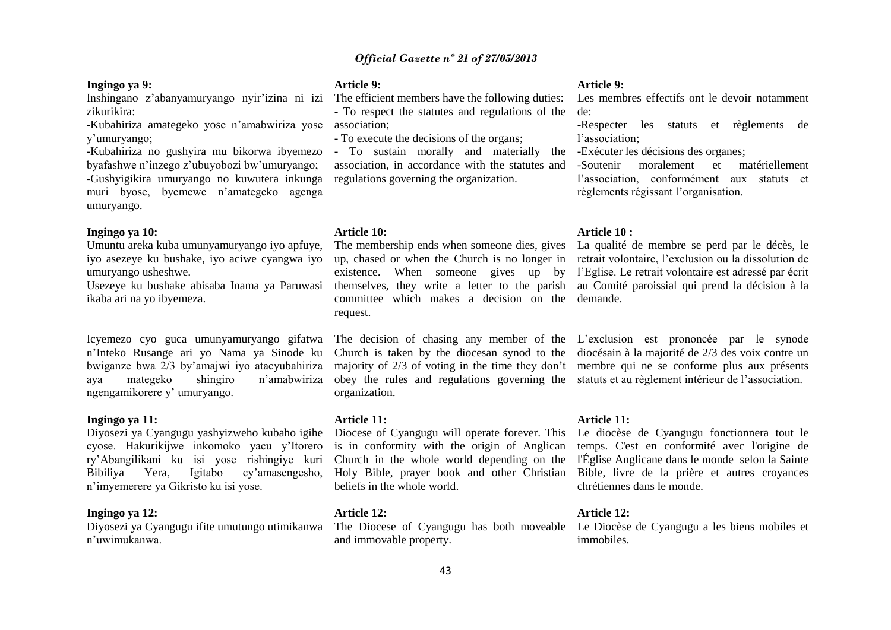#### **Ingingo ya 9:**

zikurikira:

-Kubahiriza amategeko yose n'amabwiriza yose association; y'umuryango;

-Kubahiriza no gushyira mu bikorwa ibyemezo byafashwe n'inzego z'ubuyobozi bw'umuryango; -Gushyigikira umuryango no kuwutera inkunga muri byose, byemewe n'amategeko agenga umuryango.

#### **Ingingo ya 10:**

Umuntu areka kuba umunyamuryango iyo apfuye, iyo asezeye ku bushake, iyo aciwe cyangwa iyo umuryango usheshwe.

ikaba ari na yo ibyemeza.

Icyemezo cyo guca umunyamuryango gifatwa n'Inteko Rusange ari yo Nama ya Sinode ku bwiganze bwa 2/3 by'amajwi iyo atacyubahiriza aya mategeko shingiro n'amabwiriza ngengamikorere y' umuryango.

#### **Ingingo ya 11:**

Diyosezi ya Cyangugu yashyizweho kubaho igihe cyose. Hakurikijwe inkomoko yacu y'Itorero ry'Abangilikani ku isi yose rishingiye kuri Bibiliya Yera, Igitabo cy'amasengesho, n'imyemerere ya Gikristo ku isi yose.

#### **Ingingo ya 12:**

Diyosezi ya Cyangugu ifite umutungo utimikanwa n'uwimukanwa.

#### **Article 9:**

Inshingano z'abanyamuryango nyir'izina ni izi The efficient members have the following duties: - To respect the statutes and regulations of the

- To execute the decisions of the organs;

- To sustain morally and materially the -Exécuter les décisions des organes; association, in accordance with the statutes and regulations governing the organization.

#### **Article 10:**

The membership ends when someone dies, gives La qualité de membre se perd par le décès, le committee which makes a decision on the demande. request.

obey the rules and regulations governing the statuts et au règlement intérieur de l'association. organization.

#### **Article 11:**

Diocese of Cyangugu will operate forever. This Le diocèse de Cyangugu fonctionnera tout le beliefs in the whole world.

#### **Article 12:**

and immovable property.

#### **Article 9:**

Les membres effectifs ont le devoir notamment de:

-Respecter les statuts et règlements de l'association;

-Soutenir moralement et matériellement l'association, conformément aux statuts et règlements régissant l'organisation.

#### **Article 10 :**

Usezeye ku bushake abisaba Inama ya Paruwasi themselves, they write a letter to the parish au Comité paroissial qui prend la décision à la up, chased or when the Church is no longer in retrait volontaire, l'exclusion ou la dissolution de existence. When someone gives up by l'Eglise. Le retrait volontaire est adressé par écrit

> The decision of chasing any member of the L'exclusion est prononcée par le synode Church is taken by the diocesan synod to the diocésain à la majorité de 2/3 des voix contre un majority of 2/3 of voting in the time they don't membre qui ne se conforme plus aux présents

#### **Article 11:**

is in conformity with the origin of Anglican temps. C'est en conformité avec l'origine de Church in the whole world depending on the l'Église Anglicane dans le monde selon la Sainte Holy Bible, prayer book and other Christian Bible, livre de la prière et autres croyances chrétiennes dans le monde.

#### **Article 12:**

The Diocese of Cyangugu has both moveable Le Diocèse de Cyangugu a les biens mobiles et immobiles.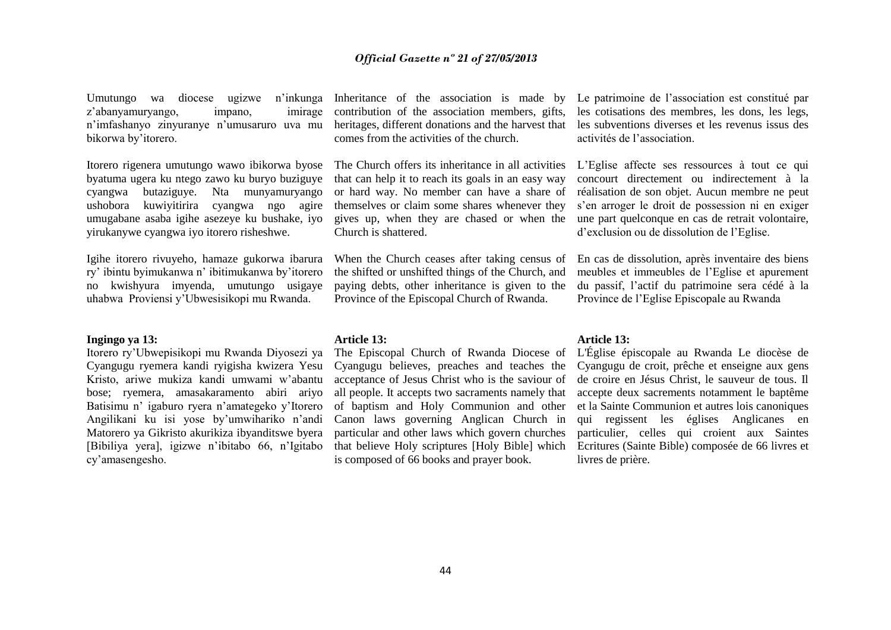Umutungo wa diocese ugizwe n'inkunga z'abanyamuryango, impano, imirage n'imfashanyo zinyuranye n'umusaruro uva mu bikorwa by'itorero.

Itorero rigenera umutungo wawo ibikorwa byose byatuma ugera ku ntego zawo ku buryo buziguye cyangwa butaziguye. Nta munyamuryango ushobora kuwiyitirira cyangwa ngo agire umugabane asaba igihe asezeye ku bushake, iyo yirukanywe cyangwa iyo itorero risheshwe.

Igihe itorero rivuyeho, hamaze gukorwa ibarura ry' ibintu byimukanwa n' ibitimukanwa by'itorero no kwishyura imyenda, umutungo usigaye uhabwa Proviensi y'Ubwesisikopi mu Rwanda.

#### **Ingingo ya 13:**

Itorero ry'Ubwepisikopi mu Rwanda Diyosezi ya Cyangugu ryemera kandi ryigisha kwizera Yesu Kristo, ariwe mukiza kandi umwami w'abantu bose; ryemera, amasakaramento abiri ariyo Batisimu n' igaburo ryera n'amategeko y'Itorero Angilikani ku isi yose by'umwihariko n'andi Matorero ya Gikristo akurikiza ibyanditswe byera [Bibiliya yera], igizwe n'ibitabo 66, n'Igitabo cy'amasengesho.

Inheritance of the association is made by contribution of the association members, gifts, heritages, different donations and the harvest that comes from the activities of the church.

The Church offers its inheritance in all activities that can help it to reach its goals in an easy way or hard way. No member can have a share of themselves or claim some shares whenever they gives up, when they are chased or when the Church is shattered.

When the Church ceases after taking census of the shifted or unshifted things of the Church, and paying debts, other inheritance is given to the Province of the Episcopal Church of Rwanda.

**Article 13:**

The Episcopal Church of Rwanda Diocese of Cyangugu believes, preaches and teaches the acceptance of Jesus Christ who is the saviour of all people. It accepts two sacraments namely that of baptism and Holy Communion and other Canon laws governing Anglican Church in particular and other laws which govern churches that believe Holy scriptures [Holy Bible] which is composed of 66 books and prayer book.

Le patrimoine de l'association est constitué par les cotisations des membres, les dons, les legs, les subventions diverses et les revenus issus des activités de l'association.

L'Eglise affecte ses ressources à tout ce qui concourt directement ou indirectement à la réalisation de son objet. Aucun membre ne peut s'en arroger le droit de possession ni en exiger une part quelconque en cas de retrait volontaire, d'exclusion ou de dissolution de l'Eglise.

En cas de dissolution, après inventaire des biens meubles et immeubles de l'Eglise et apurement du passif, l'actif du patrimoine sera cédé à la Province de l'Eglise Episcopale au Rwanda

#### **Article 13:**

L'Église épiscopale au Rwanda Le diocèse de Cyangugu de croit, prêche et enseigne aux gens de croire en Jésus Christ, le sauveur de tous. Il accepte deux sacrements notamment le baptême et la Sainte Communion et autres lois canoniques qui regissent les églises Anglicanes en particulier, celles qui croient aux Saintes Ecritures (Sainte Bible) composée de 66 livres et livres de prière.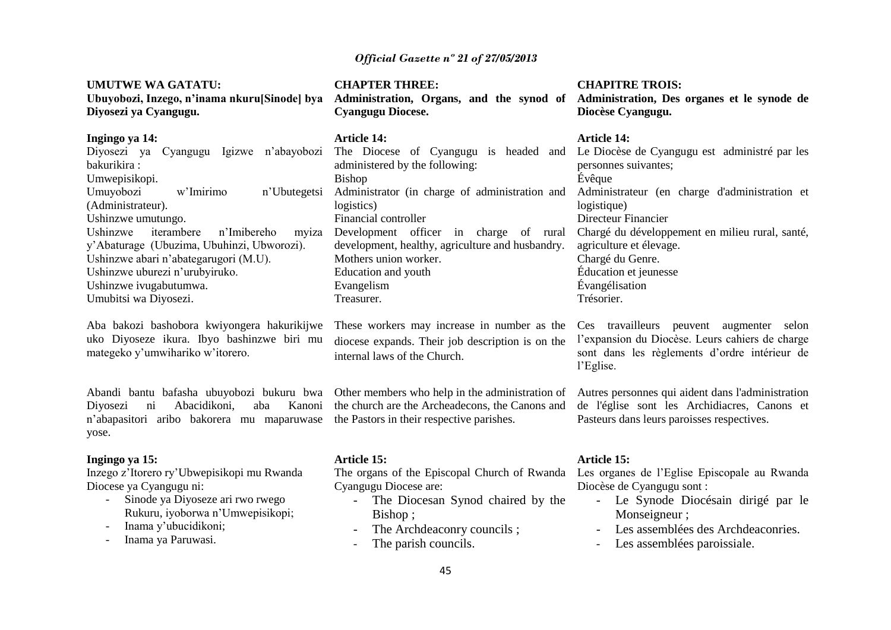| <b>UMUTWE WA GATATU:</b>                     |  |
|----------------------------------------------|--|
| Ubuyobozi, Inzego, n'inama nkuru[Sinode] bya |  |
| Diyosezi ya Cyangugu.                        |  |

#### **Ingingo ya 14:**

| Diyosezi ya Cyangugu Igizwe n'abayobozi    |
|--------------------------------------------|
|                                            |
|                                            |
| n'Ubutegetsi                               |
|                                            |
|                                            |
| Ushinzwe iterambere n'Imibereho myiza      |
| y'Abaturage (Ubuzima, Ubuhinzi, Ubworozi). |
|                                            |
|                                            |
|                                            |
|                                            |
|                                            |

Aba bakozi bashobora kwiyongera hakurikijwe uko Diyoseze ikura. Ibyo bashinzwe biri mu mategeko y'umwihariko w'itorero.

Abandi bantu bafasha ubuyobozi bukuru bwa Diyosezi ni Abacidikoni, aba Kanoni n'abapasitori aribo bakorera mu maparuwase yose.

#### **Ingingo ya 15:**

Inzego z'Itorero ry'Ubwepisikopi mu Rwanda Diocese ya Cyangugu ni:

- Sinode ya Diyoseze ari rwo rwego Rukuru, iyoborwa n'Umwepisikopi;
- Inama y'ubucidikoni;
- Inama ya Paruwasi.

**CHAPTER THREE: Administration, Organs, and the synod of Administration, Des organes et le synode de Cyangugu Diocese.**

#### **Article 14:**

The Diocese of Cyangugu is headed and Le Diocèse de Cyangugu est administré par les administered by the following: Bishop Administrator (in charge of administration and logistics) Financial controller Development officer in charge of rural development, healthy, agriculture and husbandry. Mothers union worker. Education and youth Evangelism Treasurer.

These workers may increase in number as the diocese expands. Their job description is on the internal laws of the Church.

Other members who help in the administration of the church are the Archeadecons, the Canons and the Pastors in their respective parishes.

#### **Article 15:**

The organs of the Episcopal Church of Rwanda Cyangugu Diocese are:

- The Diocesan Synod chaired by the Bishop ;
- The Archdeaconry councils :
- The parish councils.

## **CHAPITRE TROIS:**

**Diocèse Cyangugu.** 

#### **Article 14:**

personnes suivantes; Évêque Administrateur (en charge d'administration et logistique) Directeur Financier Chargé du développement en milieu rural, santé, agriculture et élevage. Chargé du Genre. Éducation et jeunesse Évangélisation Trésorier.

Ces travailleurs peuvent augmenter selon l'expansion du Diocèse. Leurs cahiers de charge sont dans les règlements d'ordre intérieur de l'Eglise.

Autres personnes qui aident dans l'administration de l'église sont les Archidiacres, Canons et Pasteurs dans leurs paroisses respectives.

#### **Article 15:**

Les organes de l'Eglise Episcopale au Rwanda Diocèse de Cyangugu sont :

- Le Synode Diocésain dirigé par le Monseigneur ;
- Les assemblées des Archdeaconries.
- Les assemblées paroissiale.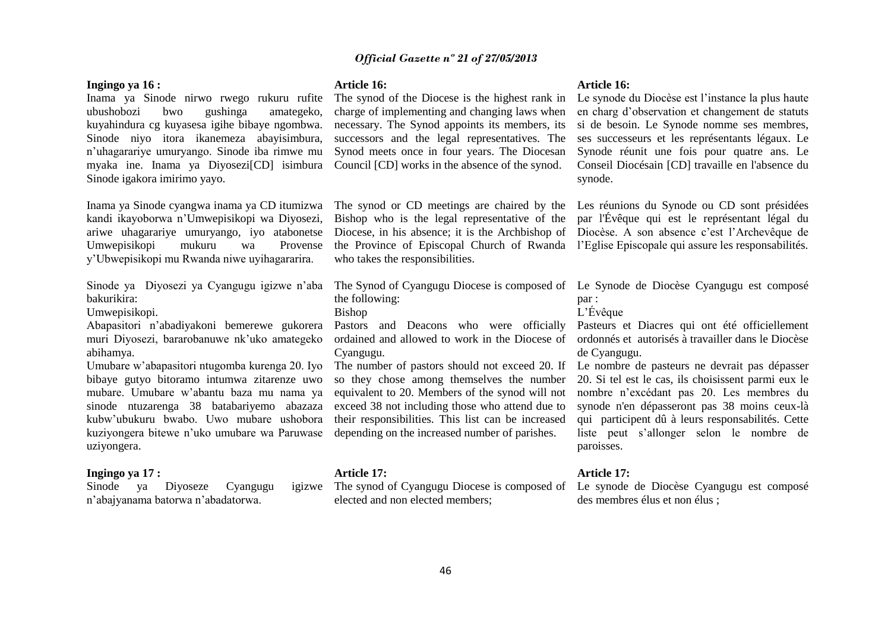#### **Ingingo ya 16 :**

Inama ya Sinode nirwo rwego rukuru rufite ubushobozi bwo gushinga amategeko, kuyahindura cg kuyasesa igihe bibaye ngombwa. Sinode niyo itora ikanemeza abayisimbura, n'uhagarariye umuryango. Sinode iba rimwe mu myaka ine. Inama ya Diyosezi[CD] isimbura Sinode igakora imirimo yayo.

Inama ya Sinode cyangwa inama ya CD itumizwa kandi ikayoborwa n'Umwepisikopi wa Diyosezi, ariwe uhagarariye umuryango, iyo atabonetse Umwepisikopi mukuru wa Provense y'Ubwepisikopi mu Rwanda niwe uyihagararira.

Sinode ya Diyosezi ya Cyangugu igizwe n'aba bakurikira:

Umwepisikopi.

Abapasitori n'abadiyakoni bemerewe gukorera muri Diyosezi, bararobanuwe nk'uko amategeko abihamya.

Umubare w'abapasitori ntugomba kurenga 20. Iyo bibaye gutyo bitoramo intumwa zitarenze uwo mubare. Umubare w'abantu baza mu nama ya sinode ntuzarenga 38 batabariyemo abazaza kubw'ubukuru bwabo. Uwo mubare ushobora kuziyongera bitewe n'uko umubare wa Paruwase uziyongera.

#### **Ingingo ya 17 :**

Sinode ya Diyoseze Cyangugu n'abajyanama batorwa n'abadatorwa.

#### **Article 16:**

The synod of the Diocese is the highest rank in charge of implementing and changing laws when necessary. The Synod appoints its members, its successors and the legal representatives. The Synod meets once in four years. The Diocesan Council [CD] works in the absence of the synod.

Bishop who is the legal representative of the who takes the responsibilities.

the following:

Bishop

Pastors and Deacons who were officially ordained and allowed to work in the Diocese of Cyangugu.

The number of pastors should not exceed 20. If Le nombre de pasteurs ne devrait pas dépasser so they chose among themselves the number equivalent to 20. Members of the synod will not exceed 38 not including those who attend due to their responsibilities. This list can be increased depending on the increased number of parishes.

#### **Article 17:**

The synod of Cyangugu Diocese is composed of Le synode de Diocèse Cyangugu est composé elected and non elected members;

#### **Article 16:**

Le synode du Diocèse est l'instance la plus haute en charg d'observation et changement de statuts si de besoin. Le Synode nomme ses membres, ses successeurs et les représentants légaux. Le Synode réunit une fois pour quatre ans. Le Conseil Diocésain [CD] travaille en l'absence du synode.

The synod or CD meetings are chaired by the Les réunions du Synode ou CD sont présidées Diocese, in his absence; it is the Archbishop of Diocèse. A son absence c'est l'Archevêque de the Province of Episcopal Church of Rwanda l'Eglise Episcopale qui assure les responsabilités. par l'Évêque qui est le représentant légal du

The Synod of Cyangugu Diocese is composed of Le Synode de Diocèse Cyangugu est composé par :

L'Évêque

Pasteurs et Diacres qui ont été officiellement ordonnés et autorisés à travailler dans le Diocèse de Cyangugu.

20. Si tel est le cas, ils choisissent parmi eux le nombre n'excédant pas 20. Les membres du synode n'en dépasseront pas 38 moins ceux-là qui participent dû à leurs responsabilités. Cette liste peut s'allonger selon le nombre de paroisses.

#### **Article 17:**

des membres élus et non élus ;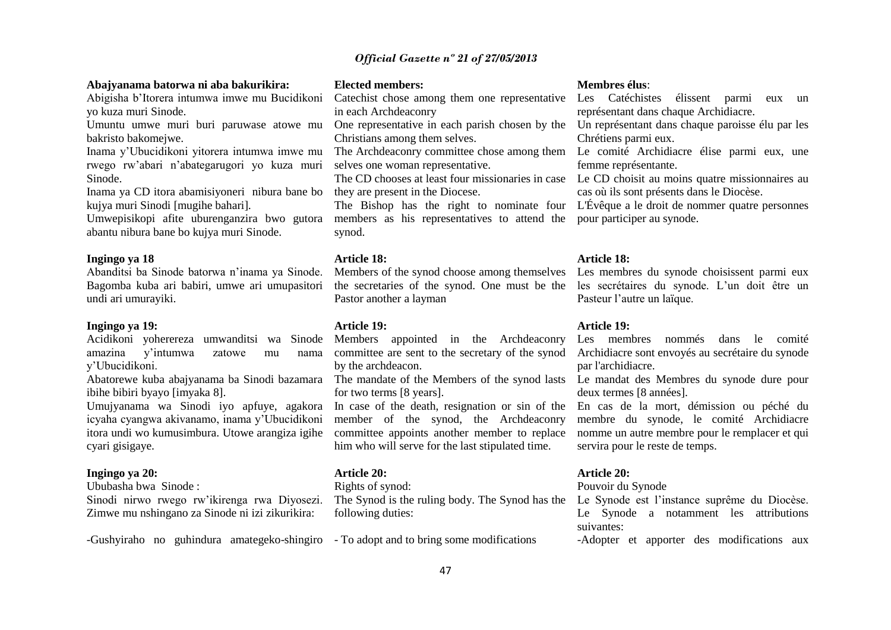#### **Abajyanama batorwa ni aba bakurikira:**

Abigisha b'Itorera intumwa imwe mu Bucidikoni yo kuza muri Sinode.

Umuntu umwe muri buri paruwase atowe mu bakristo bakomejwe.

Inama y'Ubucidikoni yitorera intumwa imwe mu rwego rw'abari n'abategarugori yo kuza muri Sinode.

Inama ya CD itora abamisiyoneri nibura bane bo kujya muri Sinodi [mugihe bahari].

Umwepisikopi afite uburenganzira bwo gutora abantu nibura bane bo kujya muri Sinode.

#### **Ingingo ya 18**

Abanditsi ba Sinode batorwa n'inama ya Sinode. Bagomba kuba ari babiri, umwe ari umupasitori undi ari umurayiki.

#### **Ingingo ya 19:**

Acidikoni yoherereza umwanditsi wa Sinode amazina y'intumwa zatowe mu nama y'Ubucidikoni.

Abatorewe kuba abajyanama ba Sinodi bazamara ibihe bibiri byayo [imyaka 8].

Umujyanama wa Sinodi iyo apfuye, agakora icyaha cyangwa akivanamo, inama y'Ubucidikoni itora undi wo kumusimbura. Utowe arangiza igihe cyari gisigaye.

#### **Ingingo ya 20:**

Ububasha bwa Sinode :

Sinodi nirwo rwego rw'ikirenga rwa Diyosezi. Zimwe mu nshingano za Sinode ni izi zikurikira:

-Gushyiraho no guhindura amategeko-shingiro - To adopt and to bring some modifications

#### **Elected members:**

Catechist chose among them one representative Les Catéchistes élissent parmi eux un in each Archdeaconry

One representative in each parish chosen by the Christians among them selves.

selves one woman representative.

they are present in the Diocese.

members as his representatives to attend the pour participer au synode. synod.

#### **Article 18:**

Pastor another a layman

#### **Article 19:**

Members appointed in the Archdeaconry committee are sent to the secretary of the synod by the archdeacon.

for two terms [8 years].

In case of the death, resignation or sin of the member of the synod, the Archdeaconry committee appoints another member to replace him who will serve for the last stipulated time.

## **Article 20:**

Rights of synod:

The Synod is the ruling body. The Synod has the Le Synode est l'instance suprême du Diocèse. following duties:

#### **Membres élus**:

représentant dans chaque Archidiacre.

Un représentant dans chaque paroisse élu par les Chrétiens parmi eux.

The Archdeaconry committee chose among them Le comité Archidiacre élise parmi eux, une femme représentante.

The CD chooses at least four missionaries in case Le CD choisit au moins quatre missionnaires au cas où ils sont présents dans le Diocèse.

The Bishop has the right to nominate four L'Évêque a le droit de nommer quatre personnes

#### **Article 18:**

Members of the synod choose among themselves Les membres du synode choisissent parmi eux the secretaries of the synod. One must be the les secrétaires du synode. L'un doit être un Pasteur l'autre un laïque.

#### **Article 19:**

Les membres nommés dans le comité Archidiacre sont envoyés au secrétaire du synode par l'archidiacre.

The mandate of the Members of the synod lasts Le mandat des Membres du synode dure pour deux termes [8 années].

> En cas de la mort, démission ou péché du membre du synode, le comité Archidiacre nomme un autre membre pour le remplacer et qui servira pour le reste de temps.

#### **Article 20:**

Pouvoir du Synode

Le Synode a notamment les attributions suivantes:

-Adopter et apporter des modifications aux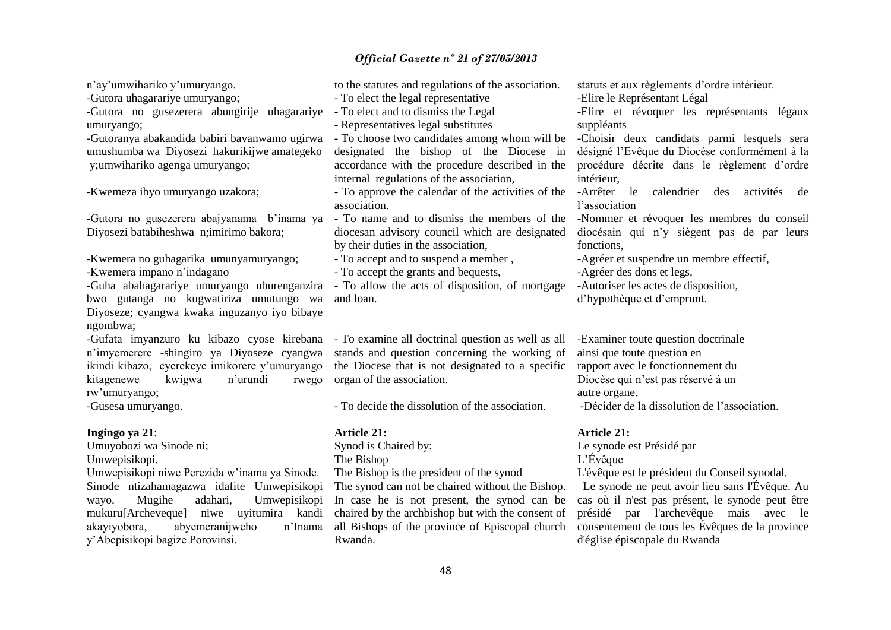n'ay'umwihariko y'umuryango.

-Gutora uhagarariye umuryango;

-Gutora no gusezerera abungirije uhagarariye umuryango;

-Gutoranya abakandida babiri bavanwamo ugirwa umushumba wa Diyosezi hakurikijwe amategeko y;umwihariko agenga umuryango;

-Kwemeza ibyo umuryango uzakora;

-Gutora no gusezerera abajyanama b'inama ya Diyosezi batabiheshwa n;imirimo bakora;

-Kwemera no guhagarika umunyamuryango; -Kwemera impano n'indagano

-Guha abahagarariye umuryango uburenganzira bwo gutanga no kugwatiriza umutungo wa Diyoseze; cyangwa kwaka inguzanyo iyo bibaye ngombwa;

-Gufata imyanzuro ku kibazo cyose kirebana n'imyemerere -shingiro ya Diyoseze cyangwa ikindi kibazo, cyerekeye imikorere y'umuryango kitagenewe kwigwa n'urundi rwego rw'umuryango;

-Gusesa umuryango.

## **Ingingo ya 21**:

Umuyobozi wa Sinode ni;

Umwepisikopi.

Umwepisikopi niwe Perezida w'inama ya Sinode. Sinode ntizahamagazwa idafite Umwepisikopi wayo. Mugihe adahari, Umwepisikopi mukuru[Archeveque] niwe uyitumira kandi akayiyobora, abyemeranijweho n'Inama y'Abepisikopi bagize Porovinsi.

to the statutes and regulations of the association.

- To elect the legal representative

- To elect and to dismiss the Legal

- Representatives legal substitutes

- To choose two candidates among whom will be designated the bishop of the Diocese in accordance with the procedure described in the internal regulations of the association,

association.

- To name and to dismiss the members of the diocesan advisory council which are designated by their duties in the association,

- To accept and to suspend a member ,

- To accept the grants and bequests,

- To allow the acts of disposition, of mortgage and loan.

- To examine all doctrinal question as well as all stands and question concerning the working of the Diocese that is not designated to a specific organ of the association.

- To decide the dissolution of the association.

#### **Article 21:**

Synod is Chaired by: The Bishop The Bishop is the president of the synod

The synod can not be chaired without the Bishop. In case he is not present, the synod can be chaired by the archbishop but with the consent of all Bishops of the province of Episcopal church Rwanda.

statuts et aux règlements d'ordre intérieur.

-Elire le Représentant Légal

-Elire et révoquer les représentants légaux suppléants

-Choisir deux candidats parmi lesquels sera désigné l'Evêque du Diocèse conformément à la procédure décrite dans le règlement d'ordre intérieur,

- To approve the calendar of the activities of the -Arrêter le calendrier des activités de l'association

> -Nommer et révoquer les membres du conseil diocésain qui n'y siègent pas de par leurs fonctions,

-Agréer et suspendre un membre effectif,

-Agréer des dons et legs,

-Autoriser les actes de disposition,

d'hypothèque et d'emprunt.

-Examiner toute question doctrinale ainsi que toute question en rapport avec le fonctionnement du Diocèse qui n'est pas réservé à un autre organe. -Décider de la dissolution de l'association.

#### **Article 21:**

Le synode est Présidé par L'Évêque

L'évêque est le président du Conseil synodal.

 Le synode ne peut avoir lieu sans l'Évêque. Au cas où il n'est pas présent, le synode peut être présidé par l'archevêque mais avec le consentement de tous les Évêques de la province d'église épiscopale du Rwanda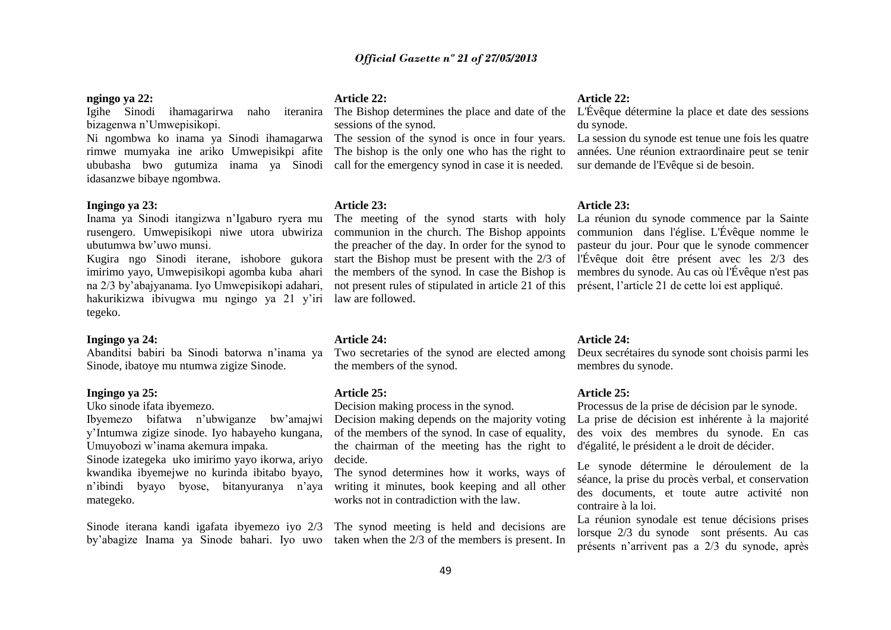#### **ngingo ya 22:**

Igihe Sinodi ihamagarirwa naho bizagenwa n'Umwepisikopi.

Ni ngombwa ko inama ya Sinodi ihamagarwa rimwe mumyaka ine ariko Umwepisikpi afite ububasha bwo gutumiza inama ya Sinodi call for the emergency synod in case it is needed. idasanzwe bibaye ngombwa.

#### **Ingingo ya 23:**

Inama ya Sinodi itangizwa n'Igaburo ryera mu rusengero. Umwepisikopi niwe utora ubwiriza ubutumwa bw'uwo munsi.

Kugira ngo Sinodi iterane, ishobore gukora imirimo yayo, Umwepisikopi agomba kuba ahari na 2/3 by'abajyanama. Iyo Umwepisikopi adahari, hakurikizwa ibivugwa mu ngingo ya 21 y'iri tegeko.

#### **Ingingo ya 24:**

Abanditsi babiri ba Sinodi batorwa n'inama ya Sinode, ibatoye mu ntumwa zigize Sinode.

## **Ingingo ya 25:**

Uko sinode ifata ibyemezo.

Ibyemezo bifatwa n'ubwiganze bw'amajwi y'Intumwa zigize sinode. Iyo habayeho kungana, Umuyobozi w'inama akemura impaka.

Sinode izategeka uko imirimo yayo ikorwa, ariyo kwandika ibyemejwe no kurinda ibitabo byayo, n'ibindi byayo byose, bitanyuranya n'aya mategeko.

Sinode iterana kandi igafata ibyemezo iyo 2/3 by'abagize Inama ya Sinode bahari. Iyo uwo

#### **Article 22:**

sessions of the synod.

The session of the synod is once in four years. The bishop is the only one who has the right to

#### **Article 23:**

The meeting of the synod starts with holy communion in the church. The Bishop appoints the preacher of the day. In order for the synod to start the Bishop must be present with the 2/3 of the members of the synod. In case the Bishop is not present rules of stipulated in article 21 of this présent, l'article 21 de cette loi est appliqué. law are followed.

#### **Article 24:**

Two secretaries of the synod are elected among the members of the synod.

#### **Article 25:**

Decision making process in the synod.

Decision making depends on the majority voting of the members of the synod. In case of equality, the chairman of the meeting has the right to decide.

The synod determines how it works, ways of writing it minutes, book keeping and all other works not in contradiction with the law.

The synod meeting is held and decisions are taken when the 2/3 of the members is present. In

#### **Article 22:**

The Bishop determines the place and date of the L'Évêque détermine la place et date des sessions du synode.

> La session du synode est tenue une fois les quatre années. Une réunion extraordinaire peut se tenir sur demande de l'Evêque si de besoin.

#### **Article 23:**

La réunion du synode commence par la Sainte communion dans l'église. L'Évêque nomme le pasteur du jour. Pour que le synode commencer l'Évêque doit être présent avec les 2/3 des membres du synode. Au cas où l'Évêque n'est pas

#### **Article 24:**

Deux secrétaires du synode sont choisis parmi les membres du synode.

#### **Article 25:**

Processus de la prise de décision par le synode.

La prise de décision est inhérente à la majorité des voix des membres du synode. En cas d'égalité, le président a le droit de décider.

Le synode détermine le déroulement de la séance, la prise du procès verbal, et conservation des documents, et toute autre activité non contraire à la loi.

La réunion synodale est tenue décisions prises lorsque 2/3 du synode sont présents. Au cas présents n'arrivent pas a 2/3 du synode, après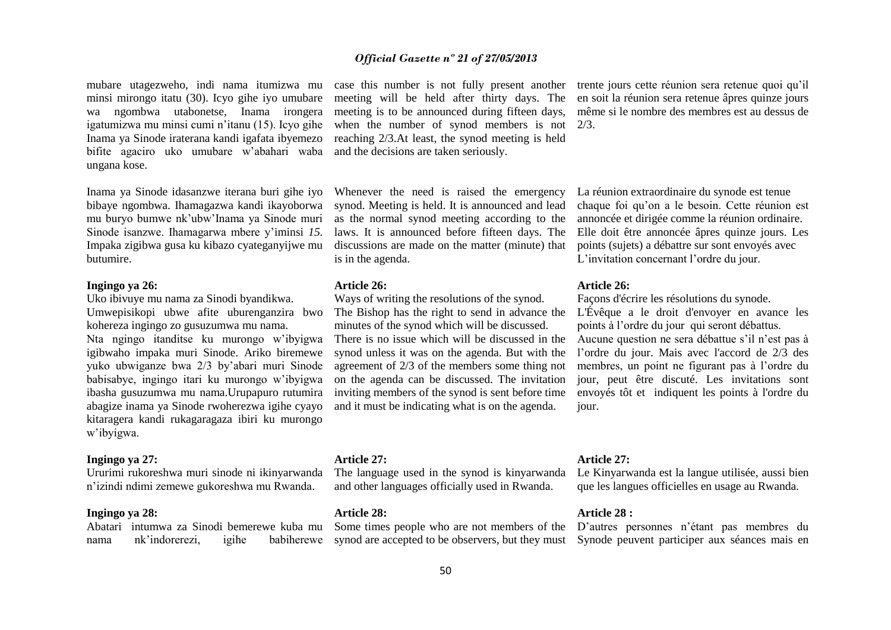mubare utagezweho, indi nama itumizwa mu minsi mirongo itatu (30). Icyo gihe iyo umubare wa ngombwa utabonetse, Inama irongera igatumizwa mu minsi cumi n'itanu (15). Icyo gihe Inama ya Sinode iraterana kandi igafata ibyemezo bifite agaciro uko umubare w'abahari waba ungana kose.

Inama ya Sinode idasanzwe iterana buri gihe iyo bibaye ngombwa. Ihamagazwa kandi ikayoborwa mu buryo bumwe nk'ubw'Inama ya Sinode muri Sinode isanzwe. Ihamagarwa mbere y'iminsi *15.*  Impaka zigibwa gusa ku kibazo cyateganyijwe mu butumire.

#### **Ingingo ya 26:**

Uko ibivuye mu nama za Sinodi byandikwa. Umwepisikopi ubwe afite uburenganzira bwo kohereza ingingo zo gusuzumwa mu nama. Nta ngingo itanditse ku murongo w'ibyigwa

igibwaho impaka muri Sinode. Ariko biremewe yuko ubwiganze bwa 2/3 by'abari muri Sinode babisabye, ingingo itari ku murongo w'ibyigwa ibasha gusuzumwa mu nama.Urupapuro rutumira abagize inama ya Sinode rwoherezwa igihe cyayo kitaragera kandi rukagaragaza ibiri ku murongo w'ibyigwa.

#### **Ingingo ya 27:**

Ururimi rukoreshwa muri sinode ni ikinyarwanda n'izindi ndimi zemewe gukoreshwa mu Rwanda.

#### **Ingingo ya 28:**

Abatari intumwa za Sinodi bemerewe kuba mu nama nk'indorerezi, igihe

meeting will be held after thirty days. The meeting is to be announced during fifteen days, when the number of synod members is not 2/3. reaching 2/3.At least, the synod meeting is held and the decisions are taken seriously.

Whenever the need is raised the emergency synod. Meeting is held. It is announced and lead as the normal synod meeting according to the laws. It is announced before fifteen days. The discussions are made on the matter (minute) that is in the agenda.

#### **Article 26:**

Ways of writing the resolutions of the synod. The Bishop has the right to send in advance the minutes of the synod which will be discussed. There is no issue which will be discussed in the synod unless it was on the agenda. But with the agreement of 2/3 of the members some thing not on the agenda can be discussed. The invitation inviting members of the synod is sent before time and it must be indicating what is on the agenda.

#### **Article 27:**

The language used in the synod is kinyarwanda and other languages officially used in Rwanda.

#### **Article 28:**

Some times people who are not members of the D'autres personnes n'étant pas membres du

case this number is not fully present another trente jours cette réunion sera retenue quoi qu'il en soit la réunion sera retenue âpres quinze jours même si le nombre des membres est au dessus de

> La réunion extraordinaire du synode est tenue chaque foi qu'on a le besoin. Cette réunion est annoncée et dirigée comme la réunion ordinaire. Elle doit être annoncée âpres quinze jours. Les points (sujets) a débattre sur sont envoyés avec L'invitation concernant l'ordre du jour.

#### **Article 26:**

Façons d'écrire les résolutions du synode. L'Évêque a le droit d'envoyer en avance les points à l'ordre du jour qui seront débattus. Aucune question ne sera débattue s'il n'est pas à l'ordre du jour. Mais avec l'accord de 2/3 des membres, un point ne figurant pas à l'ordre du jour, peut être discuté. Les invitations sont envoyés tôt et indiquent les points à l'ordre du jour.

#### **Article 27:**

Le Kinyarwanda est la langue utilisée, aussi bien que les langues officielles en usage au Rwanda.

#### **Article 28 :**

synod are accepted to be observers, but they must Synode peuvent participer aux séances mais en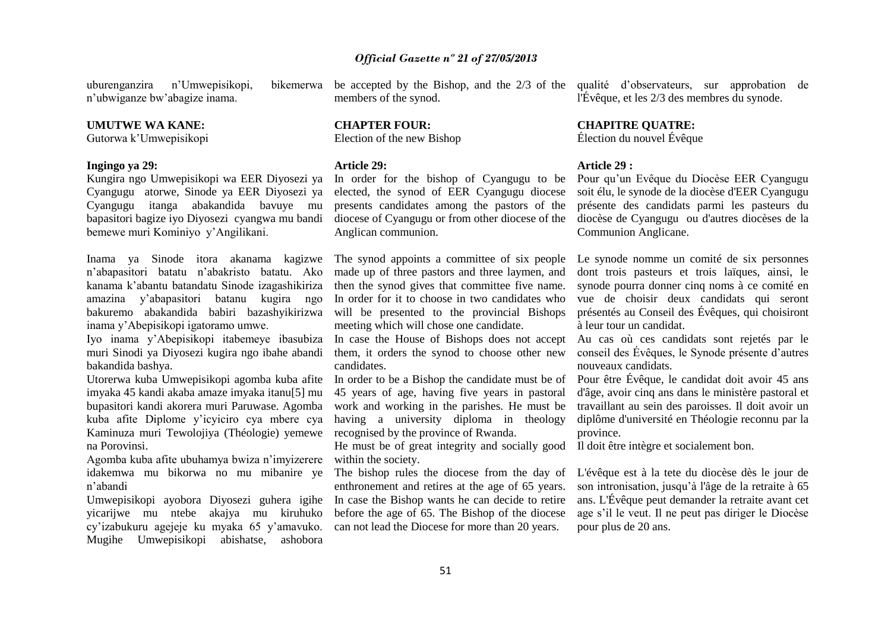uburenganzira n'Umwepisikopi, n'ubwiganze bw'abagize inama.

#### **UMUTWE WA KANE:**

Gutorwa k'Umwepisikopi

#### **Ingingo ya 29:**

Kungira ngo Umwepisikopi wa EER Diyosezi ya Cyangugu atorwe, Sinode ya EER Diyosezi ya Cyangugu itanga abakandida bavuye mu bapasitori bagize iyo Diyosezi cyangwa mu bandi bemewe muri Kominiyo y'Angilikani.

Inama ya Sinode itora akanama kagizwe n'abapasitori batatu n'abakristo batatu. Ako kanama k'abantu batandatu Sinode izagashikiriza amazina y'abapasitori batanu kugira ngo bakuremo abakandida babiri bazashyikirizwa inama y'Abepisikopi igatoramo umwe.

Iyo inama y'Abepisikopi itabemeye ibasubiza muri Sinodi ya Diyosezi kugira ngo ibahe abandi bakandida bashya.

Utorerwa kuba Umwepisikopi agomba kuba afite imyaka 45 kandi akaba amaze imyaka itanu[5] mu bupasitori kandi akorera muri Paruwase. Agomba kuba afite Diplome y'icyiciro cya mbere cya Kaminuza muri Tewolojiya (Théologie) yemewe na Porovinsi.

Agomba kuba afite ubuhamya bwiza n'imyizerere idakemwa mu bikorwa no mu mibanire ye n'abandi

Umwepisikopi ayobora Diyosezi guhera igihe yicarijwe mu ntebe akajya mu kiruhuko cy'izabukuru agejeje ku myaka 65 y'amavuko. Mugihe Umwepisikopi abishatse, ashobora

be accepted by the Bishop, and the 2/3 of the qualité d'observateurs, sur approbation de members of the synod.

**CHAPTER FOUR:**  Election of the new Bishop

#### **Article 29:**

In order for the bishop of Cyangugu to be elected, the synod of EER Cyangugu diocese presents candidates among the pastors of the diocese of Cyangugu or from other diocese of the Anglican communion.

made up of three pastors and three laymen, and then the synod gives that committee five name. In order for it to choose in two candidates who will be presented to the provincial Bishops meeting which will chose one candidate.

In case the House of Bishops does not accept them, it orders the synod to choose other new candidates.

45 years of age, having five years in pastoral work and working in the parishes. He must be having a university diploma in theology recognised by the province of Rwanda.

He must be of great integrity and socially good within the society.

The bishop rules the diocese from the day of enthronement and retires at the age of 65 years. In case the Bishop wants he can decide to retire before the age of 65. The Bishop of the diocese can not lead the Diocese for more than 20 years.

l'Évêque, et les 2/3 des membres du synode.

# **CHAPITRE QUATRE:**

Élection du nouvel Évêque

#### **Article 29 :**

Pour qu'un Evêque du Diocèse EER Cyangugu soit élu, le synode de la diocèse d'EER Cyangugu présente des candidats parmi les pasteurs du diocèse de Cyangugu ou d'autres diocèses de la Communion Anglicane.

The synod appoints a committee of six people Le synode nomme un comité de six personnes dont trois pasteurs et trois laïques, ainsi, le synode pourra donner cinq noms à ce comité en vue de choisir deux candidats qui seront présentés au Conseil des Évêques, qui choisiront à leur tour un candidat.

> Au cas où ces candidats sont rejetés par le conseil des Évêques, le Synode présente d'autres nouveaux candidats.

In order to be a Bishop the candidate must be of Pour être Évêque, le candidat doit avoir 45 ans d'âge, avoir cinq ans dans le ministère pastoral et travaillant au sein des paroisses. Il doit avoir un diplôme d'université en Théologie reconnu par la province.

Il doit être intègre et socialement bon.

L'évêque est à la tete du diocèse dès le jour de son intronisation, jusqu'à l'âge de la retraite à 65 ans. L'Évêque peut demander la retraite avant cet age s'il le veut. Il ne peut pas diriger le Diocèse pour plus de 20 ans.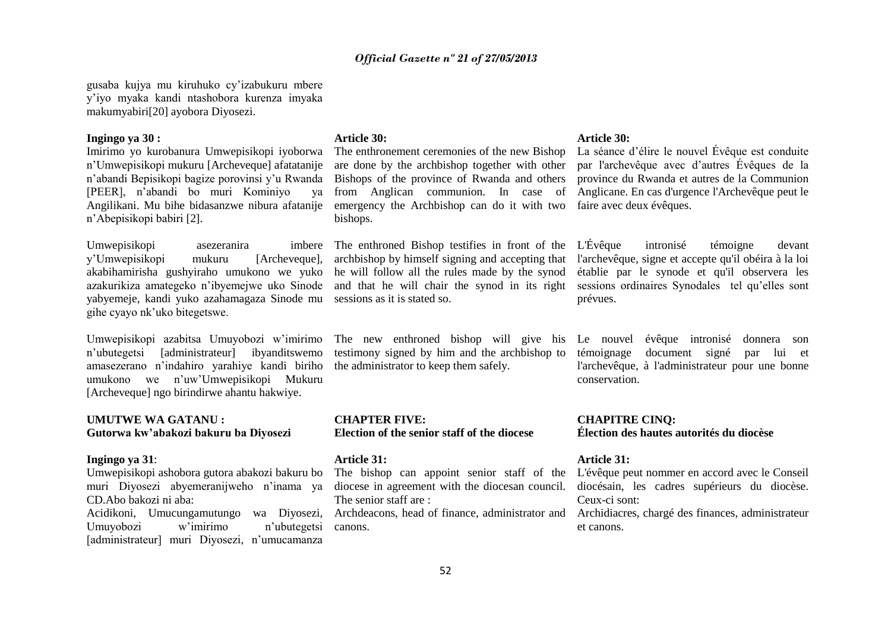gusaba kujya mu kiruhuko cy'izabukuru mbere y'iyo myaka kandi ntashobora kurenza imyaka makumyabiri[20] ayobora Diyosezi.

#### **Ingingo ya 30 :**

Imirimo yo kurobanura Umwepisikopi iyoborwa n'Umwepisikopi mukuru [Archeveque] afatatanije n'abandi Bepisikopi bagize porovinsi y'u Rwanda [PEER], n'abandi bo muri Kominiyo ya Angilikani. Mu bihe bidasanzwe nibura afatanije n'Abepisikopi babiri [2].

Umwepisikopi asezeranira y'Umwepisikopi mukuru [Archeveque], akabihamirisha gushyiraho umukono we yuko azakurikiza amategeko n'ibyemejwe uko Sinode yabyemeje, kandi yuko azahamagaza Sinode mu gihe cyayo nk'uko bitegetswe.

Umwepisikopi azabitsa Umuyobozi w'imirimo n'ubutegetsi [administrateur] ibyanditswemo amasezerano n'indahiro yarahiye kandi biriho umukono we n'uw'Umwepisikopi Mukuru [Archeveque] ngo birindirwe ahantu hakwiye.

#### **UMUTWE WA GATANU : Gutorwa kw'abakozi bakuru ba Diyosezi**

#### **Ingingo ya 31**:

Umwepisikopi ashobora gutora abakozi bakuru bo muri Diyosezi abyemeranijweho n'inama ya CD.Abo bakozi ni aba:

Acidikoni, Umucungamutungo wa Diyosezi, Umuyobozi w'imirimo n'ubutegetsi [administrateur] muri Diyosezi, n'umucamanza

#### **Article 30:**

emergency the Archbishop can do it with two bishops.

he will follow all the rules made by the synod sessions as it is stated so.

The new enthroned bishop will give his testimony signed by him and the archbishop to the administrator to keep them safely.

**CHAPTER FIVE: Election of the senior staff of the diocese**

#### **Article 31:**

The senior staff are :

canons.

#### **Article 30:**

The enthronement ceremonies of the new Bishop La séance d'élire le nouvel Évêque est conduite are done by the archbishop together with other par l'archevêque avec d'autres Évêques de la Bishops of the province of Rwanda and others province du Rwanda et autres de la Communion from Anglican communion. In case of Anglicane. En cas d'urgence l'Archevêque peut le faire avec deux évêques.

The enthroned Bishop testifies in front of the L'Évêque intronisé témoigne devant archbishop by himself signing and accepting that l'archevêque, signe et accepte qu'il obéira à la loi and that he will chair the synod in its right sessions ordinaires Synodales tel qu'elles sont établie par le synode et qu'il observera les prévues.

> Le nouvel évêque intronisé donnera son témoignage document signé par lui et l'archevêque, à l'administrateur pour une bonne conservation.

**CHAPITRE CINQ: Élection des hautes autorités du diocèse**

#### **Article 31:**

The bishop can appoint senior staff of the L'évêque peut nommer en accord avec le Conseil diocese in agreement with the diocesan council. diocésain, les cadres supérieurs du diocèse. Ceux-ci sont:

Archdeacons, head of finance, administrator and Archidiacres, chargé des finances, administrateur et canons.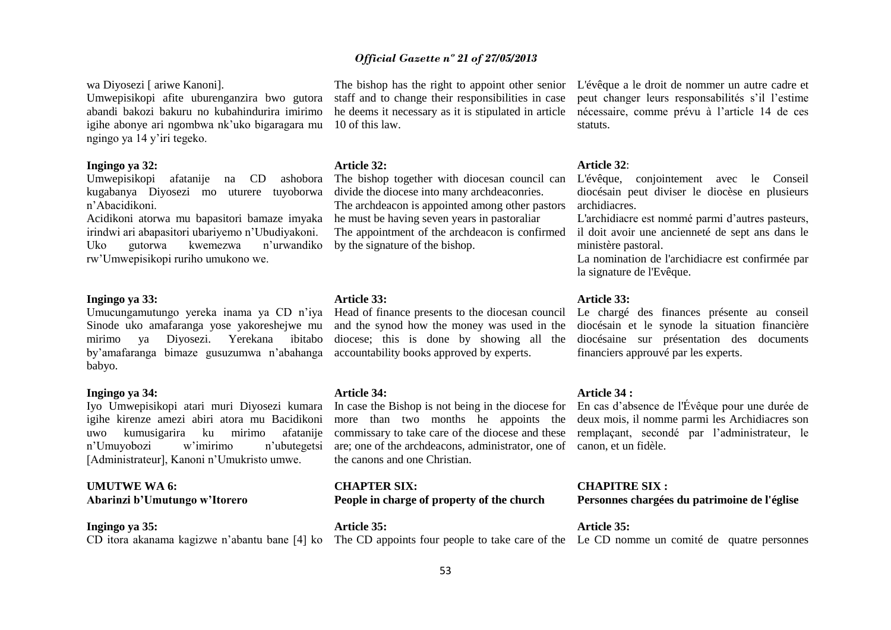wa Diyosezi [ ariwe Kanoni].

Umwepisikopi afite uburenganzira bwo gutora abandi bakozi bakuru no kubahindurira imirimo igihe abonye ari ngombwa nk'uko bigaragara mu ngingo ya 14 y'iri tegeko.

#### **Ingingo ya 32:**

Umwepisikopi afatanije na CD ashobora kugabanya Diyosezi mo uturere tuyoborwa n'Abacidikoni.

Acidikoni atorwa mu bapasitori bamaze imyaka irindwi ari abapasitori ubariyemo n'Ubudiyakoni. Uko gutorwa kwemezwa n'urwandiko rw'Umwepisikopi ruriho umukono we.

#### **Ingingo ya 33:**

Umucungamutungo yereka inama ya CD n'iya Sinode uko amafaranga yose yakoreshejwe mu mirimo ya Diyosezi. Yerekana ibitabo by'amafaranga bimaze gusuzumwa n'abahanga accountability books approved by experts. babyo.

#### **Ingingo ya 34:**

Iyo Umwepisikopi atari muri Diyosezi kumara igihe kirenze amezi abiri atora mu Bacidikoni uwo kumusigarira ku mirimo afatanije n'Umuyobozi w'imirimo n'ubutegetsi [Administrateur], Kanoni n'Umukristo umwe.

#### **UMUTWE WA 6: Abarinzi b'Umutungo w'Itorero**

#### **Ingingo ya 35:**

CD itora akanama kagizwe n'abantu bane [4] ko The CD appoints four people to take care of the Le CD nomme un comité de quatre personnes

staff and to change their responsibilities in case he deems it necessary as it is stipulated in article 10 of this law.

#### **Article 32:**

The bishop together with diocesan council can divide the diocese into many archdeaconries. The archdeacon is appointed among other pastors he must be having seven years in pastoraliar The appointment of the archdeacon is confirmed by the signature of the bishop.

#### **Article 33:**

Head of finance presents to the diocesan council and the synod how the money was used in the diocese; this is done by showing all the

#### **Article 34:**

In case the Bishop is not being in the diocese for more than two months he appoints the commissary to take care of the diocese and these are; one of the archdeacons, administrator, one of canon, et un fidèle. the canons and one Christian.

**CHAPTER SIX: People in charge of property of the church**

**Article 35:**

The bishop has the right to appoint other senior L'évêque a le droit de nommer un autre cadre et peut changer leurs responsabilités s'il l'estime nécessaire, comme prévu à l'article 14 de ces statuts.

#### **Article 32**:

L'évêque, conjointement avec le Conseil diocésain peut diviser le diocèse en plusieurs archidiacres.

L'archidiacre est nommé parmi d'autres pasteurs, il doit avoir une ancienneté de sept ans dans le ministère pastoral.

La nomination de l'archidiacre est confirmée par la signature de l'Evêque.

#### **Article 33:**

Le chargé des finances présente au conseil diocésain et le synode la situation financière diocésaine sur présentation des documents financiers approuvé par les experts.

#### **Article 34 :**

En cas d'absence de l'Évêque pour une durée de deux mois, il nomme parmi les Archidiacres son remplaçant, secondé par l'administrateur, le

#### **CHAPITRE SIX :**

**Personnes chargées du patrimoine de l'église**

**Article 35:**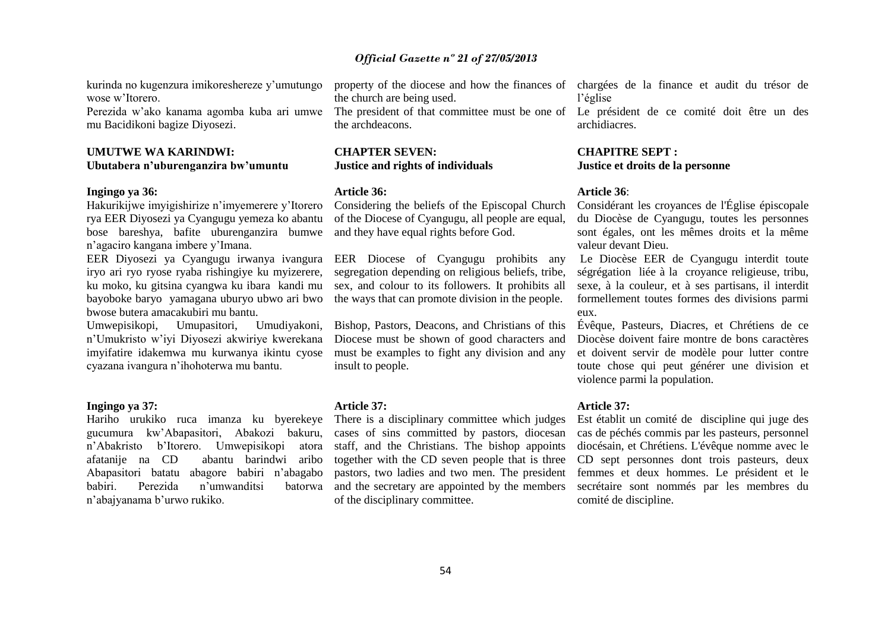kurinda no kugenzura imikoreshereze y'umutungo wose w'Itorero.

Perezida w'ako kanama agomba kuba ari umwe mu Bacidikoni bagize Diyosezi.

#### **UMUTWE WA KARINDWI: Ubutabera n'uburenganzira bw'umuntu**

#### **Ingingo ya 36:**

Hakurikijwe imyigishirize n'imyemerere y'Itorero rya EER Diyosezi ya Cyangugu yemeza ko abantu bose bareshya, bafite uburenganzira bumwe n'agaciro kangana imbere y'Imana.

EER Diyosezi ya Cyangugu irwanya ivangura iryo ari ryo ryose ryaba rishingiye ku myizerere, ku moko, ku gitsina cyangwa ku ibara kandi mu bayoboke baryo yamagana uburyo ubwo ari bwo bwose butera amacakubiri mu bantu.

Umwepisikopi, Umupasitori, Umudiyakoni, n'Umukristo w'iyi Diyosezi akwiriye kwerekana imyifatire idakemwa mu kurwanya ikintu cyose cyazana ivangura n'ihohoterwa mu bantu.

#### **Ingingo ya 37:**

Hariho urukiko ruca imanza ku byerekeye gucumura kw'Abapasitori, Abakozi bakuru, n'Abakristo b'Itorero. Umwepisikopi atora afatanije na CD abantu barindwi aribo Abapasitori batatu abagore babiri n'abagabo babiri. Perezida n'umwanditsi batorwa n'abajyanama b'urwo rukiko.

the church are being used.

The president of that committee must be one of Le président de ce comité doit être un des the archdeacons.

#### **CHAPTER SEVEN: Justice and rights of individuals**

#### **Article 36:**

Considering the beliefs of the Episcopal Church of the Diocese of Cyangugu, all people are equal, and they have equal rights before God.

EER Diocese of Cyangugu prohibits any segregation depending on religious beliefs, tribe, sex, and colour to its followers. It prohibits all the ways that can promote division in the people.

Bishop, Pastors, Deacons, and Christians of this Diocese must be shown of good characters and must be examples to fight any division and any insult to people.

#### **Article 37:**

There is a disciplinary committee which judges cases of sins committed by pastors, diocesan staff, and the Christians. The bishop appoints together with the CD seven people that is three pastors, two ladies and two men. The president and the secretary are appointed by the members of the disciplinary committee.

property of the diocese and how the finances of chargées de la finance et audit du trésor de l'église

archidiacres.

#### **CHAPITRE SEPT : Justice et droits de la personne**

#### **Article 36**:

Considérant les croyances de l'Église épiscopale du Diocèse de Cyangugu, toutes les personnes sont égales, ont les mêmes droits et la même valeur devant Dieu.

Le Diocèse EER de Cyangugu interdit toute ségrégation liée à la croyance religieuse, tribu, sexe, à la couleur, et à ses partisans, il interdit formellement toutes formes des divisions parmi eux.

Évêque, Pasteurs, Diacres, et Chrétiens de ce Diocèse doivent faire montre de bons caractères et doivent servir de modèle pour lutter contre toute chose qui peut générer une division et violence parmi la population.

#### **Article 37:**

Est établit un comité de discipline qui juge des cas de péchés commis par les pasteurs, personnel diocésain, et Chrétiens. L'évêque nomme avec le CD sept personnes dont trois pasteurs, deux femmes et deux hommes. Le président et le secrétaire sont nommés par les membres du comité de discipline.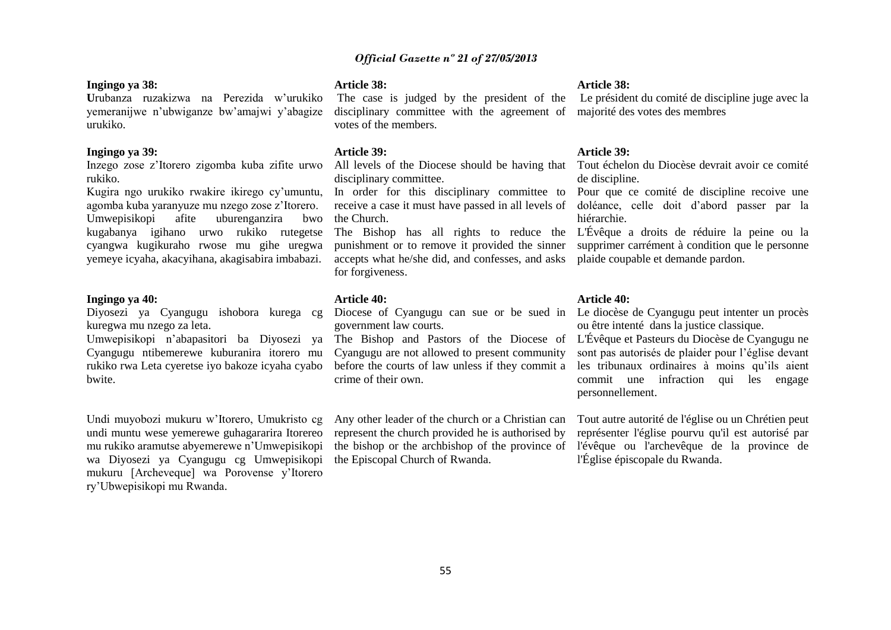#### **Ingingo ya 38:**

**U**rubanza ruzakizwa na Perezida w'urukiko yemeranijwe n'ubwiganze bw'amajwi y'abagize urukiko.

#### **Ingingo ya 39:**

Inzego zose z'Itorero zigomba kuba zifite urwo rukiko.

Kugira ngo urukiko rwakire ikirego cy'umuntu, agomba kuba yaranyuze mu nzego zose z'Itorero. Umwepisikopi afite uburenganzira bwo kugabanya igihano urwo rukiko rutegetse cyangwa kugikuraho rwose mu gihe uregwa yemeye icyaha, akacyihana, akagisabira imbabazi.

#### **Ingingo ya 40:**

Diyosezi ya Cyangugu ishobora kurega cg kuregwa mu nzego za leta.

Umwepisikopi n'abapasitori ba Diyosezi ya Cyangugu ntibemerewe kuburanira itorero mu rukiko rwa Leta cyeretse iyo bakoze icyaha cyabo bwite.

Undi muyobozi mukuru w'Itorero, Umukristo cg undi muntu wese yemerewe guhagararira Itorereo mu rukiko aramutse abyemerewe n'Umwepisikopi wa Diyosezi ya Cyangugu cg Umwepisikopi mukuru [Archeveque] wa Porovense y'Itorero ry'Ubwepisikopi mu Rwanda.

#### **Article 38:**

The case is judged by the president of the disciplinary committee with the agreement of votes of the members.

#### **Article 39:**

disciplinary committee.

In order for this disciplinary committee to Pour que ce comité de discipline recoive une receive a case it must have passed in all levels of the Church.

The Bishop has all rights to reduce the L'Évêque a droits de réduire la peine ou la punishment or to remove it provided the sinner accepts what he/she did, and confesses, and asks plaide coupable et demande pardon. for forgiveness.

#### **Article 40:**

government law courts.

The Bishop and Pastors of the Diocese of Cyangugu are not allowed to present community before the courts of law unless if they commit a crime of their own.

Any other leader of the church or a Christian can represent the church provided he is authorised by the Episcopal Church of Rwanda.

#### **Article 38:**

Le président du comité de discipline juge avec la majorité des votes des membres

#### **Article 39:**

All levels of the Diocese should be having that Tout échelon du Diocèse devrait avoir ce comité de discipline.

> doléance, celle doit d'abord passer par la hiérarchie.

> supprimer carrément à condition que le personne

#### **Article 40:**

Diocese of Cyangugu can sue or be sued in Le diocèse de Cyangugu peut intenter un procès ou être intenté dans la justice classique.

> L'Évêque et Pasteurs du Diocèse de Cyangugu ne sont pas autorisés de plaider pour l'église devant les tribunaux ordinaires à moins qu'ils aient commit une infraction qui les engage personnellement.

the bishop or the archbishop of the province of l'évêque ou l'archevêque de la province de Tout autre autorité de l'église ou un Chrétien peut représenter l'église pourvu qu'il est autorisé par l'Église épiscopale du Rwanda.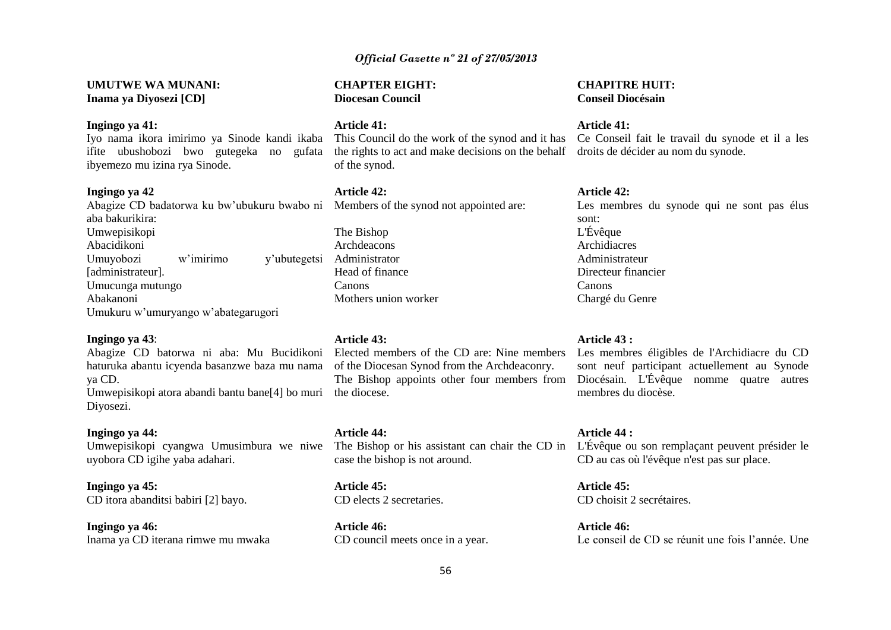**UMUTWE WA MUNANI: Inama ya Diyosezi [CD]**

#### **Ingingo ya 41:**

ibyemezo mu izina rya Sinode.

#### **Ingingo ya 42**

aba bakurikira: Umwepisikopi Abacidikoni Umuyobozi w'imirimo y'ubutegetsi Administrator [administrateur]. Umucunga mutungo Abakanoni Umukuru w'umuryango w'abategarugori

#### **Ingingo ya 43**:

Abagize CD batorwa ni aba: Mu Bucidikoni haturuka abantu icyenda basanzwe baza mu nama ya CD. Umwepisikopi atora abandi bantu bane[4] bo muri the diocese.

Diyosezi.

#### **Ingingo ya 44:**

Umwepisikopi cyangwa Umusimbura we niwe uyobora CD igihe yaba adahari.

**Ingingo ya 45:** CD itora abanditsi babiri [2] bayo.

**Ingingo ya 46:** Inama ya CD iterana rimwe mu mwaka **CHAPTER EIGHT: Diocesan Council**

**Article 41:**

ifite ubushobozi bwo gutegeka no gufata the rights to act and make decisions on the behalf droits de décider au nom du synode. of the synod.

#### **Article 42:**

Abagize CD badatorwa ku bw'ubukuru bwabo ni Members of the synod not appointed are:

The Bishop Archdeacons Head of finance Canons Mothers union worker

#### **Article 43:**

Elected members of the CD are: Nine members Les membres éligibles de l'Archidiacre du CD of the Diocesan Synod from the Archdeaconry. The Bishop appoints other four members from

**Article 44:** case the bishop is not around.

**Article 45:** CD elects 2 secretaries.

**Article 46:** CD council meets once in a year.

## **CHAPITRE HUIT: Conseil Diocésain**

#### **Article 41:**

Iyo nama ikora imirimo ya Sinode kandi ikaba This Council do the work of the synod and it has Ce Conseil fait le travail du synode et il a les

#### **Article 42:**

Les membres du synode qui ne sont pas élus sont: L'Évêque Archidiacres Administrateur Directeur financier Canons Chargé du Genre

#### **Article 43 :**

sont neuf participant actuellement au Synode Diocésain. L'Évêque nomme quatre autres membres du diocèse.

The Bishop or his assistant can chair the CD in L'Évêque ou son remplaçant peuvent présider le **Article 44 :** CD au cas où l'évêque n'est pas sur place.

> **Article 45:**  CD choisit 2 secrétaires.

**Article 46:**  Le conseil de CD se réunit une fois l'année. Une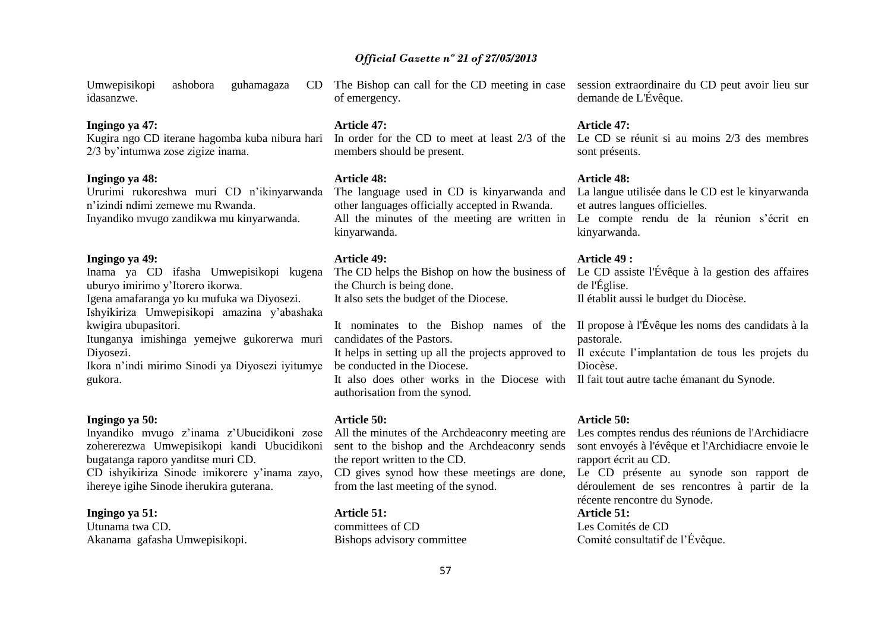Umwepisikopi ashobora guhamagaza idasanzwe.

#### **Ingingo ya 47:**

Kugira ngo CD iterane hagomba kuba nibura hari 2/3 by'intumwa zose zigize inama.

#### **Ingingo ya 48:**

Ururimi rukoreshwa muri CD n'ikinyarwanda n'izindi ndimi zemewe mu Rwanda. Inyandiko mvugo zandikwa mu kinyarwanda.

#### **Ingingo ya 49:**

Inama ya CD ifasha Umwepisikopi kugena uburyo imirimo y'Itorero ikorwa. Igena amafaranga yo ku mufuka wa Diyosezi.

Ishyikiriza Umwepisikopi amazina y'abashaka kwigira ubupasitori.

Itunganya imishinga yemejwe gukorerwa muri Diyosezi.

Ikora n'indi mirimo Sinodi ya Diyosezi iyitumye gukora.

#### **Ingingo ya 50:**

Inyandiko mvugo z'inama z'Ubucidikoni zose zohererezwa Umwepisikopi kandi Ubucidikoni bugatanga raporo yanditse muri CD. CD ishyikiriza Sinode imikorere y'inama zayo, ihereye igihe Sinode iherukira guterana.

#### **Ingingo ya 51:**

Utunama twa CD. Akanama gafasha Umwepisikopi. The Bishop can call for the CD meeting in case of emergency.

#### **Article 47:**

members should be present.

#### **Article 48:**

The language used in CD is kinyarwanda and other languages officially accepted in Rwanda. kinyarwanda.

#### **Article 49:**

the Church is being done. It also sets the budget of the Diocese.

It nominates to the Bishop names of the Il propose à l'Évêque les noms des candidats à la candidates of the Pastors.

It helps in setting up all the projects approved to Il exécute l'implantation de tous les projets du be conducted in the Diocese.

It also does other works in the Diocese with Il fait tout autre tache émanant du Synode. authorisation from the synod.

#### **Article 50:**

All the minutes of the Archdeaconry meeting are sent to the bishop and the Archdeaconry sends the report written to the CD.

CD gives synod how these meetings are done, from the last meeting of the synod.

#### **Article 51:**

committees of CD Bishops advisory committee session extraordinaire du CD peut avoir lieu sur demande de L'Évêque.

#### **Article 47:**

In order for the CD to meet at least 2/3 of the Le CD se réunit si au moins 2/3 des membres sont présents.

#### **Article 48:**

All the minutes of the meeting are written in Le compte rendu de la réunion s'écrit en La langue utilisée dans le CD est le kinyarwanda et autres langues officielles. kinyarwanda.

#### **Article 49 :**

The CD helps the Bishop on how the business of Le CD assiste l'Évêque à la gestion des affaires de l'Église. Il établit aussi le budget du Diocèse.

pastorale.

Diocèse.

#### **Article 50:**

Les comptes rendus des réunions de l'Archidiacre sont envoyés à l'évêque et l'Archidiacre envoie le rapport écrit au CD.

Le CD présente au synode son rapport de déroulement de ses rencontres à partir de la récente rencontre du Synode.

#### **Article 51:**

Les Comités de CD Comité consultatif de l'Évêque.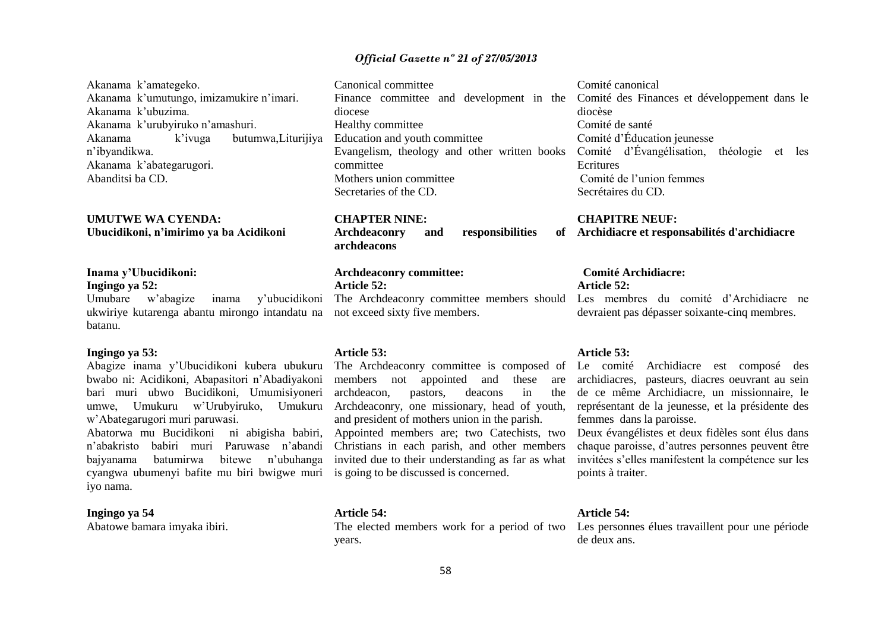Akanama k'amategeko. Akanama k'umutungo, imizamukire n'imari. Akanama k'ubuzima. Akanama k'urubyiruko n'amashuri. Akanama k'ivuga butumwa,Liturijiya n'ibyandikwa. Akanama k'abategarugori. Abanditsi ba CD. Canonical committee Finance committee and development in the diocese Healthy committee Education and youth committee Evangelism, theology and other written books Comité d'Évangélisation, théologie et les committee Mothers union committee Secretaries of the CD. Comité canonical diocèse Comité de santé Comité d'Éducation jeunesse **Ecritures** Comité de l'union femmes Secrétaires du CD.

## **UMUTWE WA CYENDA: Ubucidikoni, n'imirimo ya ba Acidikoni**

#### **Inama y'Ubucidikoni: Ingingo ya 52:**

Umubare w'abagize inama ukwiriye kutarenga abantu mirongo intandatu na batanu.

#### **Ingingo ya 53:**

Abagize inama y'Ubucidikoni kubera ubukuru bwabo ni: Acidikoni, Abapasitori n'Abadiyakoni bari muri ubwo Bucidikoni, Umumisiyoneri umwe, Umukuru w'Urubyiruko, Umukuru w'Abategarugori muri paruwasi.

Abatorwa mu Bucidikoni ni abigisha babiri, n'abakristo babiri muri Paruwase n'abandi bajyanama batumirwa bitewe n'ubuhanga cyangwa ubumenyi bafite mu biri bwigwe muri iyo nama.

#### **Ingingo ya 54**

Abatowe bamara imyaka ibiri.

#### **CHAPTER NINE:**

Archdeaconry and responsibilities **archdeacons**

#### **Archdeaconry committee: Article 52:**

v'ubucidikoni The Archdeaconry committee members should not exceed sixty five members.

#### **Article 53:**

members not appointed and these are archdeacon, pastors, deacons in the Archdeaconry, one missionary, head of youth, and president of mothers union in the parish. Christians in each parish, and other members invited due to their understanding as far as what is going to be discussed is concerned.

#### **Article 54:**

The elected members work for a period of two Les personnes élues travaillent pour une période years.

Comité des Finances et développement dans le

#### **CHAPITRE NEUF:**

#### **Archidiacre et responsabilités d'archidiacre**

#### **Comité Archidiacre: Article 52:**

Les membres du comité d'Archidiacre ne devraient pas dépasser soixante-cinq membres.

#### **Article 53:**

The Archdeaconry committee is composed of Le comité Archidiacre est composé des archidiacres, pasteurs, diacres oeuvrant au sein de ce même Archidiacre, un missionnaire, le représentant de la jeunesse, et la présidente des femmes dans la paroisse.

Appointed members are; two Catechists, two Deux évangélistes et deux fidèles sont élus dans chaque paroisse, d'autres personnes peuvent être invitées s'elles manifestent la compétence sur les points à traiter.

#### **Article 54:**

de deux ans.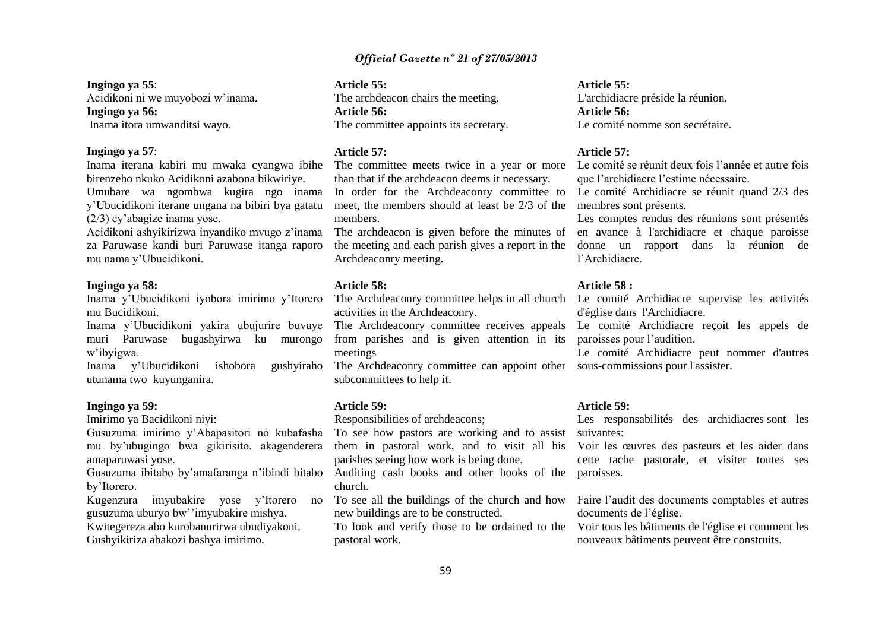#### **Ingingo ya 55**:

Acidikoni ni we muyobozi w'inama. **Ingingo ya 56:** Inama itora umwanditsi wayo.

#### **Ingingo ya 57**:

Inama iterana kabiri mu mwaka cyangwa ibihe birenzeho nkuko Acidikoni azabona bikwiriye. Umubare wa ngombwa kugira ngo inama y'Ubucidikoni iterane ungana na bibiri bya gatatu (2/3) cy'abagize inama yose.

Acidikoni ashyikirizwa inyandiko mvugo z'inama za Paruwase kandi buri Paruwase itanga raporo mu nama y'Ubucidikoni.

#### **Ingingo ya 58:**

Inama y'Ubucidikoni iyobora imirimo y'Itorero mu Bucidikoni.

Inama y'Ubucidikoni yakira ubujurire buvuye muri Paruwase bugashyirwa ku murongo w'ibyigwa.

Inama y'Ubucidikoni ishobora gushyiraho utunama two kuyunganira.

#### **Ingingo ya 59:**

Imirimo ya Bacidikoni niyi:

Gusuzuma imirimo y'Abapasitori no kubafasha mu by'ubugingo bwa gikirisito, akagenderera amaparuwasi yose.

by'Itorero.

Kugenzura imyubakire yose y'Itorero no gusuzuma uburyo bw''imyubakire mishya.

Kwitegereza abo kurobanurirwa ubudiyakoni. Gushyikiriza abakozi bashya imirimo.

## **Article 55:**

The archdeacon chairs the meeting. **Article 56:** The committee appoints its secretary.

#### **Article 57:**

The committee meets twice in a year or more than that if the archdeacon deems it necessary. In order for the Archdeaconry committee to

meet, the members should at least be 2/3 of the members.

the meeting and each parish gives a report in the Archdeaconry meeting.

#### **Article 58:**

activities in the Archdeaconry.

from parishes and is given attention in its meetings

The Archdeaconry committee can appoint other sous-commissions pour l'assister. subcommittees to help it.

#### **Article 59:**

Responsibilities of archdeacons;

To see how pastors are working and to assist them in pastoral work, and to visit all his parishes seeing how work is being done.

Gusuzuma ibitabo by'amafaranga n'ibindi bitabo Auditing cash books and other books of the paroisses. church.

> To see all the buildings of the church and how new buildings are to be constructed.

To look and verify those to be ordained to the pastoral work.

#### **Article 55:**  L'archidiacre préside la réunion. **Article 56:**

Le comité nomme son secrétaire.

#### **Article 57:**

Le comité se réunit deux fois l'année et autre fois que l'archidiacre l'estime nécessaire.

Le comité Archidiacre se réunit quand 2/3 des membres sont présents.

The archdeacon is given before the minutes of en avance à l'archidiacre et chaque paroisse Les comptes rendus des réunions sont présentés donne un rapport dans la réunion de l'Archidiacre.

#### **Article 58 :**

The Archdeaconry committee helps in all church Le comité Archidiacre supervise les activités d'église dans l'Archidiacre.

The Archdeaconry committee receives appeals Le comité Archidiacre reçoit les appels de paroisses pour l'audition.

Le comité Archidiacre peut nommer d'autres

#### **Article 59:**

Les responsabilités des archidiacres sont les suivantes:

Voir les œuvres des pasteurs et les aider dans cette tache pastorale, et visiter toutes ses

Faire l'audit des documents comptables et autres documents de l'église.

Voir tous les bâtiments de l'église et comment les nouveaux bâtiments peuvent être construits.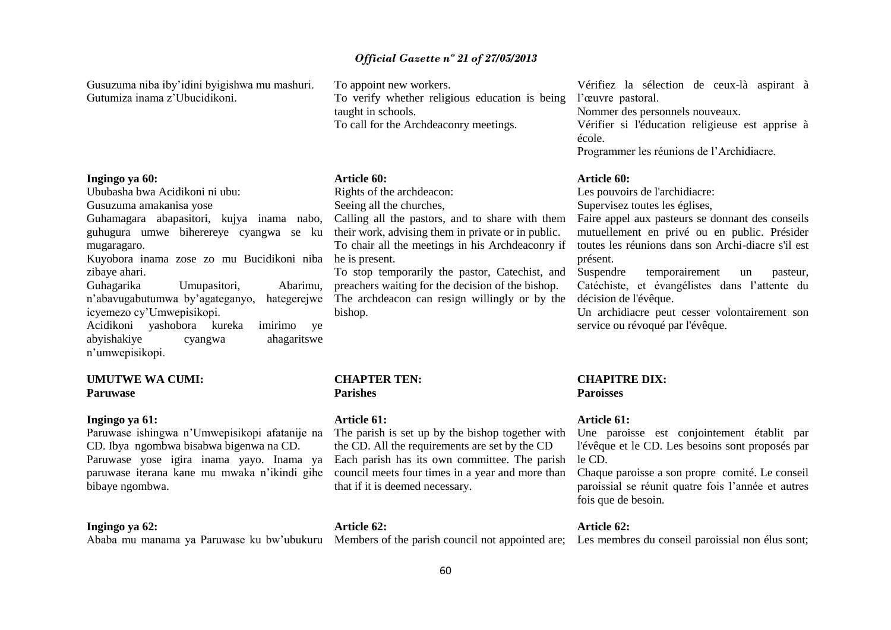Gusuzuma niba iby'idini byigishwa mu mashuri. Gutumiza inama z'Ubucidikoni.

#### **Ingingo ya 60:**

Ububasha bwa Acidikoni ni ubu:

Gusuzuma amakanisa yose

Guhamagara abapasitori, kujya inama nabo, guhugura umwe biherereye cyangwa se ku mugaragaro.

Kuyobora inama zose zo mu Bucidikoni niba he is present. zibaye ahari.

Guhagarika Umupasitori, Abarimu, n'abavugabutumwa by'agateganyo, hategerejwe icyemezo cy'Umwepisikopi. Acidikoni yashobora kureka imirimo ye

abyishakiye cyangwa ahagaritswe n'umwepisikopi.

#### **UMUTWE WA CUMI: Paruwase**

#### **Ingingo ya 61:**

Paruwase ishingwa n'Umwepisikopi afatanije na CD. Ibya ngombwa bisabwa bigenwa na CD. Paruwase yose igira inama yayo. Inama ya paruwase iterana kane mu mwaka n'ikindi gihe bibaye ngombwa.

#### **Ingingo ya 62:**

Ababa mu manama ya Paruwase ku bw'ubukuru Members of the parish council not appointed are; Les membres du conseil paroissial non élus sont;

To appoint new workers. To verify whether religious education is being taught in schools. To call for the Archdeaconry meetings.

#### **Article 60:**

Rights of the archdeacon:

Seeing all the churches,

Calling all the pastors, and to share with them their work, advising them in private or in public. To chair all the meetings in his Archdeaconry if

To stop temporarily the pastor, Catechist, and preachers waiting for the decision of the bishop. The archdeacon can resign willingly or by the bishop.

#### **CHAPTER TEN: Parishes**

#### **Article 61:**

**Article 62:**

The parish is set up by the bishop together with the CD. All the requirements are set by the CD Each parish has its own committee. The parish le CD. council meets four times in a year and more than that if it is deemed necessary.

Vérifiez la sélection de ceux-là aspirant à l'œuvre pastoral.

Nommer des personnels nouveaux.

Vérifier si l'éducation religieuse est apprise à école.

Programmer les réunions de l'Archidiacre.

#### **Article 60:**

Les pouvoirs de l'archidiacre:

Supervisez toutes les églises,

Faire appel aux pasteurs se donnant des conseils mutuellement en privé ou en public. Présider toutes les réunions dans son Archi-diacre s'il est présent.

Suspendre temporairement un pasteur, Catéchiste, et évangélistes dans l'attente du décision de l'évêque.

Un archidiacre peut cesser volontairement son service ou révoqué par l'évêque.

## **CHAPITRE DIX: Paroisses**

#### **Article 61:**

Une paroisse est conjointement établit par l'évêque et le CD. Les besoins sont proposés par

Chaque paroisse a son propre comité. Le conseil paroissial se réunit quatre fois l'année et autres fois que de besoin.

#### **Article 62:**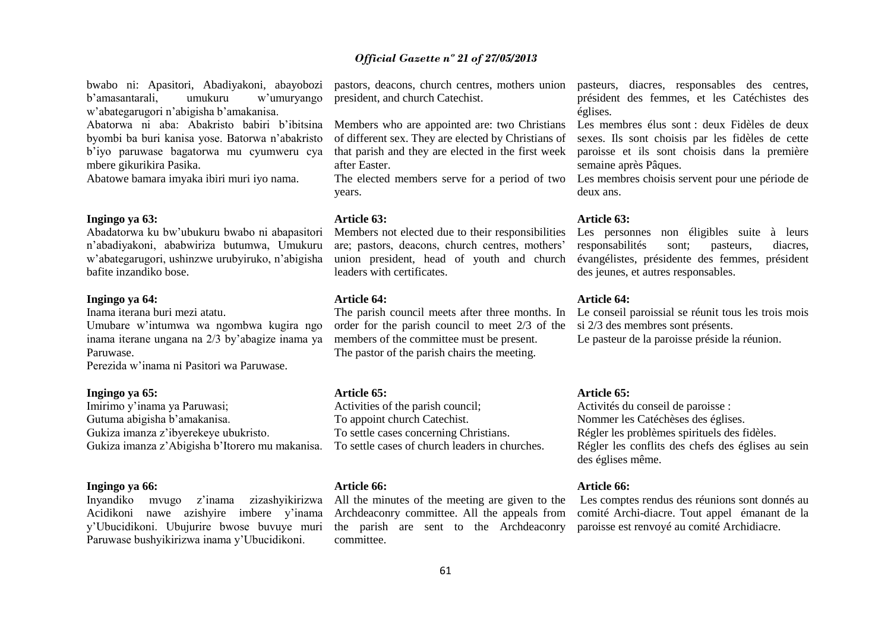bwabo ni: Apasitori, Abadiyakoni, abayobozi b'amasantarali, umukuru w'umuryango w'abategarugori n'abigisha b'amakanisa. Abatorwa ni aba: Abakristo babiri b'ibitsina byombi ba buri kanisa yose. Batorwa n'abakristo

b'iyo paruwase bagatorwa mu cyumweru cya mbere gikurikira Pasika.

Abatowe bamara imyaka ibiri muri iyo nama.

#### **Ingingo ya 63:**

Abadatorwa ku bw'ubukuru bwabo ni abapasitori n'abadiyakoni, ababwiriza butumwa, Umukuru w'abategarugori, ushinzwe urubyiruko, n'abigisha bafite inzandiko bose.

#### **Ingingo ya 64:**

Inama iterana buri mezi atatu.

Umubare w'intumwa wa ngombwa kugira ngo inama iterane ungana na 2/3 by'abagize inama ya Paruwase.

Perezida w'inama ni Pasitori wa Paruwase.

## **Ingingo ya 65:**

Imirimo y'inama ya Paruwasi; Gutuma abigisha b'amakanisa. Gukiza imanza z'ibyerekeye ubukristo. Gukiza imanza z'Abigisha b'Itorero mu makanisa.

#### **Ingingo ya 66:**

Inyandiko mvugo z'inama zizashyikirizwa Acidikoni nawe azishyire imbere y'inama y'Ubucidikoni. Ubujurire bwose buvuye muri Paruwase bushyikirizwa inama y'Ubucidikoni.

pastors, deacons, church centres, mothers union president, and church Catechist.

Members who are appointed are: two Christians of different sex. They are elected by Christians of that parish and they are elected in the first week after Easter.

years.

#### **Article 63:**

Members not elected due to their responsibilities are; pastors, deacons, church centres, mothers' union president, head of youth and church leaders with certificates.

#### **Article 64:**

The parish council meets after three months. In order for the parish council to meet 2/3 of the members of the committee must be present. The pastor of the parish chairs the meeting.

#### **Article 65:**

Activities of the parish council; To appoint church Catechist. To settle cases concerning Christians. To settle cases of church leaders in churches.

#### **Article 66:**

All the minutes of the meeting are given to the Archdeaconry committee. All the appeals from the parish are sent to the Archdeaconry paroisse est renvoyé au comité Archidiacre.committee.

pasteurs, diacres, responsables des centres, président des femmes, et les Catéchistes des églises.

Les membres élus sont : deux Fidèles de deux sexes. Ils sont choisis par les fidèles de cette paroisse et ils sont choisis dans la première semaine après Pâques.

The elected members serve for a period of two Les membres choisis servent pour une période de deux ans.

#### **Article 63:**

Les personnes non éligibles suite à leurs responsabilités sont; pasteurs, diacres, évangélistes, présidente des femmes, président des jeunes, et autres responsables.

#### **Article 64:**

Le conseil paroissial se réunit tous les trois mois si 2/3 des membres sont présents. Le pasteur de la paroisse préside la réunion.

#### **Article 65:**

Activités du conseil de paroisse : Nommer les Catéchèses des églises. Régler les problèmes spirituels des fidèles. Régler les conflits des chefs des églises au sein des églises même.

#### **Article 66:**

Les comptes rendus des réunions sont donnés au comité Archi-diacre. Tout appel émanant de la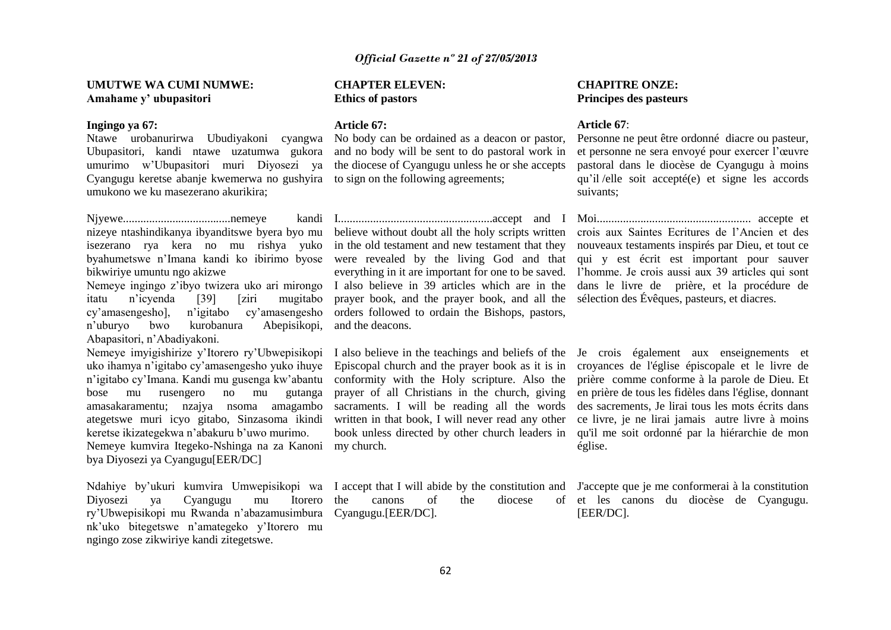#### **UMUTWE WA CUMI NUMWE: Amahame y' ubupasitori**

#### **Ingingo ya 67:**

Ubupasitori, kandi ntawe uzatumwa gukora and no body will be sent to do pastoral work in umurimo w'Ubupasitori muri Diyosezi ya the diocese of Cyangugu unless he or she accepts Cyangugu keretse abanje kwemerwa no gushyira to sign on the following agreements; umukono we ku masezerano akurikira;

Njyewe.....................................nemeye kandi isezerano rya kera no mu rishya yuko byahumetswe n'Imana kandi ko ibirimo byose bikwiriye umuntu ngo akizwe

itatu n'icyenda [39] [ziri mugitabo cy'amasengesho], n'igitabo cy'amasengesho n'uburyo bwo kurobanura Abepisikopi, Abapasitori, n'Abadiyakoni.

Nemeye imyigishirize y'Itorero ry'Ubwepisikopi uko ihamya n'igitabo cy'amasengesho yuko ihuye n'igitabo cy'Imana. Kandi mu gusenga kw'abantu bose mu rusengero no mu gutanga amasakaramentu; nzajya nsoma amagambo ategetswe muri icyo gitabo, Sinzasoma ikindi keretse ikizategekwa n'abakuru b'uwo murimo. Nemeye kumvira Itegeko-Nshinga na za Kanoni my church. bya Diyosezi ya Cyangugu[EER/DC]

Diyosezi ya Cyangugu mu Itorero ry'Ubwepisikopi mu Rwanda n'abazamusimbura Cyangugu.[EER/DC]. nk'uko bitegetswe n'amategeko y'Itorero mu ngingo zose zikwiriye kandi zitegetswe.

#### **CHAPTER ELEVEN: Ethics of pastors**

#### **Article 67:**

Ntawe urobanurirwa Ubudiyakoni cyangwa No body can be ordained as a deacon or pastor,

prayer book, and the prayer book, and all the sélection des Évêques, pasteurs, et diacres. orders followed to ordain the Bishops, pastors, and the deacons.

prayer of all Christians in the church, giving sacraments. I will be reading all the words book unless directed by other church leaders in

the canons of the diocese

## **CHAPITRE ONZE: Principes des pasteurs**

#### **Article 67**:

Personne ne peut être ordonné diacre ou pasteur, et personne ne sera envoyé pour exercer l'œuvre pastoral dans le diocèse de Cyangugu à moins qu'il /elle soit accepté(e) et signe les accords suivants;

nizeye ntashindikanya ibyanditswe byera byo mu believe without doubt all the holy scripts written crois aux Saintes Ecritures de l'Ancien et des Nemeye ingingo z'ibyo twizera uko ari mirongo I also believe in 39 articles which are in the dans le livre de prière, et la procédure de I.....................................................accept and I Moi..................................................... accepte et in the old testament and new testament that they nouveaux testaments inspirés par Dieu, et tout ce were revealed by the living God and that qui y est écrit est important pour sauver everything in it are important for one to be saved. l'homme. Je crois aussi aux 39 articles qui sont

> I also believe in the teachings and beliefs of the Je crois également aux enseignements et Episcopal church and the prayer book as it is in croyances de l'église épiscopale et le livre de conformity with the Holy scripture. Also the prière comme conforme à la parole de Dieu. Et written in that book, I will never read any other ce livre, je ne lirai jamais autre livre à moins en prière de tous les fidèles dans l'église, donnant des sacrements, Je lirai tous les mots écrits dans qu'il me soit ordonné par la hiérarchie de mon église.

Ndahiye by'ukuri kumvira Umwepisikopi wa I accept that I will abide by the constitution and J'accepte que je me conformerai à la constitution et les canons du diocèse de Cyangugu. [EER/DC].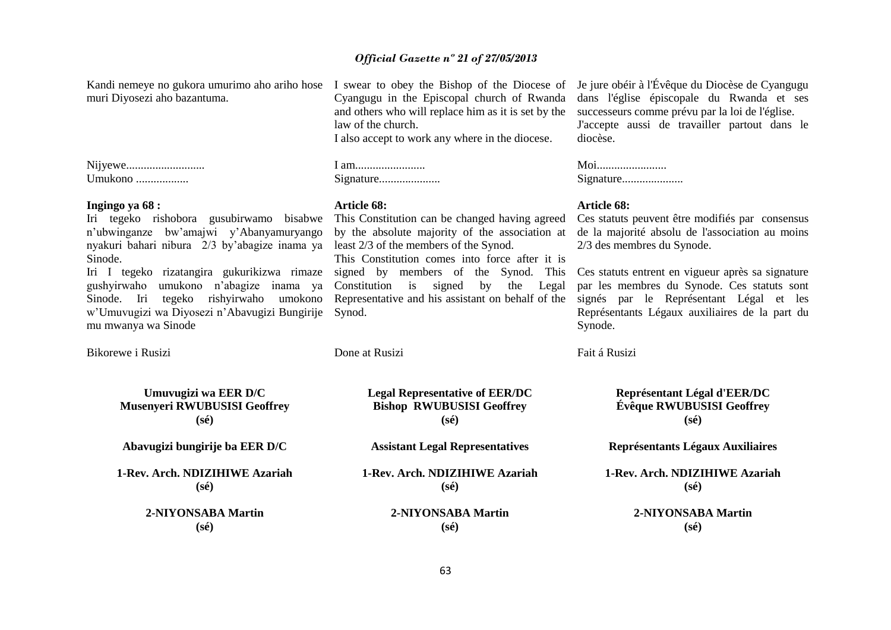muri Diyosezi aho bazantuma.

Nijyewe........................... Umukono ..................

#### **Ingingo ya 68 :**

Iri tegeko rishobora gusubirwamo bisabwe This Constitution can be changed having agreed n'ubwinganze bw'amajwi y'Abanyamuryango nyakuri bahari nibura 2/3 by'abagize inama ya least 2/3 of the members of the Synod. Sinode.

gushyirwaho umukono n'abagize inama ya Sinode. Iri tegeko rishyirwaho umokono w'Umuvugizi wa Diyosezi n'Abavugizi Bungirije Synod. mu mwanya wa Sinode

Bikorewe i Rusizi Done at Rusizi Fait á Rusizi

Cyangugu in the Episcopal church of Rwanda and others who will replace him as it is set by the law of the church.

I also accept to work any where in the diocese.

#### **Article 68:**

by the absolute majority of the association at

Iri I tegeko rizatangira gukurikizwa rimaze signed by members of the Synod. This This Constitution comes into force after it is Constitution is signed by the Legal

Kandi nemeye no gukora umurimo aho ariho hose I swear to obey the Bishop of the Diocese of Je jure obéir à l'Évêque du Diocèse de Cyangugu dans l'église épiscopale du Rwanda et ses successeurs comme prévu par la loi de l'église. J'accepte aussi de travailler partout dans le diocèse.

| Moi       |
|-----------|
| Signature |

#### **Article 68:**

Ces statuts peuvent être modifiés par consensus de la majorité absolu de l'association au moins 2/3 des membres du Synode.

Representative and his assistant on behalf of the signés par le Représentant Légal et les Ces statuts entrent en vigueur après sa signature par les membres du Synode. Ces statuts sont Représentants Légaux auxiliaires de la part du Synode.

**Umuvugizi wa EER D/C Musenyeri RWUBUSISI Geoffrey (sé) Abavugizi bungirije ba EER D/C 1-Rev. Arch. NDIZIHIWE Azariah (sé)**

**2-NIYONSABA Martin (sé)**

**Legal Representative of EER/DC Bishop RWUBUSISI Geoffrey (sé)**

**Assistant Legal Representatives**

**1-Rev. Arch. NDIZIHIWE Azariah (sé)**

> **2-NIYONSABA Martin (sé)**

**Représentant Légal d'EER/DC Évêque RWUBUSISI Geoffrey (sé)**

**Représentants Légaux Auxiliaires**

**1-Rev. Arch. NDIZIHIWE Azariah (sé)**

> **2-NIYONSABA Martin (sé)**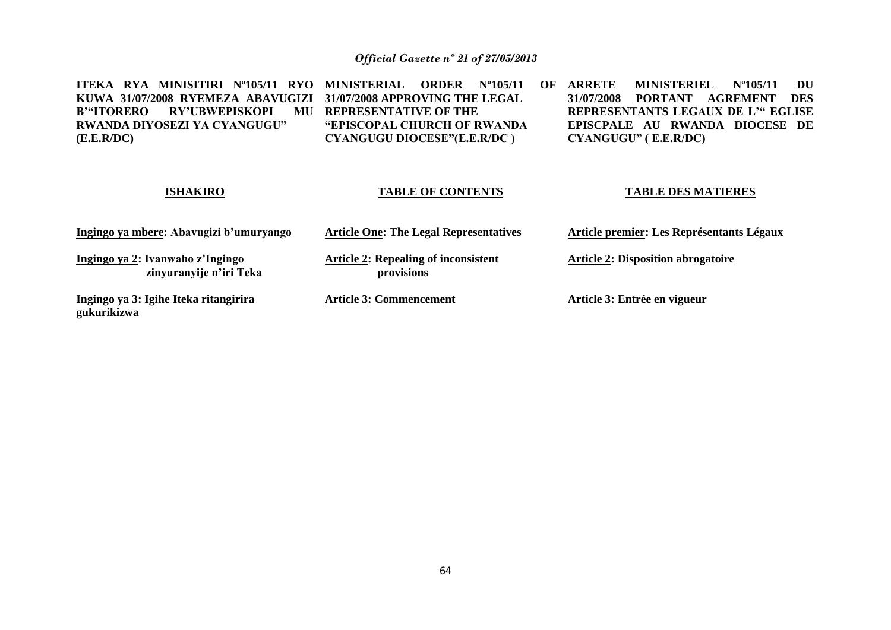**ITEKA RYA MINISITIRI Nº105/11 RYO MINISTERIAL ORDER Nº105/11 OF KUWA 31/07/2008 RYEMEZA ABAVUGIZI B'"ITORERO RY'UBWEPISKOPI RWANDA DIYOSEZI YA CYANGUGU" (E.E.R/DC) 31/07/2008 APPROVING THE LEGAL REPRESENTATIVE OF THE "EPISCOPAL CHURCH OF RWANDA CYANGUGU DIOCESE"(E.E.R/DC ) ARRETE MINISTERIEL Nº105/11 DU 31/07/2008 PORTANT AGREMENT DES REPRESENTANTS LEGAUX DE L'" EGLISE EPISCPALE AU RWANDA DIOCESE DE CYANGUGU" ( E.E.R/DC)**

## **ISHAKIRO**

#### **TABLE OF CONTENTS**

#### **TABLE DES MATIERES**

| Ingingo ya mbere: Abavugizi b'umuryango                     | <b>Article One: The Legal Representatives</b>             | Article premier: Les Représentants Légaux |
|-------------------------------------------------------------|-----------------------------------------------------------|-------------------------------------------|
| Ingingo ya 2: Ivanwaho z'Ingingo<br>zinyuranyije n'iri Teka | <b>Article 2: Repealing of inconsistent</b><br>provisions | <b>Article 2: Disposition abrogatoire</b> |
| Ingingo ya 3: Igihe Iteka ritangirira<br>gukurikizwa        | <b>Article 3: Commencement</b>                            | Article 3: Entrée en vigueur              |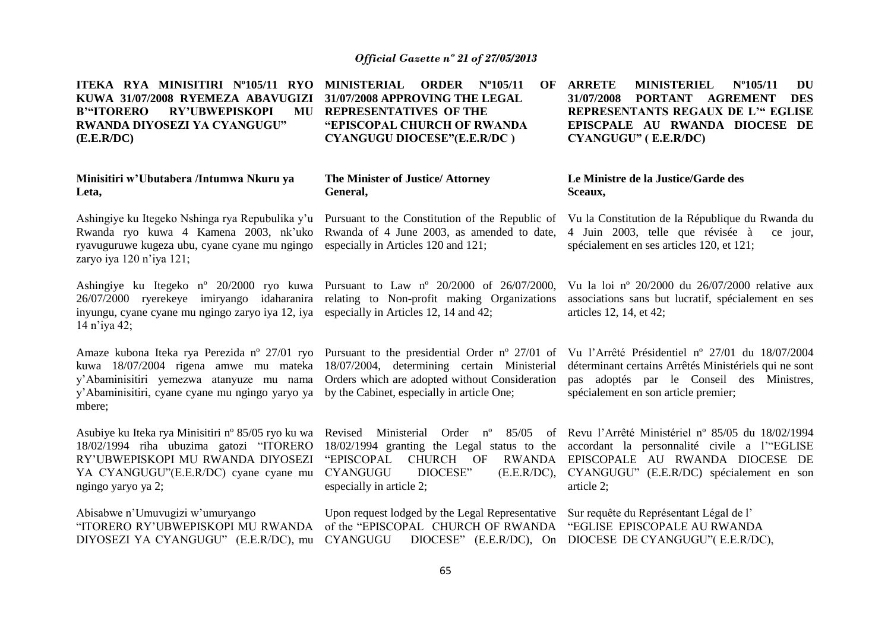| ITEKA RYA MINISITIRI Nº105/11 RYO<br>KUWA 31/07/2008 RYEMEZA ABAVUGIZI<br><b>B'"ITORERO</b><br><b>RY'UBWEPISKOPI</b><br>MU<br>RWANDA DIYOSEZI YA CYANGUGU"<br>(E.E.R/DC)                                                                                                               | <b>MINISTERIAL</b><br><b>ORDER</b><br>$N^{\circ}105/11$<br>OF<br>31/07/2008 APPROVING THE LEGAL<br><b>REPRESENTATIVES OF THE</b><br>"EPISCOPAL CHURCH OF RWANDA<br><b>CYANGUGU DIOCESE"(E.E.R/DC)</b>  | <b>ARRETE</b><br><b>MINISTERIEL</b><br>$N^{\circ}105/11$<br><b>DU</b><br><b>AGREMENT</b><br>31/07/2008<br><b>PORTANT</b><br><b>DES</b><br>REPRESENTANTS REGAUX DE L'" EGLISE<br>EPISCPALE AU RWANDA DIOCESE DE<br>CYANGUGU" (E.E.R/DC) |
|----------------------------------------------------------------------------------------------------------------------------------------------------------------------------------------------------------------------------------------------------------------------------------------|--------------------------------------------------------------------------------------------------------------------------------------------------------------------------------------------------------|----------------------------------------------------------------------------------------------------------------------------------------------------------------------------------------------------------------------------------------|
| Minisitiri w'Ubutabera /Intumwa Nkuru ya<br>Leta,                                                                                                                                                                                                                                      | The Minister of Justice/ Attorney<br>General,                                                                                                                                                          | Le Ministre de la Justice/Garde des<br>Sceaux,                                                                                                                                                                                         |
| Ashingiye ku Itegeko Nshinga rya Repubulika y'u<br>Rwanda ryo kuwa 4 Kamena 2003, nk'uko<br>ryavuguruwe kugeza ubu, cyane cyane mu ngingo<br>zaryo iya 120 n'iya 121;                                                                                                                  | Pursuant to the Constitution of the Republic of<br>Rwanda of 4 June 2003, as amended to date,<br>especially in Articles 120 and 121;                                                                   | Vu la Constitution de la République du Rwanda du<br>4 Juin 2003, telle que révisée à<br>ce jour,<br>spécialement en ses articles 120, et 121;                                                                                          |
| Ashingiye ku Itegeko n° 20/2000 ryo kuwa Pursuant to Law n° 20/2000 of 26/07/2000,<br>26/07/2000 ryerekeye imiryango idaharanira relating to Non-profit making Organizations<br>inyungu, cyane cyane mu ngingo zaryo iya 12, iya especially in Articles 12, 14 and 42;<br>14 n'iya 42; |                                                                                                                                                                                                        | Vu la loi nº 20/2000 du 26/07/2000 relative aux<br>associations sans but lucratif, spécialement en ses<br>articles 12, 14, et 42;                                                                                                      |
| Amaze kubona Iteka rya Perezida nº 27/01 ryo<br>kuwa 18/07/2004 rigena amwe mu mateka<br>y'Abaminisitiri yemezwa atanyuze mu nama<br>y'Abaminisitiri, cyane cyane mu ngingo yaryo ya<br>mbere;                                                                                         | Pursuant to the presidential Order $n^{\circ}$ 27/01 of<br>18/07/2004, determining certain Ministerial<br>Orders which are adopted without Consideration<br>by the Cabinet, especially in article One; | Vu l'Arrêté Présidentiel nº 27/01 du 18/07/2004<br>déterminant certains Arrêtés Ministériels qui ne sont<br>pas adoptés par le Conseil des Ministres,<br>spécialement en son article premier;                                          |
| Asubiye ku Iteka rya Minisitiri n° 85/05 ryo ku wa<br>18/02/1994 riha ubuzima gatozi "ITORERO<br>RY'UBWEPISKOPI MU RWANDA DIYOSEZI<br>YA CYANGUGU"(E.E.R/DC) cyane cyane mu<br>ngingo yaryo ya 2;                                                                                      | Revised Ministerial<br>18/02/1994 granting the Legal status to the<br><b>CHURCH</b><br><b>RWANDA</b><br>"EPISCOPAL<br>OF<br><b>CYANGUGU</b><br>DIOCESE"<br>(E.E.R/DC),<br>especially in article 2;     | Order nº 85/05 of Revu l'Arrêté Ministériel nº 85/05 du 18/02/1994<br>accordant la personnalité civile a l'"EGLISE<br>EPISCOPALE AU RWANDA DIOCESE DE<br>CYANGUGU" (E.E.R/DC) spécialement en son<br>article 2;                        |
| Abisabwe n'Umuvugizi w'umuryango<br>"ITORERO RY'UBWEPISKOPI MU RWANDA<br>DIYOSEZI YA CYANGUGU" (E.E.R/DC), mu                                                                                                                                                                          | Upon request lodged by the Legal Representative<br>of the "EPISCOPAL CHURCH OF RWANDA<br><b>CYANGUGU</b><br>DIOCESE" (E.E.R/DC), On                                                                    | Sur requête du Représentant Légal de l'<br>"EGLISE EPISCOPALE AU RWANDA<br>DIOCESE DE CYANGUGU" (E.E.R/DC),                                                                                                                            |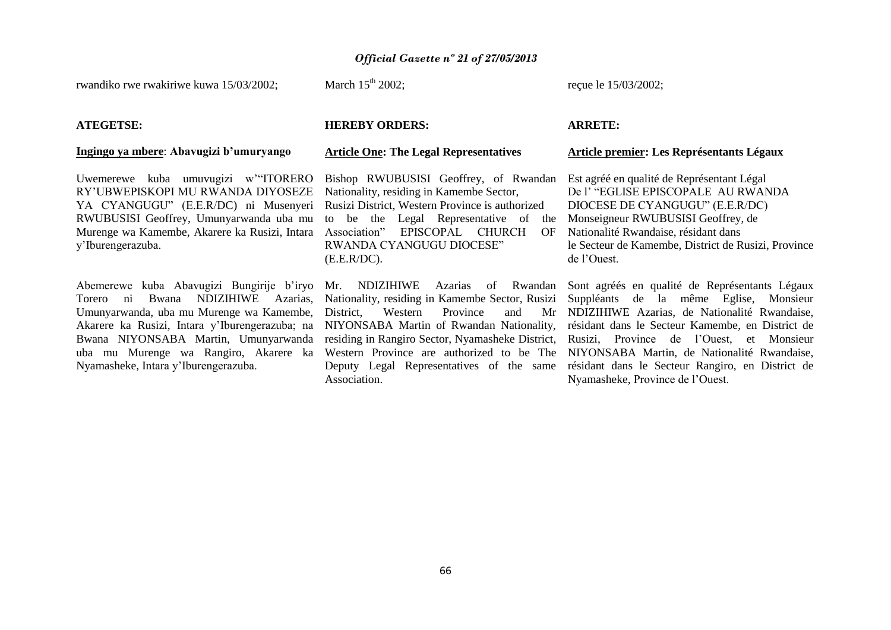rwandiko rwe rwakiriwe kuwa 15/03/2002;

March  $15<sup>th</sup>$  2002:

reçue le 15/03/2002;

#### **ATEGETSE:**

#### **Ingingo ya mbere**: **Abavugizi b'umuryango**

Uwemerewe kuba umuvugizi w'"ITORERO RY'UBWEPISKOPI MU RWANDA DIYOSEZE YA CYANGUGU" (E.E.R/DC) ni Musenyeri RWUBUSISI Geoffrey, Umunyarwanda uba mu Murenge wa Kamembe, Akarere ka Rusizi, Intara y'Iburengerazuba.

Torero ni Bwana NDIZIHIWE Azarias, Umunyarwanda, uba mu Murenge wa Kamembe, Akarere ka Rusizi, Intara y'Iburengerazuba; na Bwana NIYONSABA Martin, Umunyarwanda Nyamasheke, Intara y'Iburengerazuba.

#### **HEREBY ORDERS:**

#### **Article One: The Legal Representatives**

Bishop RWUBUSISI Geoffrey, of Rwandan Nationality, residing in Kamembe Sector, Rusizi District, Western Province is authorized to be the Legal Representative of the Association" EPISCOPAL CHURCH OF RWANDA CYANGUGU DIOCESE" (E.E.R/DC).

Nationality, residing in Kamembe Sector, Rusizi District. Western Province and NIYONSABA Martin of Rwandan Nationality, residing in Rangiro Sector, Nyamasheke District, Deputy Legal Representatives of the same Association.

#### **ARRETE:**

#### **Article premier: Les Représentants Légaux**

Est agréé en qualité de Représentant Légal De l' "EGLISE EPISCOPALE AU RWANDA DIOCESE DE CYANGUGU" (E.E.R/DC) Monseigneur RWUBUSISI Geoffrey, de Nationalité Rwandaise, résidant dans le Secteur de Kamembe, District de Rusizi, Province de l'Ouest.

Abemerewe kuba Abavugizi Bungirije b'iryo Mr. NDIZIHIWE Azarias of Rwandan Sont agréés en qualité de Représentants Légaux uba mu Murenge wa Rangiro, Akarere ka Western Province are authorized to be The NIYONSABA Martin, de Nationalité Rwandaise, Suppléants de la même Eglise, Monsieur Mr NDIZIHIWE Azarias, de Nationalité Rwandaise, résidant dans le Secteur Kamembe, en District de Rusizi, Province de l'Ouest, et Monsieur résidant dans le Secteur Rangiro, en District de Nyamasheke, Province de l'Ouest.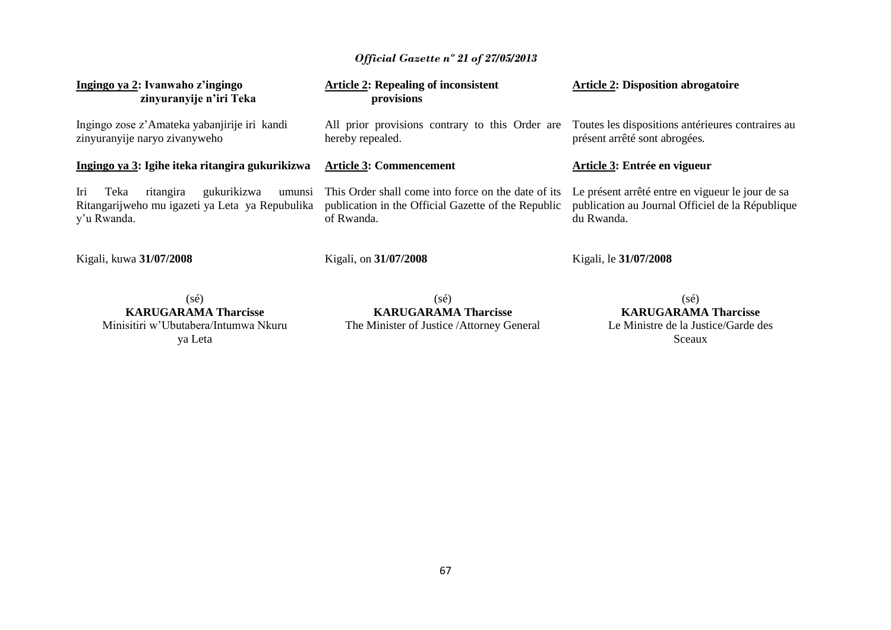| Ingingo ya 2: Ivanwaho z'ingingo<br>zinyuranyije n'iri Teka                                                         | <b>Article 2: Repealing of inconsistent</b><br>provisions                                                                | <b>Article 2: Disposition abrogatoire</b>                                                                          |
|---------------------------------------------------------------------------------------------------------------------|--------------------------------------------------------------------------------------------------------------------------|--------------------------------------------------------------------------------------------------------------------|
| Ingingo zose z'Amateka yabanjirije iri kandi<br>zinyuranyije naryo zivanyweho                                       | All prior provisions contrary to this Order are Toutes les dispositions antérieures contraires au<br>hereby repealed.    | présent arrêté sont abrogées.                                                                                      |
| Ingingo ya 3: Igihe iteka ritangira gukurikizwa                                                                     | <b>Article 3: Commencement</b>                                                                                           | Article 3: Entrée en vigueur                                                                                       |
| Iri<br>gukurikizwa<br>Teka<br>ritangira<br>umunsi<br>Ritangarijweho mu igazeti ya Leta ya Repubulika<br>y'u Rwanda. | This Order shall come into force on the date of its<br>publication in the Official Gazette of the Republic<br>of Rwanda. | Le présent arrêté entre en vigueur le jour de sa<br>publication au Journal Officiel de la République<br>du Rwanda. |
| Kigali, kuwa 31/07/2008                                                                                             | Kigali, on 31/07/2008                                                                                                    | Kigali, le 31/07/2008                                                                                              |
| (sé)<br><b>KARUGARAMA Tharcisse</b>                                                                                 | $(s\acute{e})$<br><b>KARUGARAMA Tharcisse</b>                                                                            | (sé)<br><b>KARUGARAMA Tharcisse</b>                                                                                |

Minisitiri w'Ubutabera/Intumwa Nkuru ya Leta

**KARUGARAMA Tharcisse** The Minister of Justice /Attorney General

**KARUGARAMA Tharcisse** Le Ministre de la Justice/Garde des Sceaux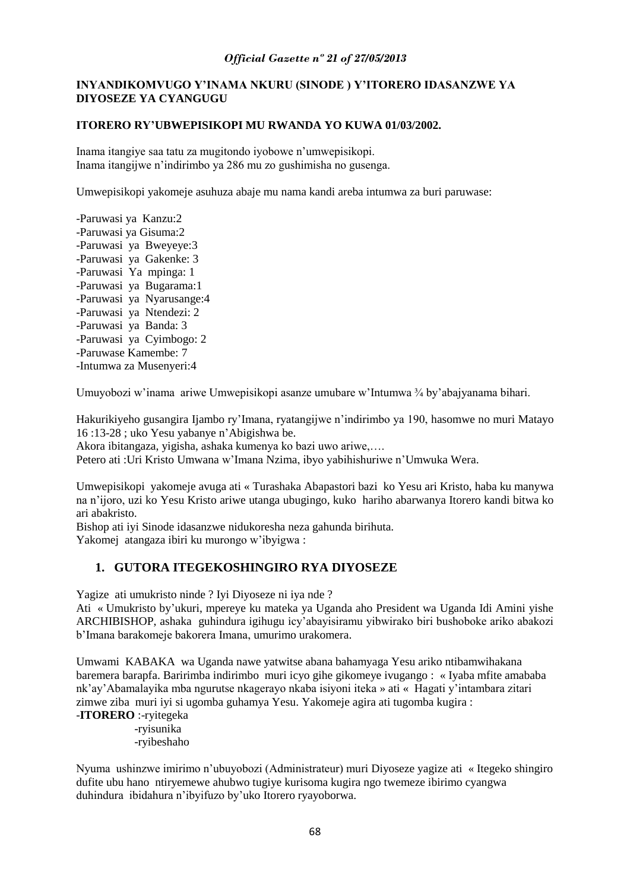## **INYANDIKOMVUGO Y'INAMA NKURU (SINODE ) Y'ITORERO IDASANZWE YA DIYOSEZE YA CYANGUGU**

## **ITORERO RY'UBWEPISIKOPI MU RWANDA YO KUWA 01/03/2002.**

Inama itangiye saa tatu za mugitondo iyobowe n'umwepisikopi. Inama itangijwe n'indirimbo ya 286 mu zo gushimisha no gusenga.

Umwepisikopi yakomeje asuhuza abaje mu nama kandi areba intumwa za buri paruwase:

-Paruwasi ya Kanzu:2 -Paruwasi ya Gisuma:2 -Paruwasi ya Bweyeye:3 -Paruwasi ya Gakenke: 3 -Paruwasi Ya mpinga: 1 -Paruwasi ya Bugarama:1 -Paruwasi ya Nyarusange:4 -Paruwasi ya Ntendezi: 2 -Paruwasi ya Banda: 3 -Paruwasi ya Cyimbogo: 2 -Paruwase Kamembe: 7 -Intumwa za Musenyeri:4

Umuyobozi w'inama ariwe Umwepisikopi asanze umubare w'Intumwa ¾ by'abajyanama bihari.

Hakurikiyeho gusangira Ijambo ry'Imana, ryatangijwe n'indirimbo ya 190, hasomwe no muri Matayo 16 :13-28 ; uko Yesu yabanye n'Abigishwa be.

Akora ibitangaza, yigisha, ashaka kumenya ko bazi uwo ariwe,….

Petero ati :Uri Kristo Umwana w'Imana Nzima, ibyo yabihishuriwe n'Umwuka Wera.

Umwepisikopi yakomeje avuga ati « Turashaka Abapastori bazi ko Yesu ari Kristo, haba ku manywa na n'ijoro, uzi ko Yesu Kristo ariwe utanga ubugingo, kuko hariho abarwanya Itorero kandi bitwa ko ari abakristo.

Bishop ati iyi Sinode idasanzwe nidukoresha neza gahunda birihuta. Yakomej atangaza ibiri ku murongo w'ibyigwa :

## **1. GUTORA ITEGEKOSHINGIRO RYA DIYOSEZE**

Yagize ati umukristo ninde ? Iyi Diyoseze ni iya nde ?

Ati « Umukristo by'ukuri, mpereye ku mateka ya Uganda aho President wa Uganda Idi Amini yishe ARCHIBISHOP, ashaka guhindura igihugu icy'abayisiramu yibwirako biri bushoboke ariko abakozi b'Imana barakomeje bakorera Imana, umurimo urakomera.

Umwami KABAKA wa Uganda nawe yatwitse abana bahamyaga Yesu ariko ntibamwihakana baremera barapfa. Baririmba indirimbo muri icyo gihe gikomeye ivugango : « Iyaba mfite amababa nk'ay'Abamalayika mba ngurutse nkagerayo nkaba isiyoni iteka » ati « Hagati y'intambara zitari zimwe ziba muri iyi si ugomba guhamya Yesu. Yakomeje agira ati tugomba kugira :

## -**ITORERO** :-ryitegeka

 -ryisunika -ryibeshaho

Nyuma ushinzwe imirimo n'ubuyobozi (Administrateur) muri Diyoseze yagize ati « Itegeko shingiro dufite ubu hano ntiryemewe ahubwo tugiye kurisoma kugira ngo twemeze ibirimo cyangwa duhindura ibidahura n'ibyifuzo by'uko Itorero ryayoborwa.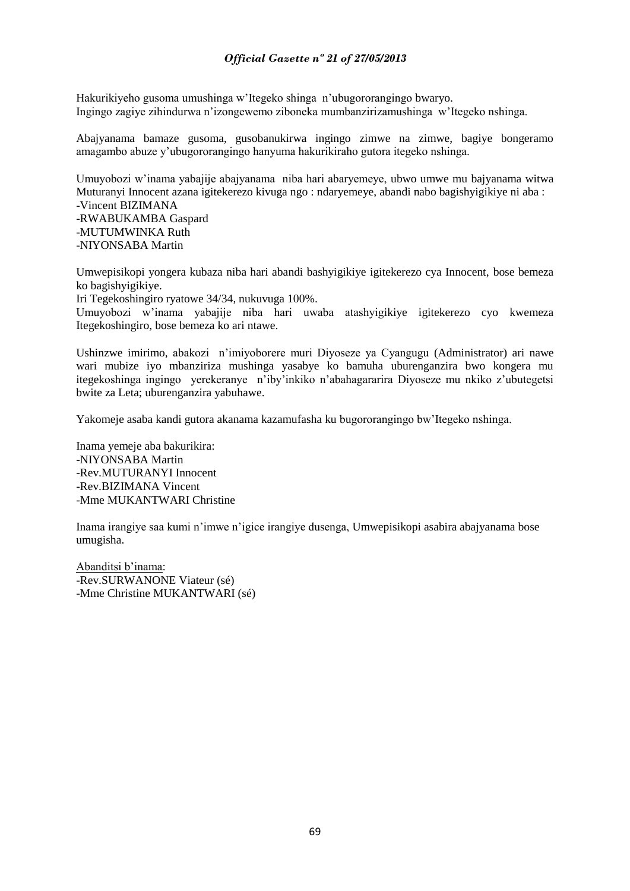Hakurikiyeho gusoma umushinga w'Itegeko shinga n'ubugororangingo bwaryo. Ingingo zagiye zihindurwa n'izongewemo ziboneka mumbanzirizamushinga w'Itegeko nshinga.

Abajyanama bamaze gusoma, gusobanukirwa ingingo zimwe na zimwe, bagiye bongeramo amagambo abuze y'ubugororangingo hanyuma hakurikiraho gutora itegeko nshinga.

Umuyobozi w'inama yabajije abajyanama niba hari abaryemeye, ubwo umwe mu bajyanama witwa Muturanyi Innocent azana igitekerezo kivuga ngo : ndaryemeye, abandi nabo bagishyigikiye ni aba : -Vincent BIZIMANA

-RWABUKAMBA Gaspard -MUTUMWINKA Ruth -NIYONSABA Martin

Umwepisikopi yongera kubaza niba hari abandi bashyigikiye igitekerezo cya Innocent, bose bemeza ko bagishyigikiye.

Iri Tegekoshingiro ryatowe 34/34, nukuvuga 100%.

Umuyobozi w'inama yabajije niba hari uwaba atashyigikiye igitekerezo cyo kwemeza Itegekoshingiro, bose bemeza ko ari ntawe.

Ushinzwe imirimo, abakozi n'imiyoborere muri Diyoseze ya Cyangugu (Administrator) ari nawe wari mubize iyo mbanziriza mushinga yasabye ko bamuha uburenganzira bwo kongera mu itegekoshinga ingingo yerekeranye n'iby'inkiko n'abahagararira Diyoseze mu nkiko z'ubutegetsi bwite za Leta; uburenganzira yabuhawe.

Yakomeje asaba kandi gutora akanama kazamufasha ku bugororangingo bw'Itegeko nshinga.

Inama yemeje aba bakurikira: -NIYONSABA Martin -Rev.MUTURANYI Innocent -Rev.BIZIMANA Vincent -Mme MUKANTWARI Christine

Inama irangiye saa kumi n'imwe n'igice irangiye dusenga, Umwepisikopi asabira abajyanama bose umugisha.

Abanditsi b'inama: -Rev.SURWANONE Viateur (sé) -Mme Christine MUKANTWARI (sé)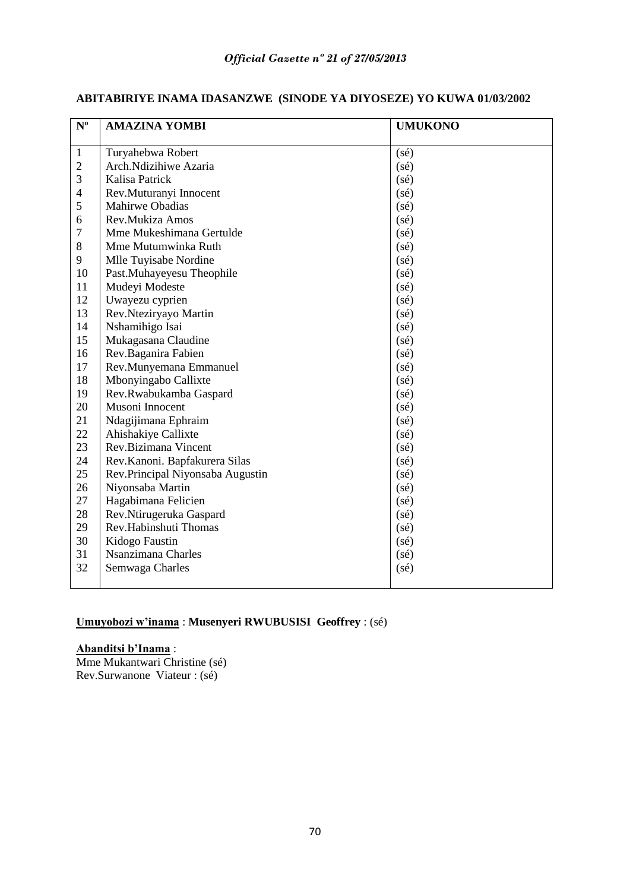| $\mathbf{N}^{\mathrm{o}}$ | <b>AMAZINA YOMBI</b>             | <b>UMUKONO</b> |
|---------------------------|----------------------------------|----------------|
| $\mathbf{1}$              | Turyahebwa Robert                | $(s\acute{e})$ |
| $\mathbf{2}$              | Arch.Ndizihiwe Azaria            | (sé)           |
| 3                         | Kalisa Patrick                   | $(s\acute{e})$ |
| $\overline{\mathcal{L}}$  | Rev.Muturanyi Innocent           | $(s\acute{e})$ |
| 5                         | Mahirwe Obadias                  | $(s\acute{e})$ |
| 6                         | Rev.Mukiza Amos                  | $(s\acute{e})$ |
| 7                         | Mme Mukeshimana Gertulde         | $(s\acute{e})$ |
| 8                         | Mme Mutumwinka Ruth              | $(s\acute{e})$ |
| 9                         | Mlle Tuyisabe Nordine            | $(s\acute{e})$ |
| 10                        | Past.Muhayeyesu Theophile        | $(s\acute{e})$ |
| 11                        | Mudeyi Modeste                   | $(s\acute{e})$ |
| 12                        | Uwayezu cyprien                  | $(s\acute{e})$ |
| 13                        | Rev.Nteziryayo Martin            | $(s\acute{e})$ |
| 14                        | Nshamihigo Isai                  | $(s\acute{e})$ |
| 15                        | Mukagasana Claudine              | $(s\acute{e})$ |
| 16                        | Rev.Baganira Fabien              | $(s\acute{e})$ |
| 17                        | Rev.Munyemana Emmanuel           | $(s\acute{e})$ |
| 18                        | Mbonyingabo Callixte             | $(s\acute{e})$ |
| 19                        | Rev.Rwabukamba Gaspard           | $(s\acute{e})$ |
| 20                        | Musoni Innocent                  | $(s\acute{e})$ |
| 21                        | Ndagijimana Ephraim              | $(s\acute{e})$ |
| 22                        | Ahishakiye Callixte              | $(s\acute{e})$ |
| 23                        | Rev.Bizimana Vincent             | $(s\acute{e})$ |
| 24                        | Rev.Kanoni. Bapfakurera Silas    | $(s\acute{e})$ |
| 25                        | Rev.Principal Niyonsaba Augustin | $(s\acute{e})$ |
| 26                        | Niyonsaba Martin                 | $(s\acute{e})$ |
| 27                        | Hagabimana Felicien              | $(s\acute{e})$ |
| 28                        | Rev.Ntirugeruka Gaspard          | $(s\acute{e})$ |
| 29                        | Rev.Habinshuti Thomas            | $(s\acute{e})$ |
| 30                        | Kidogo Faustin                   | $(s\acute{e})$ |
| 31                        | Nsanzimana Charles               | $(s\acute{e})$ |
| 32                        | Semwaga Charles                  | $(s\acute{e})$ |
|                           |                                  |                |

## **ABITABIRIYE INAMA IDASANZWE (SINODE YA DIYOSEZE) YO KUWA 01/03/2002**

## **Umuyobozi w'inama** : **Musenyeri RWUBUSISI Geoffrey** : (sé)

## **Abanditsi b'Inama** :

Mme Mukantwari Christine (sé) Rev.Surwanone Viateur : (sé)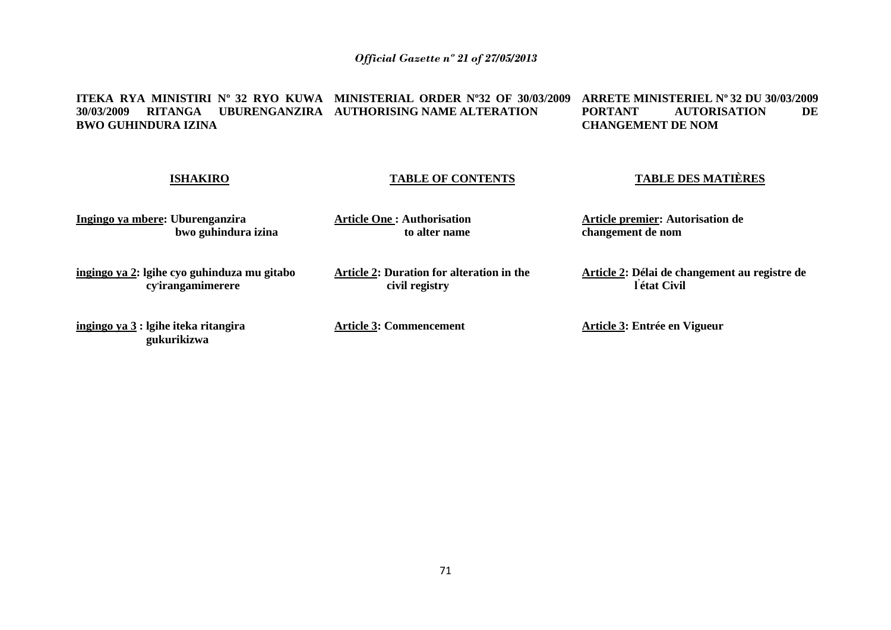#### **ITEKA RYA MINISTIRI Nº 32 RYO KUWA MINISTERIAL ORDER Nº32 OF 30/03/2009 30/03/2009 RITANGA UBURENGANZIRA AUTHORISING NAME ALTERATION BWO GUHINDURA IZINA ARRETE MINISTERIEL Nº 32 DU 30/03/2009 PORTANT AUTORISATION DE CHANGEMENT DE NOM**

#### **ISHAKIRO**

#### **TABLE OF CONTENTS**

## **TABLE DES MATIÈRES**

**Article 2: Délai de changement au registre de** 

**Ingingo ya mbere: Uburenganzira bwo guhindura izina** **Article One : Authorisation to alter name** **Article premier: Autorisation de changement de nom**

**ingingo ya 2: lgihe cyo guhinduza mu gitabo cy, irangamimerere**

**ingingo ya 3 : lgihe iteka ritangira gukurikizwa**

**Article 2: Duration for alteration in the civil registry**

**Article 3: Commencement**

**Article 3: Entrée en Vigueur**

 **l ' état Civil**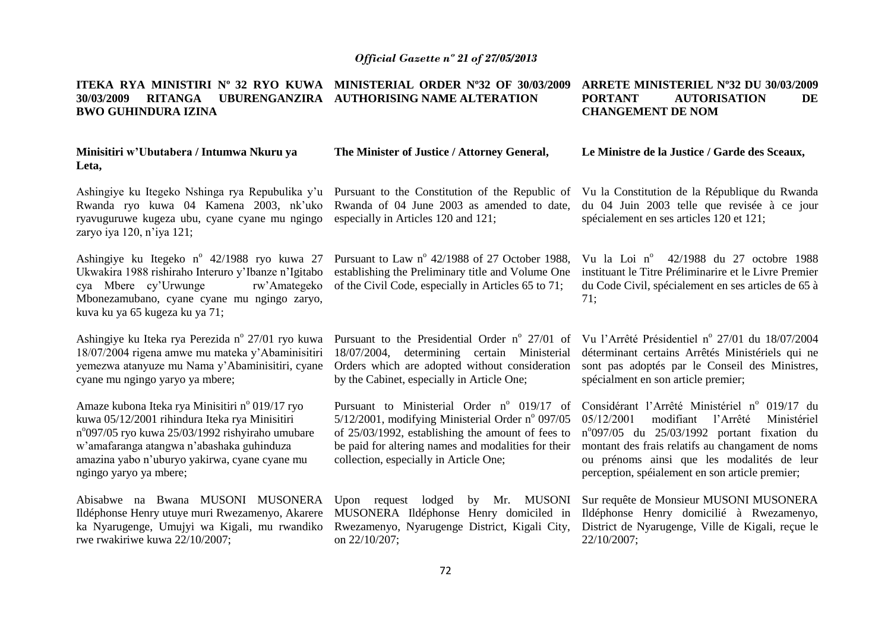#### **ITEKA RYA MINISTIRI Nº 32 RYO KUWA MINISTERIAL ORDER Nº32 OF 30/03/2009 30/03/2009 RITANGA UBURENGANZIRA AUTHORISING NAME ALTERATION BWO GUHINDURA IZINA ARRETE MINISTERIEL Nº32 DU 30/03/2009 PORTANT AUTORISATION DE CHANGEMENT DE NOM**

**The Minister of Justice / Attorney General,**

#### **Minisitiri w'Ubutabera / Intumwa Nkuru ya Leta,**

Ashingiye ku Itegeko Nshinga rya Repubulika y'u Pursuant to the Constitution of the Republic of Rwanda ryo kuwa 04 Kamena 2003, nk'uko ryavuguruwe kugeza ubu, cyane cyane mu ngingo zaryo iya 120, n'iya 121;

Ashingiye ku Itegeko nº 42/1988 ryo kuwa 27 Ukwakira 1988 rishiraho Interuro y'Ibanze n'Igitabo cya Mbere cy'Urwunge rw'Amategeko Mbonezamubano, cyane cyane mu ngingo zaryo, kuva ku ya 65 kugeza ku ya 71;

Ashingiye ku Iteka rya Perezida nº 27/01 ryo kuwa 18/07/2004 rigena amwe mu mateka y'Abaminisitiri yemezwa atanyuze mu Nama y'Abaminisitiri, cyane cyane mu ngingo yaryo ya mbere;

Amaze kubona Iteka rya Minisitiri nº 019/17 ryo kuwa 05/12/2001 rihindura Iteka rya Minisitiri n°097/05 ryo kuwa 25/03/1992 rishyiraho umubare w'amafaranga atangwa n'abashaka guhinduza amazina yabo n'uburyo yakirwa, cyane cyane mu ngingo yaryo ya mbere;

Ildéphonse Henry utuye muri Rwezamenyo, Akarere ka Nyarugenge, Umujyi wa Kigali, mu rwandiko rwe rwakiriwe kuwa 22/10/2007;

Rwanda of 04 June 2003 as amended to date, especially in Articles 120 and 121;

Pursuant to Law  $n^{\circ}$  42/1988 of 27 October 1988, establishing the Preliminary title and Volume One of the Civil Code, especially in Articles 65 to 71;

Pursuant to the Presidential Order nº 27/01 of 18/07/2004, determining certain Ministerial Orders which are adopted without consideration by the Cabinet, especially in Article One;

Pursuant to Ministerial Order  $n^{\circ}$  019/17 of  $5/12/2001$ , modifying Ministerial Order n° 097/05 of 25/03/1992, establishing the amount of fees to be paid for altering names and modalities for their collection, especially in Article One;

Abisabwe na Bwana MUSONI MUSONERA Upon request lodged by Mr. MUSONI MUSONERA Ildéphonse Henry domiciled in Rwezamenyo, Nyarugenge District, Kigali City, on 22/10/207;

Vu la Constitution de la République du Rwanda du 04 Juin 2003 telle que revisée à ce jour spécialement en ses articles 120 et 121;

**Le Ministre de la Justice / Garde des Sceaux,**

Vu la Loi nº 42/1988 du 27 octobre 1988 instituant le Titre Préliminarire et le Livre Premier du Code Civil, spécialement en ses articles de 65 à 71;

Vu l'Arrêté Présidentiel nº 27/01 du 18/07/2004 déterminant certains Arrêtés Ministériels qui ne sont pas adoptés par le Conseil des Ministres, spécialment en son article premier;

Considérant l'Arrêté Ministériel nº 019/17 du 05/12/2001 modifiant l'Arrêté Ministériel n o 097/05 du 25/03/1992 portant fixation du montant des frais relatifs au changament de noms ou prénoms ainsi que les modalités de leur perception, spéialement en son article premier;

Sur requête de Monsieur MUSONI MUSONERA Ildéphonse Henry domicilié à Rwezamenyo, District de Nyarugenge, Ville de Kigali, reçue le 22/10/2007;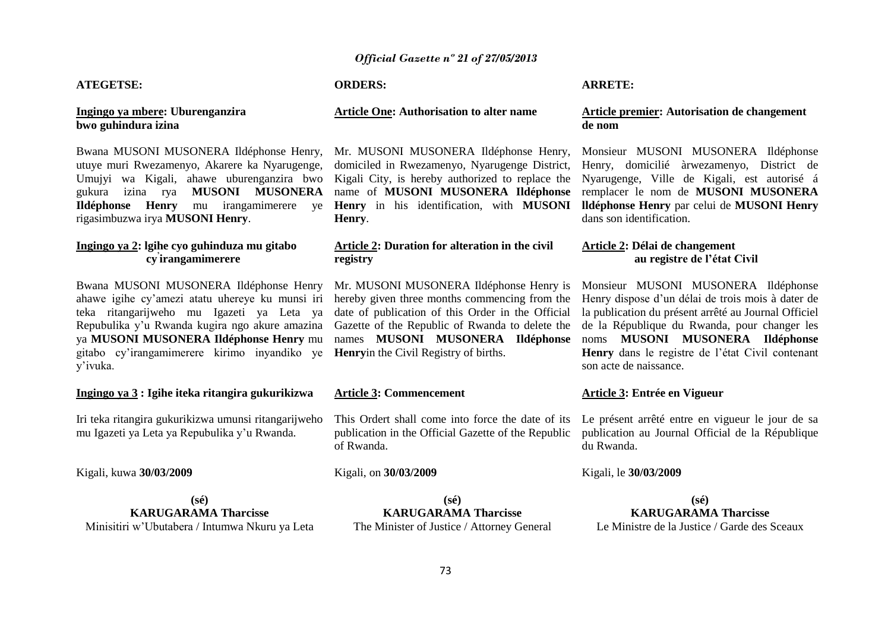#### *Official Gazette nº 21 of 27/05/2013*

#### **ATEGETSE:**

#### **Ingingo ya mbere: Uburenganzira bwo guhindura izina**

Bwana MUSONI MUSONERA Ildéphonse Henry, utuye muri Rwezamenyo, Akarere ka Nyarugenge, Umujyi wa Kigali, ahawe uburenganzira bwo gukura izina rya **MUSONI MUSONERA Ildéphonse Henry** mu irangamimerere ye rigasimbuzwa irya **MUSONI Henry**.

#### **Ingingo ya 2: lgihe cyo guhinduza mu gitabo cy ' irangamimerere**

Bwana MUSONI MUSONERA Ildéphonse Henry ahawe igihe cy'amezi atatu uhereye ku munsi iri teka ritangarijweho mu Igazeti ya Leta ya Repubulika y'u Rwanda kugira ngo akure amazina ya **MUSONI MUSONERA Ildéphonse Henry** mu gitabo cy'irangamimerere kirimo inyandiko ye y'ivuka.

#### **Ingingo ya 3 : Igihe iteka ritangira gukurikizwa**

Iri teka ritangira gukurikizwa umunsi ritangarijweho mu Igazeti ya Leta ya Repubulika y'u Rwanda.

#### Kigali, kuwa **30/03/2009**

**(sé) KARUGARAMA Tharcisse** Minisitiri w'Ubutabera / Intumwa Nkuru ya Leta

#### **ORDERS:**

#### **Article One: Authorisation to alter name**

Mr. MUSONI MUSONERA Ildéphonse Henry, domiciled in Rwezamenyo, Nyarugenge District, Kigali City, is hereby authorized to replace the name of **MUSONI MUSONERA Ildéphonse Henry** in his identification, with **MUSONI Henry**.

#### **Article 2: Duration for alteration in the civil registry**

Mr. MUSONI MUSONERA Ildéphonse Henry is hereby given three months commencing from the date of publication of this Order in the Official Gazette of the Republic of Rwanda to delete the names **MUSONI MUSONERA Ildéphonse Henry**in the Civil Registry of births.

#### **Article 3: Commencement**

This Ordert shall come into force the date of its publication in the Official Gazette of the Republic of Rwanda.

#### Kigali, on **30/03/2009**

**(sé) KARUGARAMA Tharcisse**

The Minister of Justice / Attorney General

#### **ARRETE:**

#### **Article premier: Autorisation de changement de nom**

Monsieur MUSONI MUSONERA Ildéphonse Henry, domicilié àrwezamenyo, District de Nyarugenge, Ville de Kigali, est autorisé á remplacer le nom de **MUSONI MUSONERA lldéphonse Henry** par celui de **MUSONI Henry**  dans son identification.

#### **Article 2: Délai de changement au registre de l'état Civil**

Monsieur MUSONI MUSONERA Ildéphonse Henry dispose d'un délai de trois mois à dater de la publication du présent arrêté au Journal Officiel de la République du Rwanda, pour changer les noms **MUSONI MUSONERA Ildéphonse Henry** dans le registre de l'état Civil contenant son acte de naissance.

#### **Article 3: Entrée en Vigueur**

Le présent arrêté entre en vigueur le jour de sa publication au Journal Official de la République du Rwanda.

#### Kigali, le **30/03/2009**

**(sé) KARUGARAMA Tharcisse** Le Ministre de la Justice / Garde des Sceaux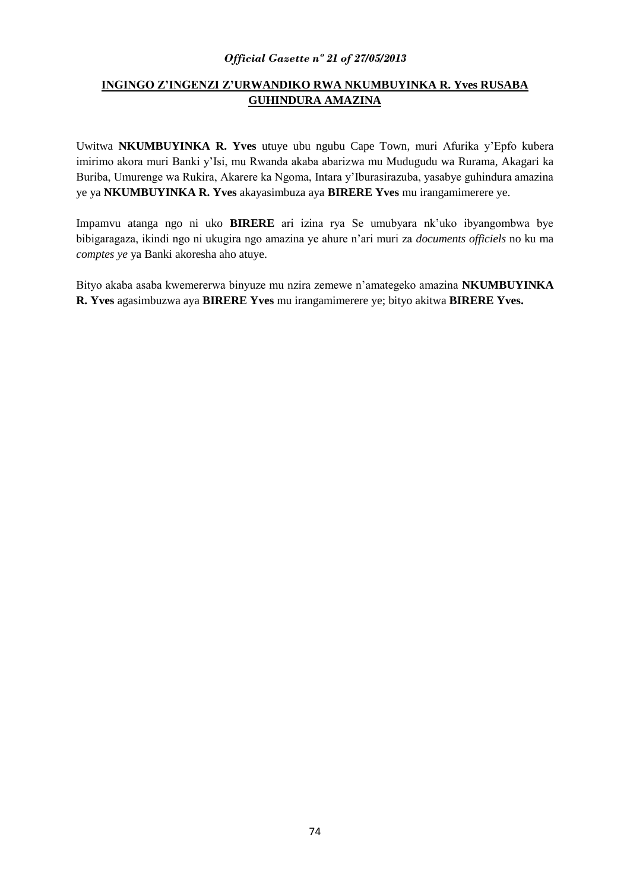#### *Official Gazette nº 21 of 27/05/2013*

# **INGINGO Z'INGENZI Z'URWANDIKO RWA NKUMBUYINKA R. Yves RUSABA GUHINDURA AMAZINA**

Uwitwa **NKUMBUYINKA R. Yves** utuye ubu ngubu Cape Town, muri Afurika y'Epfo kubera imirimo akora muri Banki y'Isi, mu Rwanda akaba abarizwa mu Mudugudu wa Rurama, Akagari ka Buriba, Umurenge wa Rukira, Akarere ka Ngoma, Intara y'Iburasirazuba, yasabye guhindura amazina ye ya **NKUMBUYINKA R. Yves** akayasimbuza aya **BIRERE Yves** mu irangamimerere ye.

Impamvu atanga ngo ni uko **BIRERE** ari izina rya Se umubyara nk'uko ibyangombwa bye bibigaragaza, ikindi ngo ni ukugira ngo amazina ye ahure n'ari muri za *documents officiels* no ku ma *comptes ye* ya Banki akoresha aho atuye.

Bityo akaba asaba kwemererwa binyuze mu nzira zemewe n'amategeko amazina **NKUMBUYINKA R. Yves** agasimbuzwa aya **BIRERE Yves** mu irangamimerere ye; bityo akitwa **BIRERE Yves.**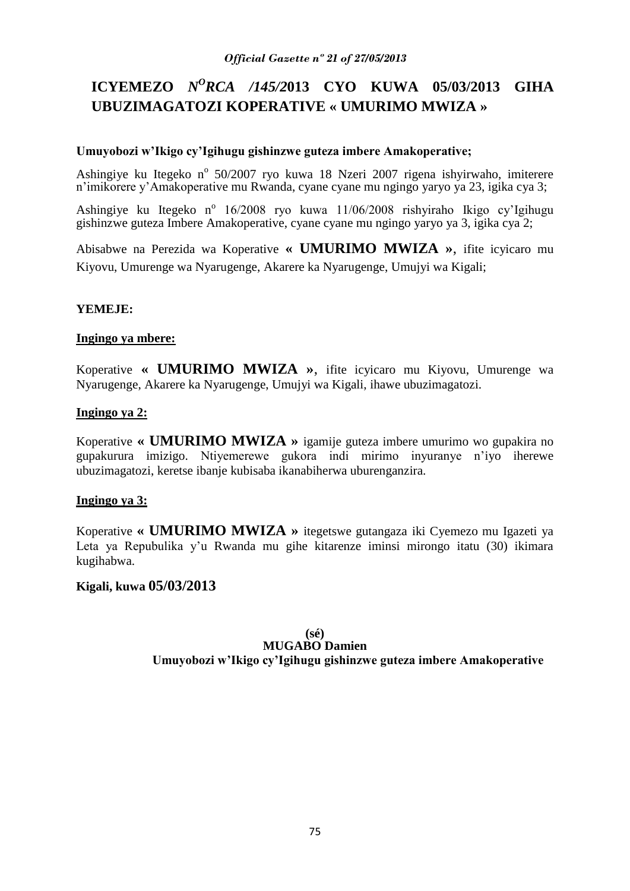# **ICYEMEZO** *N<sup>O</sup>RCA /145/2013* **CYO KUWA 05/03/2013 GIHA UBUZIMAGATOZI KOPERATIVE « UMURIMO MWIZA »**

## **Umuyobozi w'Ikigo cy'Igihugu gishinzwe guteza imbere Amakoperative;**

Ashingiye ku Itegeko nº 50/2007 ryo kuwa 18 Nzeri 2007 rigena ishyirwaho, imiterere n'imikorere y'Amakoperative mu Rwanda, cyane cyane mu ngingo yaryo ya 23, igika cya 3;

Ashingiye ku Itegeko nº 16/2008 ryo kuwa 11/06/2008 rishyiraho Ikigo cy'Igihugu gishinzwe guteza Imbere Amakoperative, cyane cyane mu ngingo yaryo ya 3, igika cya 2;

Abisabwe na Perezida wa Koperative **« UMURIMO MWIZA »**, ifite icyicaro mu Kiyovu, Umurenge wa Nyarugenge, Akarere ka Nyarugenge, Umujyi wa Kigali;

## **YEMEJE:**

### **Ingingo ya mbere:**

Koperative **« UMURIMO MWIZA »**, ifite icyicaro mu Kiyovu, Umurenge wa Nyarugenge, Akarere ka Nyarugenge, Umujyi wa Kigali, ihawe ubuzimagatozi.

## **Ingingo ya 2:**

Koperative **« UMURIMO MWIZA »** igamije guteza imbere umurimo wo gupakira no gupakurura imizigo. Ntiyemerewe gukora indi mirimo inyuranye n'iyo iherewe ubuzimagatozi, keretse ibanje kubisaba ikanabiherwa uburenganzira.

# **Ingingo ya 3:**

Koperative **« UMURIMO MWIZA »** itegetswe gutangaza iki Cyemezo mu Igazeti ya Leta ya Repubulika y'u Rwanda mu gihe kitarenze iminsi mirongo itatu (30) ikimara kugihabwa.

# **Kigali, kuwa 05/03/2013**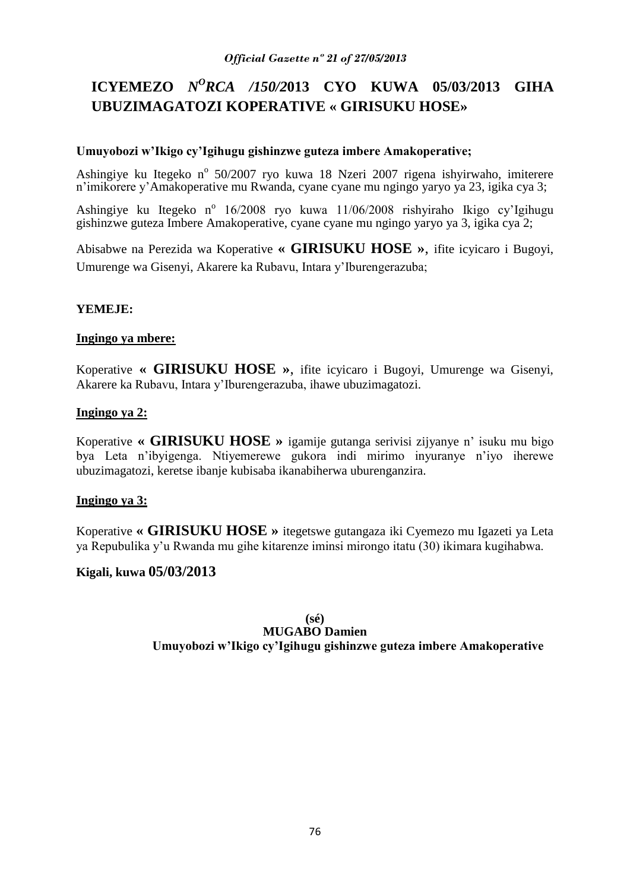# **ICYEMEZO** *N<sup>O</sup>RCA /150/2*013 **CYO KUWA 05/03/2013 GIHA UBUZIMAGATOZI KOPERATIVE « GIRISUKU HOSE»**

## **Umuyobozi w'Ikigo cy'Igihugu gishinzwe guteza imbere Amakoperative;**

Ashingiye ku Itegeko nº 50/2007 ryo kuwa 18 Nzeri 2007 rigena ishyirwaho, imiterere n'imikorere y'Amakoperative mu Rwanda, cyane cyane mu ngingo yaryo ya 23, igika cya 3;

Ashingiye ku Itegeko nº 16/2008 ryo kuwa 11/06/2008 rishyiraho Ikigo cy'Igihugu gishinzwe guteza Imbere Amakoperative, cyane cyane mu ngingo yaryo ya 3, igika cya 2;

Abisabwe na Perezida wa Koperative **« GIRISUKU HOSE »**, ifite icyicaro i Bugoyi, Umurenge wa Gisenyi, Akarere ka Rubavu, Intara y'Iburengerazuba;

# **YEMEJE:**

### **Ingingo ya mbere:**

Koperative **« GIRISUKU HOSE »**, ifite icyicaro i Bugoyi, Umurenge wa Gisenyi, Akarere ka Rubavu, Intara y'Iburengerazuba, ihawe ubuzimagatozi.

## **Ingingo ya 2:**

Koperative **« GIRISUKU HOSE »** igamije gutanga serivisi zijyanye n' isuku mu bigo bya Leta n'ibyigenga. Ntiyemerewe gukora indi mirimo inyuranye n'iyo iherewe ubuzimagatozi, keretse ibanje kubisaba ikanabiherwa uburenganzira.

# **Ingingo ya 3:**

Koperative **« GIRISUKU HOSE »** itegetswe gutangaza iki Cyemezo mu Igazeti ya Leta ya Repubulika y'u Rwanda mu gihe kitarenze iminsi mirongo itatu (30) ikimara kugihabwa.

# **Kigali, kuwa 05/03/2013**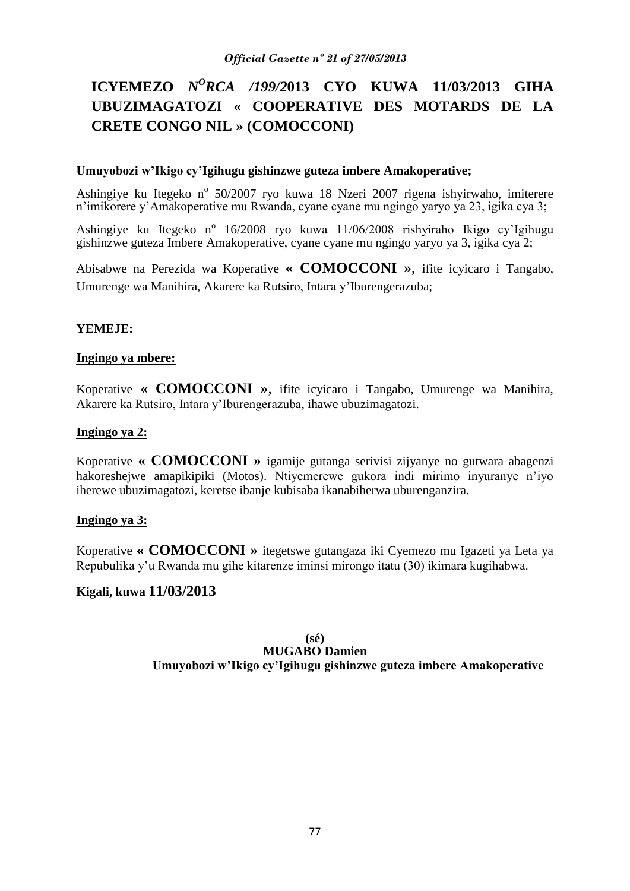# **ICYEMEZO** *N<sup>O</sup>RCA /199/2*013 **CYO KUWA 11/03/2013 GIHA UBUZIMAGATOZI « COOPERATIVE DES MOTARDS DE LA CRETE CONGO NIL » (COMOCCONI)**

### **Umuyobozi w'Ikigo cy'Igihugu gishinzwe guteza imbere Amakoperative;**

Ashingiye ku Itegeko nº 50/2007 ryo kuwa 18 Nzeri 2007 rigena ishyirwaho, imiterere n'imikorere y'Amakoperative mu Rwanda, cyane cyane mu ngingo yaryo ya 23, igika cya 3;

Ashingiye ku Itegeko nº 16/2008 ryo kuwa 11/06/2008 rishyiraho Ikigo cy'Igihugu gishinzwe guteza Imbere Amakoperative, cyane cyane mu ngingo yaryo ya 3, igika cya 2;

Abisabwe na Perezida wa Koperative **« COMOCCONI »**, ifite icyicaro i Tangabo, Umurenge wa Manihira, Akarere ka Rutsiro, Intara y'Iburengerazuba;

### **YEMEJE:**

#### **Ingingo ya mbere:**

Koperative **« COMOCCONI »**, ifite icyicaro i Tangabo, Umurenge wa Manihira, Akarere ka Rutsiro, Intara y'Iburengerazuba, ihawe ubuzimagatozi.

#### **Ingingo ya 2:**

Koperative **« COMOCCONI »** igamije gutanga serivisi zijyanye no gutwara abagenzi hakoreshejwe amapikipiki (Motos). Ntiyemerewe gukora indi mirimo inyuranye n'iyo iherewe ubuzimagatozi, keretse ibanje kubisaba ikanabiherwa uburenganzira.

### **Ingingo ya 3:**

Koperative **« COMOCCONI »** itegetswe gutangaza iki Cyemezo mu Igazeti ya Leta ya Repubulika y'u Rwanda mu gihe kitarenze iminsi mirongo itatu (30) ikimara kugihabwa.

### **Kigali, kuwa 11/03/2013**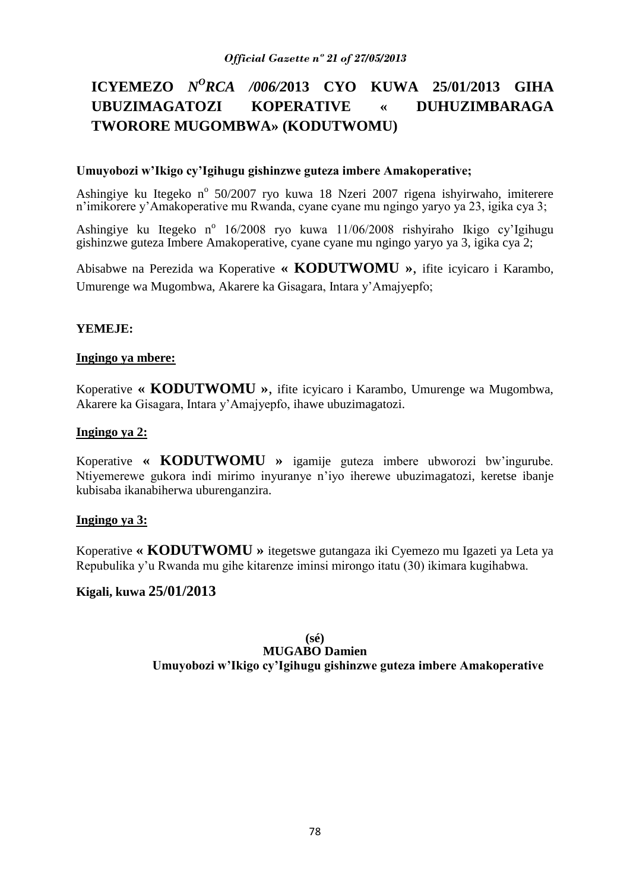# **ICYEMEZO** *N<sup>O</sup>RCA /006/2013* **CYO KUWA 25/01/2013 GIHA UBUZIMAGATOZI KOPERATIVE « DUHUZIMBARAGA TWORORE MUGOMBWA» (KODUTWOMU)**

### **Umuyobozi w'Ikigo cy'Igihugu gishinzwe guteza imbere Amakoperative;**

Ashingiye ku Itegeko nº 50/2007 ryo kuwa 18 Nzeri 2007 rigena ishyirwaho, imiterere n'imikorere y'Amakoperative mu Rwanda, cyane cyane mu ngingo yaryo ya 23, igika cya 3;

Ashingiye ku Itegeko nº 16/2008 ryo kuwa 11/06/2008 rishyiraho Ikigo cy'Igihugu gishinzwe guteza Imbere Amakoperative, cyane cyane mu ngingo yaryo ya 3, igika cya 2;

Abisabwe na Perezida wa Koperative **« KODUTWOMU »**, ifite icyicaro i Karambo, Umurenge wa Mugombwa, Akarere ka Gisagara, Intara y'Amajyepfo;

## **YEMEJE:**

### **Ingingo ya mbere:**

Koperative **« KODUTWOMU »**, ifite icyicaro i Karambo, Umurenge wa Mugombwa, Akarere ka Gisagara, Intara y'Amajyepfo, ihawe ubuzimagatozi.

### **Ingingo ya 2:**

Koperative **« KODUTWOMU »** igamije guteza imbere ubworozi bw'ingurube. Ntiyemerewe gukora indi mirimo inyuranye n'iyo iherewe ubuzimagatozi, keretse ibanje kubisaba ikanabiherwa uburenganzira.

### **Ingingo ya 3:**

Koperative **« KODUTWOMU »** itegetswe gutangaza iki Cyemezo mu Igazeti ya Leta ya Repubulika y'u Rwanda mu gihe kitarenze iminsi mirongo itatu (30) ikimara kugihabwa.

# **Kigali, kuwa 25/01/2013**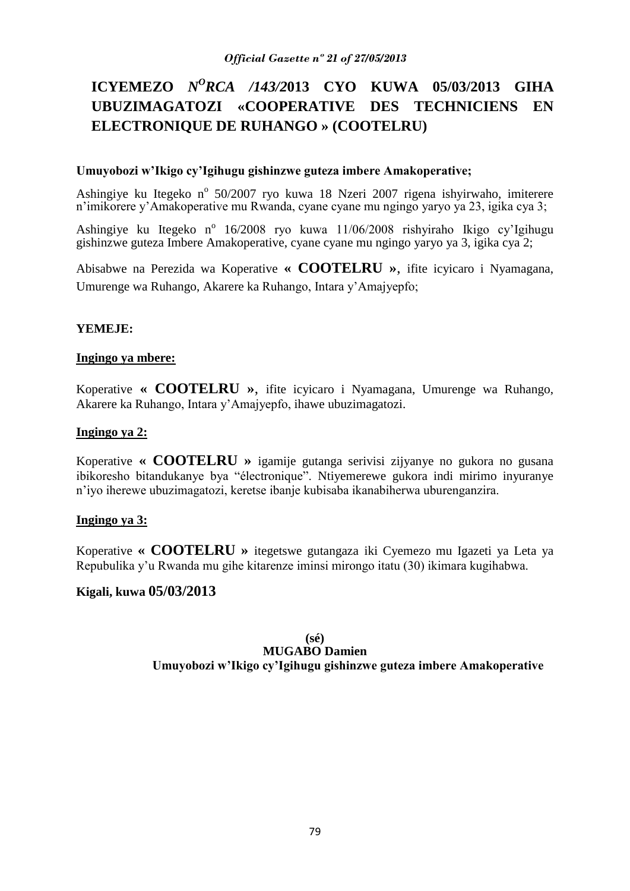# **ICYEMEZO** *N<sup>O</sup>RCA /143/2013* **CYO KUWA 05/03/2013 GIHA UBUZIMAGATOZI «COOPERATIVE DES TECHNICIENS EN ELECTRONIQUE DE RUHANGO » (COOTELRU)**

### **Umuyobozi w'Ikigo cy'Igihugu gishinzwe guteza imbere Amakoperative;**

Ashingiye ku Itegeko nº 50/2007 ryo kuwa 18 Nzeri 2007 rigena ishyirwaho, imiterere n'imikorere y'Amakoperative mu Rwanda, cyane cyane mu ngingo yaryo ya 23, igika cya 3;

Ashingiye ku Itegeko nº 16/2008 ryo kuwa 11/06/2008 rishyiraho Ikigo cy'Igihugu gishinzwe guteza Imbere Amakoperative, cyane cyane mu ngingo yaryo ya 3, igika cya 2;

Abisabwe na Perezida wa Koperative **« COOTELRU »**, ifite icyicaro i Nyamagana, Umurenge wa Ruhango, Akarere ka Ruhango, Intara y'Amajyepfo;

#### **YEMEJE:**

#### **Ingingo ya mbere:**

Koperative **« COOTELRU »**, ifite icyicaro i Nyamagana, Umurenge wa Ruhango, Akarere ka Ruhango, Intara y'Amajyepfo, ihawe ubuzimagatozi.

#### **Ingingo ya 2:**

Koperative **« COOTELRU »** igamije gutanga serivisi zijyanye no gukora no gusana ibikoresho bitandukanye bya "électronique". Ntiyemerewe gukora indi mirimo inyuranye n'iyo iherewe ubuzimagatozi, keretse ibanje kubisaba ikanabiherwa uburenganzira.

### **Ingingo ya 3:**

Koperative **« COOTELRU »** itegetswe gutangaza iki Cyemezo mu Igazeti ya Leta ya Repubulika y'u Rwanda mu gihe kitarenze iminsi mirongo itatu (30) ikimara kugihabwa.

### **Kigali, kuwa 05/03/2013**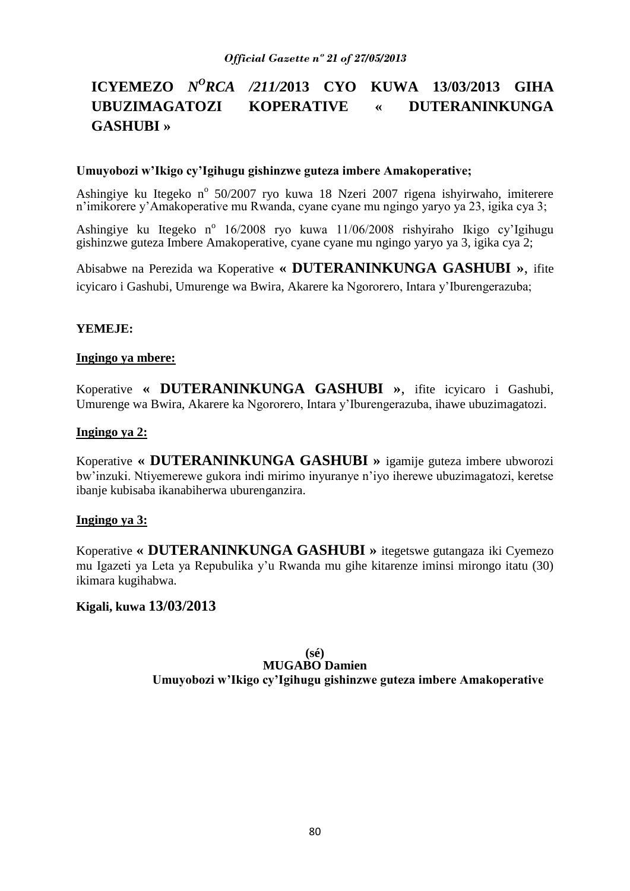# **ICYEMEZO** *N<sup>O</sup>RCA /211/2*013 **CYO KUWA 13/03/2013 GIHA UBUZIMAGATOZI KOPERATIVE « DUTERANINKUNGA GASHUBI »**

### **Umuyobozi w'Ikigo cy'Igihugu gishinzwe guteza imbere Amakoperative;**

Ashingiye ku Itegeko nº 50/2007 ryo kuwa 18 Nzeri 2007 rigena ishyirwaho, imiterere n'imikorere y'Amakoperative mu Rwanda, cyane cyane mu ngingo yaryo ya 23, igika cya 3;

Ashingiye ku Itegeko nº 16/2008 ryo kuwa 11/06/2008 rishyiraho Ikigo cy'Igihugu gishinzwe guteza Imbere Amakoperative, cyane cyane mu ngingo yaryo ya 3, igika cya 2;

Abisabwe na Perezida wa Koperative **« DUTERANINKUNGA GASHUBI »**, ifite icyicaro i Gashubi, Umurenge wa Bwira, Akarere ka Ngororero, Intara y'Iburengerazuba;

## **YEMEJE:**

### **Ingingo ya mbere:**

Koperative **« DUTERANINKUNGA GASHUBI »**, ifite icyicaro i Gashubi, Umurenge wa Bwira, Akarere ka Ngororero, Intara y'Iburengerazuba, ihawe ubuzimagatozi.

### **Ingingo ya 2:**

Koperative **« DUTERANINKUNGA GASHUBI »** igamije guteza imbere ubworozi bw'inzuki. Ntiyemerewe gukora indi mirimo inyuranye n'iyo iherewe ubuzimagatozi, keretse ibanje kubisaba ikanabiherwa uburenganzira.

### **Ingingo ya 3:**

Koperative **« DUTERANINKUNGA GASHUBI »** itegetswe gutangaza iki Cyemezo mu Igazeti ya Leta ya Repubulika y'u Rwanda mu gihe kitarenze iminsi mirongo itatu (30) ikimara kugihabwa.

# **Kigali, kuwa 13/03/2013**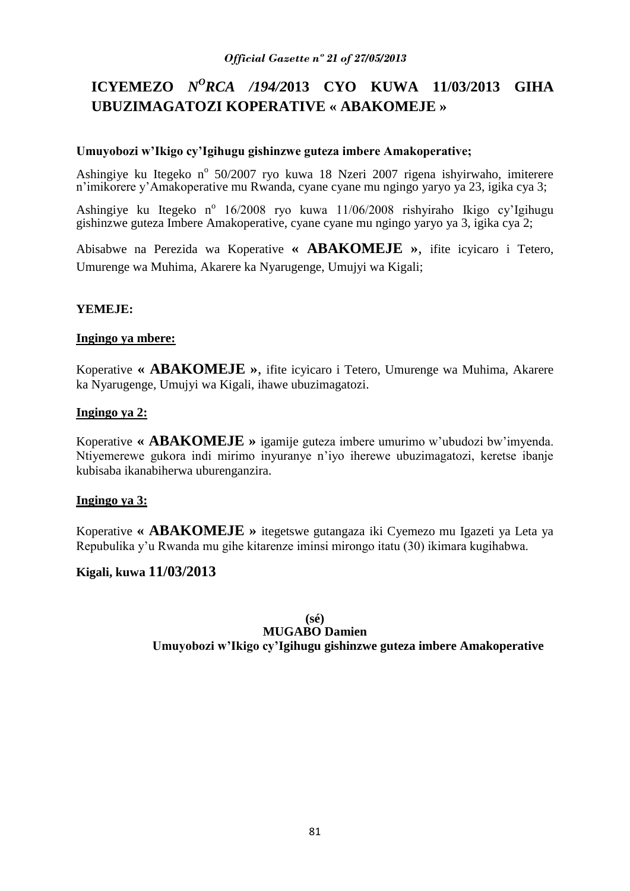# **ICYEMEZO** *N<sup>O</sup>RCA /194/2013* **CYO KUWA 11/03/2013 GIHA UBUZIMAGATOZI KOPERATIVE « ABAKOMEJE »**

### **Umuyobozi w'Ikigo cy'Igihugu gishinzwe guteza imbere Amakoperative;**

Ashingiye ku Itegeko nº 50/2007 ryo kuwa 18 Nzeri 2007 rigena ishyirwaho, imiterere n'imikorere y'Amakoperative mu Rwanda, cyane cyane mu ngingo yaryo ya 23, igika cya 3;

Ashingiye ku Itegeko nº 16/2008 ryo kuwa 11/06/2008 rishyiraho Ikigo cy'Igihugu gishinzwe guteza Imbere Amakoperative, cyane cyane mu ngingo yaryo ya 3, igika cya 2;

Abisabwe na Perezida wa Koperative **« ABAKOMEJE »**, ifite icyicaro i Tetero, Umurenge wa Muhima, Akarere ka Nyarugenge, Umujyi wa Kigali;

# **YEMEJE:**

### **Ingingo ya mbere:**

Koperative **« ABAKOMEJE »**, ifite icyicaro i Tetero, Umurenge wa Muhima, Akarere ka Nyarugenge, Umujyi wa Kigali, ihawe ubuzimagatozi.

## **Ingingo ya 2:**

Koperative **« ABAKOMEJE »** igamije guteza imbere umurimo w'ubudozi bw'imyenda. Ntiyemerewe gukora indi mirimo inyuranye n'iyo iherewe ubuzimagatozi, keretse ibanje kubisaba ikanabiherwa uburenganzira.

# **Ingingo ya 3:**

Koperative **« ABAKOMEJE »** itegetswe gutangaza iki Cyemezo mu Igazeti ya Leta ya Repubulika y'u Rwanda mu gihe kitarenze iminsi mirongo itatu (30) ikimara kugihabwa.

# **Kigali, kuwa 11/03/2013**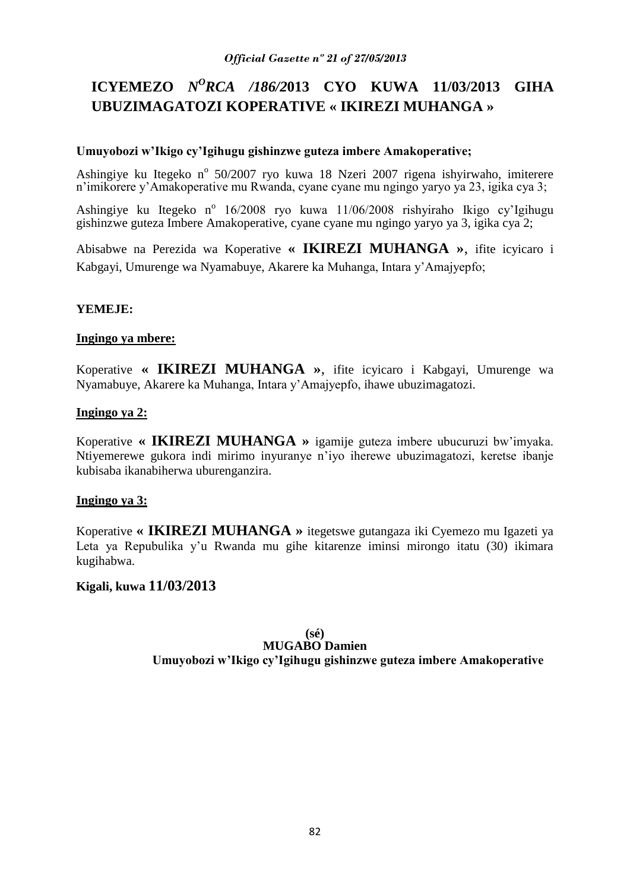# **ICYEMEZO** *N<sup>O</sup>RCA /186/2013* **CYO KUWA 11/03/2013 GIHA UBUZIMAGATOZI KOPERATIVE « IKIREZI MUHANGA »**

## **Umuyobozi w'Ikigo cy'Igihugu gishinzwe guteza imbere Amakoperative;**

Ashingiye ku Itegeko nº 50/2007 ryo kuwa 18 Nzeri 2007 rigena ishyirwaho, imiterere n'imikorere y'Amakoperative mu Rwanda, cyane cyane mu ngingo yaryo ya 23, igika cya 3;

Ashingiye ku Itegeko nº 16/2008 ryo kuwa 11/06/2008 rishyiraho Ikigo cy'Igihugu gishinzwe guteza Imbere Amakoperative, cyane cyane mu ngingo yaryo ya 3, igika cya 2;

Abisabwe na Perezida wa Koperative **« IKIREZI MUHANGA »**, ifite icyicaro i Kabgayi, Umurenge wa Nyamabuye, Akarere ka Muhanga, Intara y'Amajyepfo;

# **YEMEJE:**

### **Ingingo ya mbere:**

Koperative **« IKIREZI MUHANGA »**, ifite icyicaro i Kabgayi, Umurenge wa Nyamabuye, Akarere ka Muhanga, Intara y'Amajyepfo, ihawe ubuzimagatozi.

## **Ingingo ya 2:**

Koperative **« IKIREZI MUHANGA »** igamije guteza imbere ubucuruzi bw'imyaka. Ntiyemerewe gukora indi mirimo inyuranye n'iyo iherewe ubuzimagatozi, keretse ibanje kubisaba ikanabiherwa uburenganzira.

# **Ingingo ya 3:**

Koperative **« IKIREZI MUHANGA »** itegetswe gutangaza iki Cyemezo mu Igazeti ya Leta ya Repubulika y'u Rwanda mu gihe kitarenze iminsi mirongo itatu (30) ikimara kugihabwa.

# **Kigali, kuwa 11/03/2013**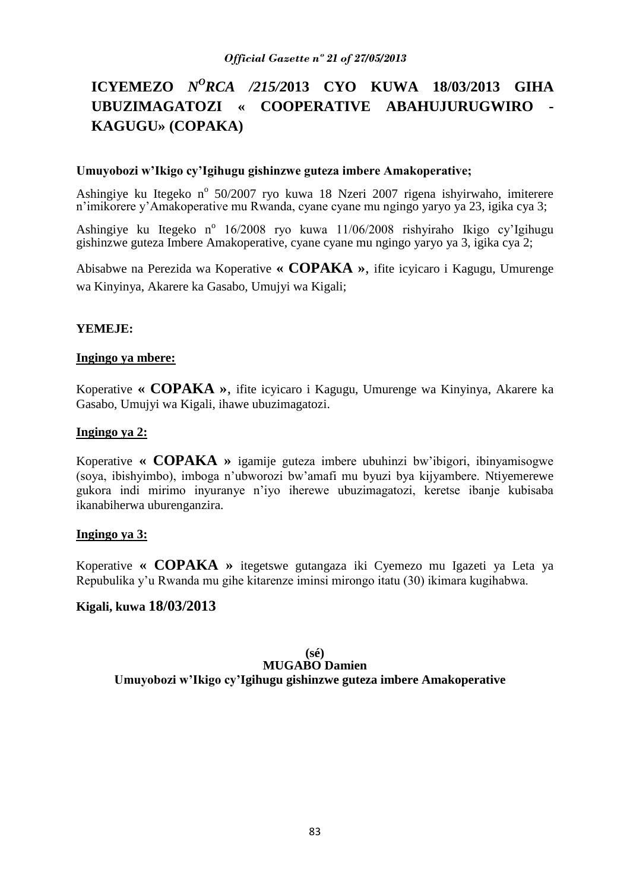# **ICYEMEZO** *N<sup>O</sup>RCA /215/2013* **CYO KUWA 18/03/2013 GIHA UBUZIMAGATOZI « COOPERATIVE ABAHUJURUGWIRO - KAGUGU» (COPAKA)**

#### **Umuyobozi w'Ikigo cy'Igihugu gishinzwe guteza imbere Amakoperative;**

Ashingiye ku Itegeko nº 50/2007 ryo kuwa 18 Nzeri 2007 rigena ishyirwaho, imiterere n'imikorere y'Amakoperative mu Rwanda, cyane cyane mu ngingo yaryo ya 23, igika cya 3;

Ashingiye ku Itegeko nº 16/2008 ryo kuwa 11/06/2008 rishyiraho Ikigo cy'Igihugu gishinzwe guteza Imbere Amakoperative, cyane cyane mu ngingo yaryo ya 3, igika cya 2;

Abisabwe na Perezida wa Koperative **« COPAKA »**, ifite icyicaro i Kagugu, Umurenge wa Kinyinya, Akarere ka Gasabo, Umujyi wa Kigali;

#### **YEMEJE:**

#### **Ingingo ya mbere:**

Koperative **« COPAKA »**, ifite icyicaro i Kagugu, Umurenge wa Kinyinya, Akarere ka Gasabo, Umujyi wa Kigali, ihawe ubuzimagatozi.

#### **Ingingo ya 2:**

Koperative **« COPAKA »** igamije guteza imbere ubuhinzi bw'ibigori, ibinyamisogwe (soya, ibishyimbo), imboga n'ubworozi bw'amafi mu byuzi bya kijyambere. Ntiyemerewe gukora indi mirimo inyuranye n'iyo iherewe ubuzimagatozi, keretse ibanje kubisaba ikanabiherwa uburenganzira.

#### **Ingingo ya 3:**

Koperative **« COPAKA »** itegetswe gutangaza iki Cyemezo mu Igazeti ya Leta ya Repubulika y'u Rwanda mu gihe kitarenze iminsi mirongo itatu (30) ikimara kugihabwa.

### **Kigali, kuwa 18/03/2013**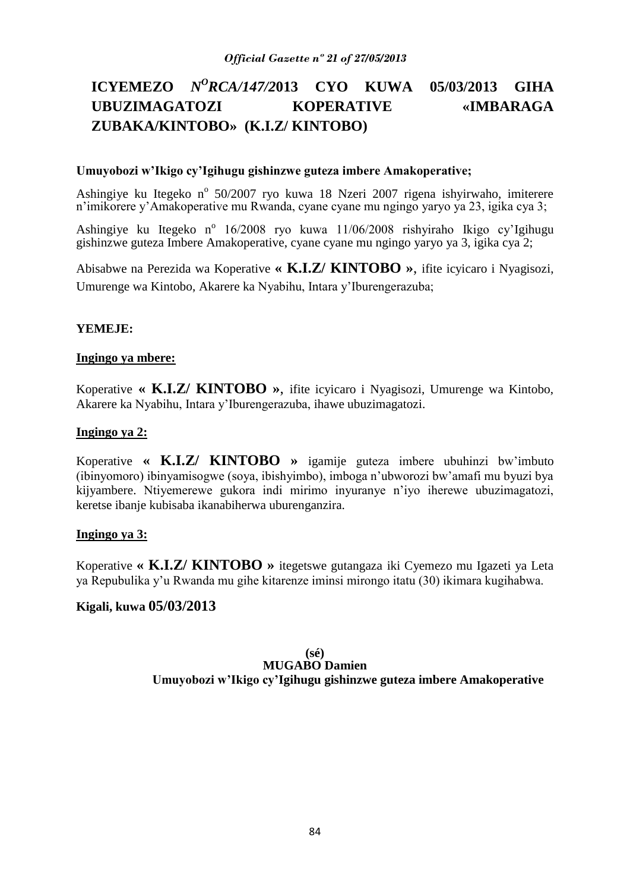# **ICYEMEZO** *N<sup>O</sup>RCA/147/2013* **CYO KUWA 05/03/2013 GIHA UBUZIMAGATOZI KOPERATIVE «IMBARAGA ZUBAKA/KINTOBO» (K.I.Z/ KINTOBO)**

### **Umuyobozi w'Ikigo cy'Igihugu gishinzwe guteza imbere Amakoperative;**

Ashingiye ku Itegeko nº 50/2007 ryo kuwa 18 Nzeri 2007 rigena ishyirwaho, imiterere n'imikorere y'Amakoperative mu Rwanda, cyane cyane mu ngingo yaryo ya 23, igika cya 3;

Ashingiye ku Itegeko nº 16/2008 ryo kuwa 11/06/2008 rishyiraho Ikigo cy'Igihugu gishinzwe guteza Imbere Amakoperative, cyane cyane mu ngingo yaryo ya 3, igika cya 2;

Abisabwe na Perezida wa Koperative **« K.I.Z/ KINTOBO »**, ifite icyicaro i Nyagisozi, Umurenge wa Kintobo, Akarere ka Nyabihu, Intara y'Iburengerazuba;

#### **YEMEJE:**

#### **Ingingo ya mbere:**

Koperative **« K.I.Z/ KINTOBO »**, ifite icyicaro i Nyagisozi, Umurenge wa Kintobo, Akarere ka Nyabihu, Intara y'Iburengerazuba, ihawe ubuzimagatozi.

#### **Ingingo ya 2:**

Koperative **« K.I.Z/ KINTOBO »** igamije guteza imbere ubuhinzi bw'imbuto (ibinyomoro) ibinyamisogwe (soya, ibishyimbo), imboga n'ubworozi bw'amafi mu byuzi bya kijyambere. Ntiyemerewe gukora indi mirimo inyuranye n'iyo iherewe ubuzimagatozi, keretse ibanje kubisaba ikanabiherwa uburenganzira.

#### **Ingingo ya 3:**

Koperative **« K.I.Z/ KINTOBO »** itegetswe gutangaza iki Cyemezo mu Igazeti ya Leta ya Repubulika y'u Rwanda mu gihe kitarenze iminsi mirongo itatu (30) ikimara kugihabwa.

### **Kigali, kuwa 05/03/2013**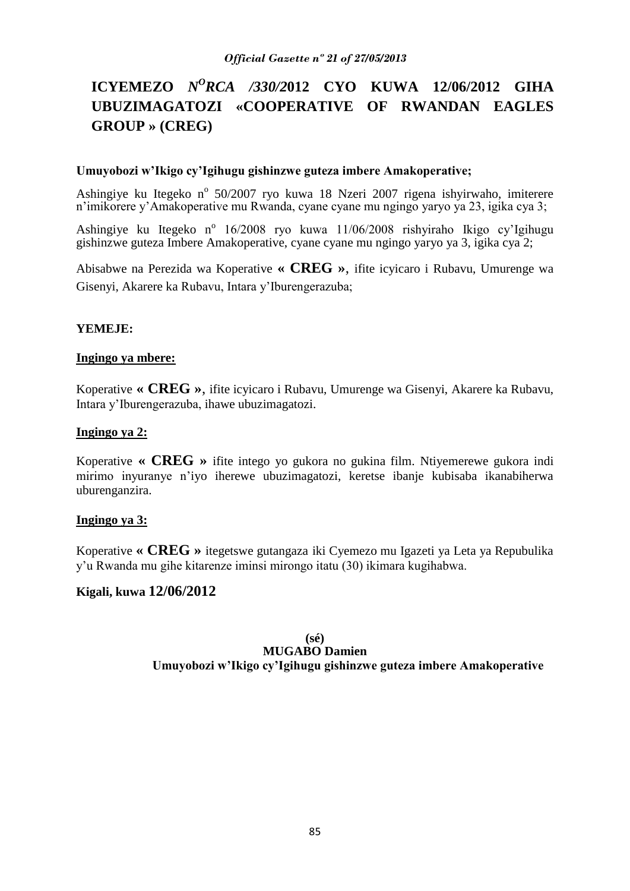# **ICYEMEZO** *N<sup>O</sup>RCA /330/2*012 **CYO KUWA 12/06/2012 GIHA UBUZIMAGATOZI «COOPERATIVE OF RWANDAN EAGLES GROUP » (CREG)**

#### **Umuyobozi w'Ikigo cy'Igihugu gishinzwe guteza imbere Amakoperative;**

Ashingiye ku Itegeko nº 50/2007 ryo kuwa 18 Nzeri 2007 rigena ishyirwaho, imiterere n'imikorere y'Amakoperative mu Rwanda, cyane cyane mu ngingo yaryo ya 23, igika cya 3;

Ashingiye ku Itegeko nº 16/2008 ryo kuwa 11/06/2008 rishyiraho Ikigo cy'Igihugu gishinzwe guteza Imbere Amakoperative, cyane cyane mu ngingo yaryo ya 3, igika cya 2;

Abisabwe na Perezida wa Koperative **« CREG »**, ifite icyicaro i Rubavu, Umurenge wa Gisenyi, Akarere ka Rubavu, Intara y'Iburengerazuba;

#### **YEMEJE:**

#### **Ingingo ya mbere:**

Koperative **« CREG »**, ifite icyicaro i Rubavu, Umurenge wa Gisenyi, Akarere ka Rubavu, Intara y'Iburengerazuba, ihawe ubuzimagatozi.

#### **Ingingo ya 2:**

Koperative **« CREG »** ifite intego yo gukora no gukina film. Ntiyemerewe gukora indi mirimo inyuranye n'iyo iherewe ubuzimagatozi, keretse ibanje kubisaba ikanabiherwa uburenganzira.

### **Ingingo ya 3:**

Koperative **« CREG »** itegetswe gutangaza iki Cyemezo mu Igazeti ya Leta ya Repubulika y'u Rwanda mu gihe kitarenze iminsi mirongo itatu (30) ikimara kugihabwa.

## **Kigali, kuwa 12/06/2012**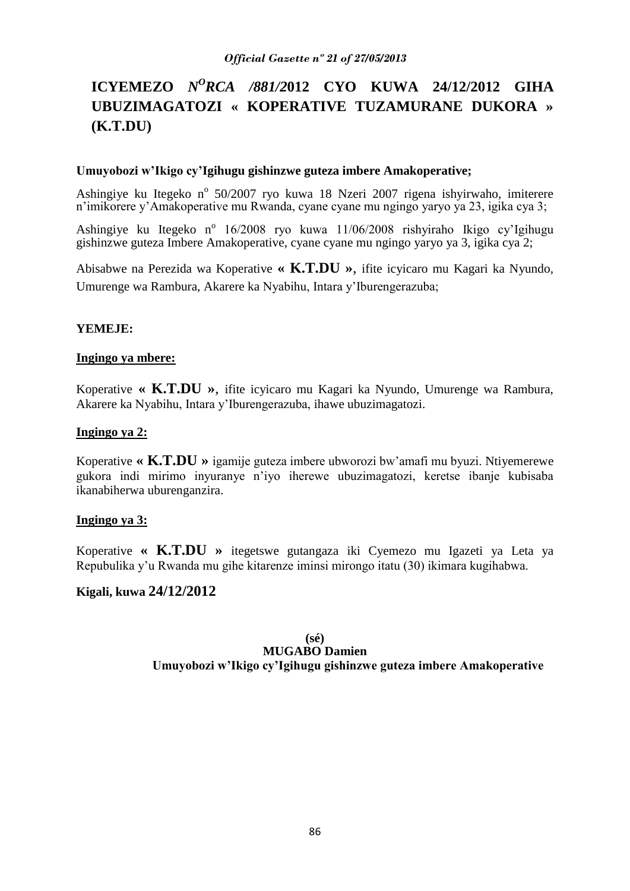# **ICYEMEZO** *N<sup>O</sup>RCA /881/2012* **CYO KUWA 24/12/2012 GIHA UBUZIMAGATOZI « KOPERATIVE TUZAMURANE DUKORA » (K.T.DU)**

### **Umuyobozi w'Ikigo cy'Igihugu gishinzwe guteza imbere Amakoperative;**

Ashingiye ku Itegeko nº 50/2007 ryo kuwa 18 Nzeri 2007 rigena ishyirwaho, imiterere n'imikorere y'Amakoperative mu Rwanda, cyane cyane mu ngingo yaryo ya 23, igika cya 3;

Ashingiye ku Itegeko nº 16/2008 ryo kuwa 11/06/2008 rishyiraho Ikigo cy'Igihugu gishinzwe guteza Imbere Amakoperative, cyane cyane mu ngingo yaryo ya 3, igika cya 2;

Abisabwe na Perezida wa Koperative **« K.T.DU »**, ifite icyicaro mu Kagari ka Nyundo, Umurenge wa Rambura, Akarere ka Nyabihu, Intara y'Iburengerazuba;

### **YEMEJE:**

### **Ingingo ya mbere:**

Koperative **« K.T.DU »**, ifite icyicaro mu Kagari ka Nyundo, Umurenge wa Rambura, Akarere ka Nyabihu, Intara y'Iburengerazuba, ihawe ubuzimagatozi.

### **Ingingo ya 2:**

Koperative **« K.T.DU »** igamije guteza imbere ubworozi bw'amafi mu byuzi. Ntiyemerewe gukora indi mirimo inyuranye n'iyo iherewe ubuzimagatozi, keretse ibanje kubisaba ikanabiherwa uburenganzira.

### **Ingingo ya 3:**

Koperative **« K.T.DU »** itegetswe gutangaza iki Cyemezo mu Igazeti ya Leta ya Repubulika y'u Rwanda mu gihe kitarenze iminsi mirongo itatu (30) ikimara kugihabwa.

# **Kigali, kuwa 24/12/2012**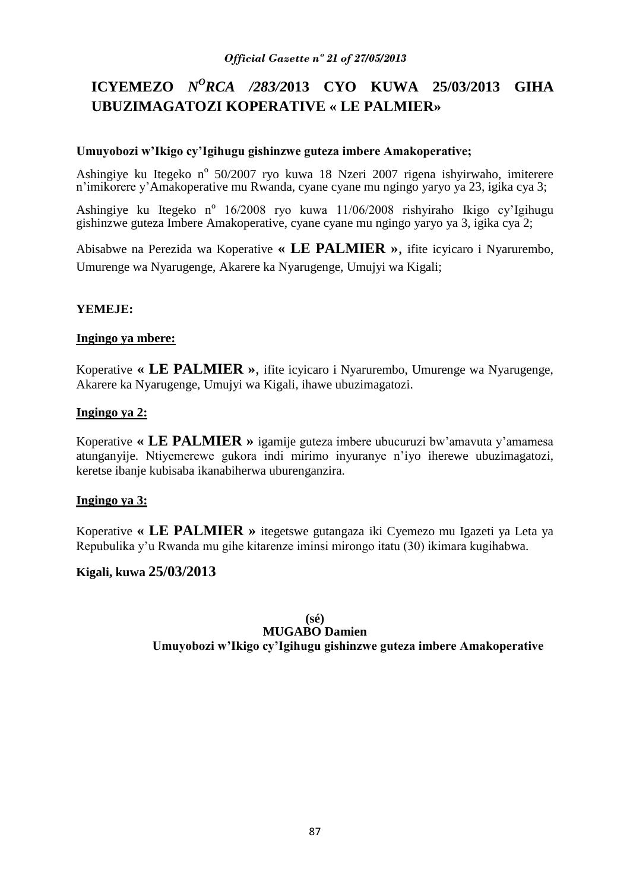# **ICYEMEZO** *N<sup>O</sup>RCA /283/2013* **CYO KUWA 25/03/2013 GIHA UBUZIMAGATOZI KOPERATIVE « LE PALMIER»**

## **Umuyobozi w'Ikigo cy'Igihugu gishinzwe guteza imbere Amakoperative;**

Ashingiye ku Itegeko nº 50/2007 ryo kuwa 18 Nzeri 2007 rigena ishyirwaho, imiterere n'imikorere y'Amakoperative mu Rwanda, cyane cyane mu ngingo yaryo ya 23, igika cya 3;

Ashingiye ku Itegeko nº 16/2008 ryo kuwa 11/06/2008 rishyiraho Ikigo cy'Igihugu gishinzwe guteza Imbere Amakoperative, cyane cyane mu ngingo yaryo ya 3, igika cya 2;

Abisabwe na Perezida wa Koperative **« LE PALMIER »**, ifite icyicaro i Nyarurembo, Umurenge wa Nyarugenge, Akarere ka Nyarugenge, Umujyi wa Kigali;

# **YEMEJE:**

### **Ingingo ya mbere:**

Koperative **« LE PALMIER »**, ifite icyicaro i Nyarurembo, Umurenge wa Nyarugenge, Akarere ka Nyarugenge, Umujyi wa Kigali, ihawe ubuzimagatozi.

## **Ingingo ya 2:**

Koperative **« LE PALMIER »** igamije guteza imbere ubucuruzi bw'amavuta y'amamesa atunganyije. Ntiyemerewe gukora indi mirimo inyuranye n'iyo iherewe ubuzimagatozi, keretse ibanje kubisaba ikanabiherwa uburenganzira.

# **Ingingo ya 3:**

Koperative **« LE PALMIER »** itegetswe gutangaza iki Cyemezo mu Igazeti ya Leta ya Repubulika y'u Rwanda mu gihe kitarenze iminsi mirongo itatu (30) ikimara kugihabwa.

# **Kigali, kuwa 25/03/2013**